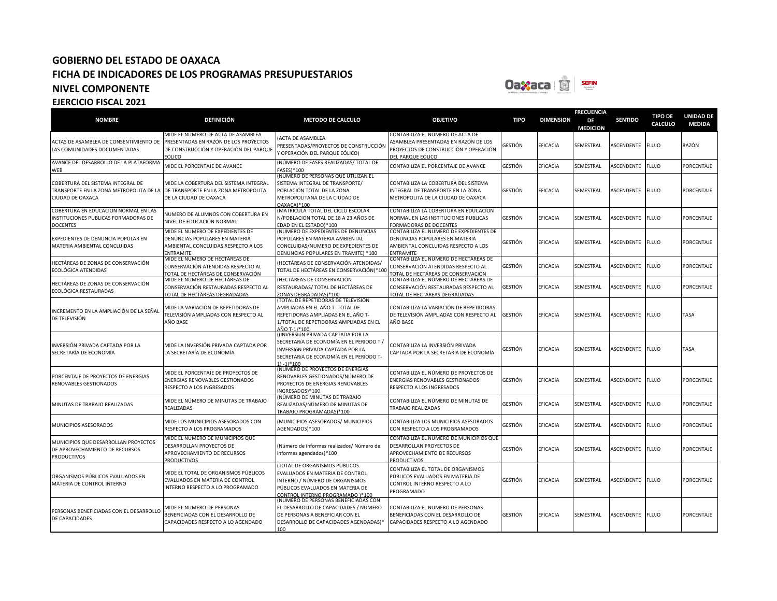

| <b>NOMBRE</b>                                                                                    | <b>DEFINICIÓN</b>                                                                                                               | <b>METODO DE CALCULO</b>                                                                                                                                                                     | <b>OBJETIVO</b>                                                                                                                        | <b>TIPO</b>    | <b>DIMENSION</b> | <b>FRECUENCIA</b><br>DE      | <b>SENTIDO</b>    | <b>TIPO DE</b><br><b>CALCULO</b> | <b>UNIDAD DE</b><br><b>MEDIDA</b> |
|--------------------------------------------------------------------------------------------------|---------------------------------------------------------------------------------------------------------------------------------|----------------------------------------------------------------------------------------------------------------------------------------------------------------------------------------------|----------------------------------------------------------------------------------------------------------------------------------------|----------------|------------------|------------------------------|-------------------|----------------------------------|-----------------------------------|
| ACTAS DE ASAMBLEA DE CONSENTIMIENTO DE<br>LAS COMUNIDADES DOCUMENTADAS                           | MIDE EL NÚMERO DE ACTA DE ASAMBLEA<br>PRESENTADAS EN RAZÓN DE LOS PROYECTOS<br>DE CONSTRUCCIÓN Y OPERACIÓN DEL PARQUE<br>EÓLICO | ACTA DE ASAMBLEA<br>PRESENTADAS/PROYECTOS DE CONSTRUCCIÓN<br>Y OPERACIÓN DEL PARQUE EÓLICO)                                                                                                  | CONTABILIZA EL NÚMERO DE ACTA DE<br>ASAMBLEA PRESENTADAS EN RAZÓN DE LOS<br>PROYECTOS DE CONSTRUCCIÓN Y OPERACIÓN<br>DEL PARQUE EÓLICO | GESTIÓN        | EFICACIA         | <b>MEDICION</b><br>SEMESTRAL | ASCENDENTE        | <b>FLUJO</b>                     | RAZÓN                             |
| AVANCE DEL DESARROLLO DE LA PLATAFORMA<br><b>WFB</b>                                             | MIDE EL PORCENTAJE DE AVANCE                                                                                                    | (NÚMERO DE FASES REALIZADAS/ TOTAL DE<br><b>FASES</b> )*100                                                                                                                                  | CONTABILIZA EL PORCENTAJE DE AVANCE                                                                                                    | GESTIÓN        | EFICACIA         | SEMESTRAL                    | <b>ASCENDENTE</b> | <b>FLUJO</b>                     | PORCENTAJE                        |
| COBERTURA DEL SISTEMA INTEGRAL DE<br>TRANSPORTE EN LA ZONA METROPOLITA DE LA<br>CIUDAD DE OAXACA | MIDE LA COBERTURA DEL SISTEMA INTEGRAL<br>DE TRANSPORTE EN LA ZONA METROPOLITA<br>DE LA CIUDAD DE OAXACA                        | (NÚMERO DE PERSONAS QUE UTILIZAN EL<br>SISTEMA INTEGRAL DE TRANSPORTE/<br>POBLACIÓN TOTAL DE LA ZONA<br>METROPOLITANA DE LA CIUDAD DE<br>OAXACA)*100                                         | CONTABILIZA LA COBERTURA DEL SISTEMA<br>INTEGRAL DE TRANSPORTE EN LA ZONA<br>METROPOLITA DE LA CIUDAD DE OAXACA                        | GESTIÓN        | EFICACIA         | SEMESTRAL                    | ASCENDENTE        | <b>FLUJO</b>                     | PORCENTAJE                        |
| COBERTURA EN EDUCACION NORMAL EN LAS<br>NSTITUCIONES PUBLICAS FORMADORAS DE<br><b>DOCENTES</b>   | NUMERO DE ALUMNOS CON COBERTURA EN<br>NIVEL DE EDUCACION NORMAL                                                                 | (MATRICULA TOTAL DEL CICLO ESCOLAR<br>N/POBLACION TOTAL DE 18 A 23 AÑOS DE<br>EDAD EN EL ESTADO)*100                                                                                         | CONTABILIZA LA COBERTURA EN EDUCACION<br>NORMAL EN LAS INSTITUCIONES PUBLICAS<br>FORMADORAS DE DOCENTES                                | GESTIÓN        | EFICACIA         | SEMESTRAL                    | ASCENDENTE        | <b>FLUJO</b>                     | PORCENTAJE                        |
| EXPEDIENTES DE DENUNCIA POPULAR EN<br>MATERIA AMBIENTAL CONCLUIDAS                               | MIDE EL NUMERO DE EXPEDIENTES DE<br>DENUNCIAS POPULARES EN MATERIA<br>AMBIENTAL CONCLUIDAS RESPECTO A LOS<br>ENTRAMITE          | (NUMERO DE EXPEDIENTES DE DENUNCIAS<br>POPULARES EN MATERIA AMBIENTAL<br>CONCLUIDAS/NUMERO DE EXPEDIENTES DE<br>DENUNCIAS POPULARES EN TRAMITE) *100                                         | CONTABILIZA EL NUMERO DE EXPEDIENTES DE<br>DENUNCIAS POPULARES EN MATERIA<br>AMBIENTAL CONCLUIDAS RESPECTO A LOS<br><b>ENTRAMITE</b>   | SESTIÓN        | EFICACIA         | SEMESTRAL                    | ASCENDENTE        | <b>FLUJO</b>                     | PORCENTAJE                        |
| HECTÁREAS DE ZONAS DE CONSERVACIÓN<br>ECOLÓGICA ATENDIDAS                                        | MIDE EL NÚMERO DE HECTÁREAS DE<br>CONSERVACIÓN ATENDIDAS RESPECTO AL<br>TOTAL DE HECTÁREAS DE CONSERVACIÓN                      | (HECTÁREAS DE CONSERVACIÓN ATENDIDAS/<br>TOTAL DE HECTÁREAS EN CONSERVACIÓN)*100                                                                                                             | CONTABILIZA EL NÚMERO DE HECTÁREAS DE<br>CONSERVACIÓN ATENDIDAS RESPECTO AL<br>TOTAL DE HECTÁREAS DE CONSERVACIÓN                      | <b>GESTIÓN</b> | <b>EFICACIA</b>  | SEMESTRAL                    | ASCENDENTE        | <b>FLUJO</b>                     | PORCENTAJE                        |
| HECTÁREAS DE ZONAS DE CONSERVACIÓN<br>ECOLÓGICA RESTAURADAS                                      | MIDE EL NÚMERO DE HECTÁREAS DE<br>CONSERVACIÓN RESTAURADAS RESPECTO AL<br>TOTAL DE HECTÁREAS DEGRADADAS                         | (HECTÁREAS DE CONSERVACIÓN<br>RESTAURADAS/ TOTAL DE HECTÁREAS DE<br>ZONAS DEGRADADAS)*100<br>(TOTAL DE REPETIDORAS DE TELEVISIÓN                                                             | CONTABILIZA EL NÚMERO DE HECTÁREAS DE<br>CONSERVACIÓN RESTAURADAS RESPECTO AL<br>TOTAL DE HECTÁREAS DEGRADADAS                         | GESTIÓN        | <b>EFICACIA</b>  | SEMESTRAL                    | ASCENDENTE        | <b>FLUJO</b>                     | PORCENTAJE                        |
| NCREMENTO EN LA AMPLIACIÓN DE LA SEÑAL<br>DE TELEVISIÓN                                          | MIDE LA VARIACIÓN DE REPETIDORAS DE<br>TELEVISIÓN AMPLIADAS CON RESPECTO AL<br>AÑO BASE                                         | AMPLIADAS EN EL AÑO T- TOTAL DE<br>REPETIDORAS AMPLIADAS EN EL AÑO T-<br>1/TOTAL DE REPETIDORAS AMPLIADAS EN EL<br>AÑO T-1)*100                                                              | CONTABILIZA LA VARIACIÓN DE REPETIDORAS<br>DE TELEVISIÓN AMPLIADAS CON RESPECTO AL<br>AÑO BASE                                         | GESTIÓN        | EFICACIA         | SEMESTRAL                    | ASCENDENTE        | <b>FLUJO</b>                     | TASA                              |
| INVERSIÓN PRIVADA CAPTADA POR LA<br>SECRETARÍA DE ECONOMÍA                                       | MIDE LA INVERSIÓN PRIVADA CAPTADA POR<br>LA SECRETARÍA DE ECONOMÍA                                                              | ((INVERSIÓN PRIVADA CAPTADA POR LA<br>SECRETARÍA DE ECONOMÍA EN EL PERIODO T /<br>INVERSIÓN PRIVADA CAPTADA POR LA<br>SECRETARÍA DE ECONOMÍA EN EL PERIODO T-<br>$1) - 1$ <sup>*</sup> $100$ | CONTABILIZA LA INVERSIÓN PRIVADA<br>CAPTADA POR LA SECRETARÍA DE ECONOMÍA                                                              | GESTIÓN        | <b>EFICACIA</b>  | SEMESTRAL                    | ASCENDENTE        | <b>FLUJO</b>                     | TASA                              |
| PORCENTAJE DE PROYECTOS DE ENERGIAS<br>RENOVABLES GESTIONADOS                                    | MIDE EL PORCENTAJE DE PROYECTOS DE<br>ENERGIAS RENOVABLES GESTIONADOS<br>RESPECTO A LOS INGRESADOS                              | (NÚMERO DE PROYECTOS DE ENERGIAS<br>RENOVABLES GESTIONADOS/NÚMERO DE<br>PROYECTOS DE ENERGIAS RENOVABLES<br>INGRESADOS)*100                                                                  | CONTABILIZA EL NÚMERO DE PROYECTOS DE<br>ENERGIAS RENOVABLES GESTIONADOS<br>RESPECTO A LOS INGRESADOS                                  | GESTIÓN        | <b>EFICACIA</b>  | SEMESTRAL                    | ASCENDENTE        | <b>FLUJO</b>                     | PORCENTAJE                        |
| <b>MINUTAS DE TRABAJO REALIZADAS</b>                                                             | MIDE EL NÚMERO DE MINUTAS DE TRABAJO<br>REALIZADAS                                                                              | (NÚMERO DE MINUTAS DE TRABAJO<br>REALIZADAS/NÚMERO DE MINUTAS DE<br>TRABAJO PROGRAMADAS)*100                                                                                                 | CONTABILIZA EL NÚMERO DE MINUTAS DE<br>TRABAJO REALIZADAS                                                                              | GESTIÓN        | EFICACIA         | SEMESTRAL                    | ASCENDENTE        | <b>FLUJO</b>                     | PORCENTAJE                        |
| MUNICIPIOS ASESORADOS                                                                            | MIDE LOS MUNICIPIOS ASESORADOS CON<br>RESPECTO A LOS PROGRAMADOS                                                                | (MUNICIPIOS ASESORADOS/ MUNICIPIOS<br>AGENDADOS)*100                                                                                                                                         | CONTABILIZA LOS MUNICIPIOS ASESORADOS<br>CON RESPECTO A LOS PROGRAMADOS                                                                | GESTIÓN        | EFICACIA         | SEMESTRAL                    | ASCENDENTE        | <b>FLUJO</b>                     | PORCENTAJE                        |
| MUNICIPIOS QUE DESARROLLAN PROYECTOS<br>DE APROVECHAMIENTO DE RECURSOS<br><b>PRODUCTIVOS</b>     | MIDE EL NÚMERO DE MUNICIPIOS QUE<br>DESARROLLAN PROYECTOS DE<br>APROVECHAMIENTO DE RECURSOS<br><b>PRODUCTIVOS</b>               | (Número de informes realizados/ Número de<br>informes agendados)*100                                                                                                                         | CONTABILIZA EL NÚMERO DE MUNICIPIOS QUE<br>DESARROLLAN PROYECTOS DE<br>APROVECHAMIENTO DE RECURSOS<br><b>PRODUCTIVOS</b>               | GESTIÓN        | EFICACIA         | SEMESTRAL                    | ASCENDENTE        | <b>FLUJO</b>                     | PORCENTAJE                        |
| ORGANISMOS PÚBLICOS EVALUADOS EN<br>MATERIA DE CONTROL INTERNO                                   | MIDE EL TOTAL DE ORGANISMOS PÚBLICOS<br>EVALUADOS EN MATERIA DE CONTROL<br>INTERNO RESPECTO A LO PROGRAMADO                     | (TOTAL DE ORGANISMOS PÚBLICOS<br>EVALUADOS EN MATERIA DE CONTROL<br>INTERNO / NÚMERO DE ORGANISMOS<br>PÚBLICOS EVALUADOS EN MATERIA DE<br>CONTROL INTERNO PROGRAMADO 1*100                   | CONTABILIZA EL TOTAL DE ORGANISMOS<br>PÚBLICOS EVALUADOS EN MATERIA DE<br>CONTROL INTERNO RESPECTO A LO<br>PROGRAMADO                  | <b>GESTIÓN</b> | <b>EFICACIA</b>  | SEMESTRAL                    | ASCENDENTE        | <b>FLUJO</b>                     | PORCENTAJE                        |
| PERSONAS BENEFICIADAS CON EL DESARROLLO<br>DE CAPACIDADES                                        | MIDE EL NUMERO DE PERSONAS<br>BENEFICIADAS CON EL DESARROLLO DE<br>CAPACIDADES RESPECTO A LO AGENDADO                           | (NUMERO DE PERSONAS BENEFICIADAS CON<br>EL DESARROLLO DE CAPACIDADES / NUMERO<br>DE PERSONAS A BENEFICIAR CON EL<br>DESARROLLO DE CAPACIDADES AGENDADAS)*<br>100                             | CONTABILIZA EL NUMERO DE PERSONAS<br>BENEFICIADAS CON EL DESARROLLO DE<br>CAPACIDADES RESPECTO A LO AGENDADO                           | GESTIÓN        | EFICACIA         | SEMESTRAL                    | ASCENDENTE        | <b>FLUJO</b>                     | PORCENTAJE                        |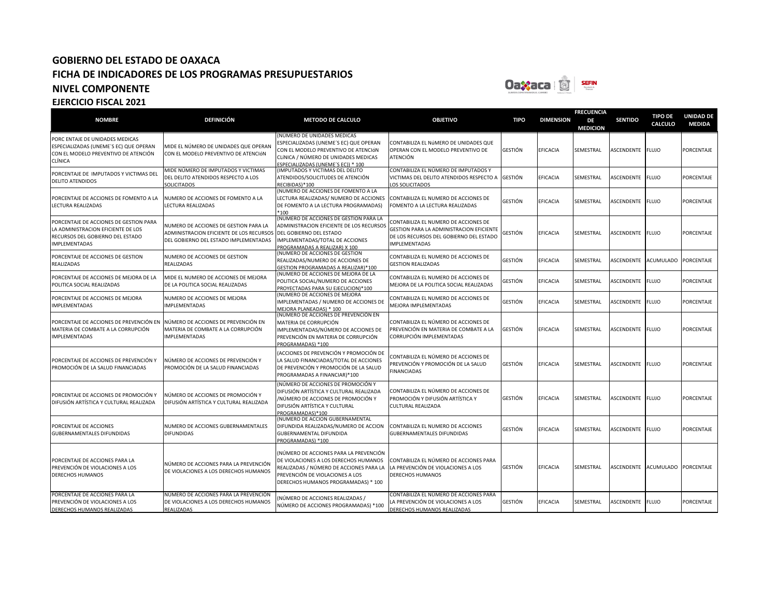

| <b>NOMBRE</b>                                                                                                                            | <b>DEFINICIÓN</b>                                                                                                          | <b>METODO DE CALCULO</b>                                                                                                                                                                            | <b>OBJETIVO</b>                                                                                                                                     | <b>TIPO</b>    | <b>DIMENSION</b> | <b>FRECUENCIA</b><br>DE<br><b>MEDICION</b> | <b>SENTIDO</b>   | <b>TIPO DE</b><br>CALCULO | <b>UNIDAD DE</b><br><b>MEDIDA</b> |
|------------------------------------------------------------------------------------------------------------------------------------------|----------------------------------------------------------------------------------------------------------------------------|-----------------------------------------------------------------------------------------------------------------------------------------------------------------------------------------------------|-----------------------------------------------------------------------------------------------------------------------------------------------------|----------------|------------------|--------------------------------------------|------------------|---------------------------|-----------------------------------|
| PORC ENTAJE DE UNIDADES MEDICAS<br>ESPECIALIZADAS (UNEME'S EC) QUE OPERAN<br>CON EL MODELO PREVENTIVO DE ATENCIÓN<br>CLÍNICA             | MIDE EL NÚMERO DE UNIDADES QUE OPERAN<br>CON EL MODELO PREVENTIVO DE ATENCIÓN                                              | NÚMERO DE UNIDADES MEDICAS<br>SPECIALIZADAS (UNEME'S EC) QUE OPERAN<br>CON EL MODELO PREVENTIVO DE ATENCIÓN<br>CLÍNICA / NÚMERO DE UNIDADES MEDICAS<br>SPECIALIZADAS (UNEME'S EC)) * 100            | CONTABILIZA EL NúMERO DE UNIDADES QUE<br>OPERAN CON EL MODELO PREVENTIVO DE<br><b>ATENCIÓN</b>                                                      | <b>GESTIÓN</b> | EFICACIA         | SEMESTRAL                                  | ASCENDENTE       | <b>FLUJO</b>              | PORCENTAJE                        |
| PORCENTAJE DE IMPUTADOS Y VICTIMAS DEL<br><b>DELITO ATENDIDOS</b>                                                                        | MIDE NÚMERO DE IMPUTADOS Y VICTIMAS<br>DEL DELITO ATENDIDOS RESPECTO A LOS<br><b>SOLICITADOS</b>                           | IMPUTADOS Y VICTIMAS DEL DELITO<br>ATENDIDOS/SOLICITUDES DE ATENCIÓN<br>RECIBIDAS)*100                                                                                                              | CONTABILIZA EL NÚMERO DE IMPUTADOS Y<br>VICTIMAS DEL DELITO ATENDIDOS RESPECTO A<br>LOS SOLICITADOS                                                 | <b>GESTIÓN</b> | EFICACIA         | SEMESTRAL                                  | ASCENDENTE       | <b>FLUJO</b>              | PORCENTAJE                        |
| PORCENTAJE DE ACCIONES DE FOMENTO A LA<br>LECTURA REALIZADAS                                                                             | NUMERO DE ACCIONES DE FOMENTO A LA<br>LECTURA REALIZADAS                                                                   | NUMERO DE ACCIONES DE FOMENTO A LA<br>ECTURA REALIZADAS/ NUMERO DE ACCIONES<br>DE FOMENTO A LA LECTURA PROGRAMADAS)<br>$*100$                                                                       | CONTABILIZA EL NUMERO DE ACCIONES DE<br>FOMENTO A LA LECTURA REALIZADAS                                                                             | <b>GESTIÓN</b> | EFICACIA         | SEMESTRAL                                  | ASCENDENTE       | <b>FLUJO</b>              | PORCENTAJE                        |
| PORCENTAJE DE ACCIONES DE GESTION PARA<br>LA ADMINISTRACION EFICIENTE DE LOS<br>RECURSOS DEL GOBIERNO DEL ESTADO<br><b>IMPLEMENTADAS</b> | NUMERO DE ACCIONES DE GESTION PARA LA<br>ADMINISTRACION EFICIENTE DE LOS RECURSOS<br>DEL GOBIERNO DEL ESTADO IMPLEMENTADAS | NUMERO DE ACCIONES DE GESTION PARA LA<br>ADMINISTRACION EFICIENTE DE LOS RECURSOS<br>DEL GOBIERNO DEL ESTADO<br>IMPLEMENTADAS/TOTAL DE ACCIONES<br>ROGRAMADAS A REALIZAR) X 100                     | CONTABILIZA EL NUMERO DE ACCIONES DE<br>GESTION PARA LA ADMINISTRACION EFICIENTE<br>DE LOS RECURSOS DEL GOBIERNO DEL ESTADO<br><b>IMPLEMENTADAS</b> | <b>GESTIÓN</b> | EFICACIA         | SEMESTRAL                                  | ASCENDENTE       | <b>FLUJO</b>              | PORCENTAJE                        |
| PORCENTAJE DE ACCIONES DE GESTION<br>REALIZADAS                                                                                          | NUMERO DE ACCIONES DE GESTION<br>REALIZADAS                                                                                | NUMERO DE ACCIONES DE GESTION<br>REALIZADAS/NUMERO DE ACCIONES DE<br>GESTION PROGRAMADAS A REALIZAR)*100                                                                                            | CONTABILIZA EL NUMERO DE ACCIONES DE<br><b>GESTION REALIZADAS</b>                                                                                   | <b>GESTIÓN</b> | EFICACIA         | SEMESTRAL                                  | ASCENDENTE       | <b>ACUMULADO</b>          | PORCENTAJE                        |
| PORCENTAJE DE ACCIONES DE MEJORA DE LA<br>POLITICA SOCIAL REALIZADAS                                                                     | MIDE EL NUMERO DE ACCIONES DE MEJORA<br>DE LA POLITICA SOCIAL REALIZADAS                                                   | NUMERO DE ACCIONES DE MEJORA DE LA<br>POLITICA SOCIAL/NUMERO DE ACCIONES<br>PROYECTADAS PARA SU EJECUCION)*100                                                                                      | CONTABILIZA EL NUMERO DE ACCIONES DE<br>MEJORA DE LA POLITICA SOCIAL REALIZADAS                                                                     | GESTIÓN        | EFICACIA         | SEMESTRAL                                  | ASCENDENTE FLUJO |                           | PORCENTAJE                        |
| PORCENTAJE DE ACCIONES DE MEJORA<br><b>IMPLEMENTADAS</b>                                                                                 | NUMERO DE ACCIONES DE MEJORA<br><b>IMPLEMENTADAS</b>                                                                       | NUMERO DE ACCIONES DE MEJORA<br>MPLEMENTADAS / NUMERO DE ACCIONES DE<br><b>MEJORA PLANEADAS) * 100</b>                                                                                              | CONTABILIZA EL NUMERO DE ACCIONES DE<br>MEJORA IMPLEMENTADAS                                                                                        | <b>GESTIÓN</b> | EFICACIA         | SEMESTRAL                                  | ASCENDENTE       | <b>FLUJO</b>              | PORCENTAJE                        |
| PORCENTAJE DE ACCIONES DE PREVENCIÓN EN<br>MATERIA DE COMBATE A LA CORRUPCIÓN<br><b>IMPLEMENTADAS</b>                                    | NÚMERO DE ACCIONES DE PREVENCIÓN EN<br>MATERIA DE COMBATE A LA CORRUPCIÓN<br><b>IMPLEMENTADAS</b>                          | NÚMERO DE ACCIONES DE PREVENCIÓN EN<br>MATERIA DE CORRUPCIÓN<br>IMPLEMENTADAS/NÚMERO DE ACCIONES DE<br>PREVENCIÓN EN MATERIA DE CORRUPCIÓN<br>PROGRAMADAS) *100                                     | CONTABILIZA EL NÚMERO DE ACCIONES DE<br>PREVENCIÓN EN MATERIA DE COMBATE A LA<br>CORRUPCIÓN IMPLEMENTADAS                                           | <b>GESTIÓN</b> | EFICACIA         | SEMESTRAL                                  | ASCENDENTE       | <b>FLUJO</b>              | PORCENTAJE                        |
| PORCENTAJE DE ACCIONES DE PREVENCIÓN Y<br>PROMOCIÓN DE LA SALUD FINANCIADAS                                                              | NÚMERO DE ACCIONES DE PREVENCIÓN Y<br>PROMOCIÓN DE LA SALUD FINANCIADAS                                                    | ACCIONES DE PREVENCIÓN Y PROMOCIÓN DE<br>LA SALUD FINANCIADAS/TOTAL DE ACCIONES<br>DE PREVENCIÓN Y PROMOCIÓN DE LA SALUD<br>PROGRAMADAS A FINANCIAR)*100                                            | CONTABILIZA EL NÚMERO DE ACCIONES DE<br>PREVENCIÓN Y PROMOCIÓN DE LA SALUD<br><b>FINANCIADAS</b>                                                    | <b>GESTIÓN</b> | <b>FFICACIA</b>  | SEMESTRAL                                  | ASCENDENTE       | <b>FLUJO</b>              | <b>PORCENTAJE</b>                 |
| PORCENTAJE DE ACCIONES DE PROMOCIÓN Y<br>DIFUSIÓN ARTÍSTICA Y CULTURAL REALIZADA                                                         | NÚMERO DE ACCIONES DE PROMOCIÓN Y<br>DIFUSIÓN ARTÍSTICA Y CULTURAL REALIZADA                                               | NÚMERO DE ACCIONES DE PROMOCIÓN Y<br>DIFUSIÓN ARTÍSTICA Y CULTURAL REALIZADA<br>/NÚMERO DE ACCIONES DE PROMOCIÓN Y<br>DIFUSIÓN ARTÍSTICA Y CULTURAL<br>ROGRAMADAS)*100                              | CONTABILIZA EL NÚMERO DE ACCIONES DE<br>PROMOCIÓN Y DIFUSIÓN ARTÍSTICA Y<br>CULTURAL REALIZADA                                                      | <b>GESTIÓN</b> | EFICACIA         | SEMESTRAL                                  | ASCENDENTE       | <b>FLUJO</b>              | PORCENTAJE                        |
| PORCENTAJE DE ACCIONES<br><b>GUBERNAMENTALES DIFUNDIDAS</b>                                                                              | NUMERO DE ACCIONES GUBERNAMENTALES<br><b>DIFUNDIDAS</b>                                                                    | (NUMERO DE ACCION GUBERNAMENTAL<br>DIFUNDIDA REALIZADAS/NUMERO DE ACCION<br>GUBERNAMENTAL DIFUNDIDA<br>ROGRAMADAS) *100                                                                             | CONTABILIZA EL NUMERO DE ACCIONES<br><b>GUBERNAMENTALES DIFUNDIDAS</b>                                                                              | <b>GESTIÓN</b> | EFICACIA         | SEMESTRAL                                  | ASCENDENTE       | <b>FLUJO</b>              | PORCENTAJE                        |
| PORCENTAJE DE ACCIONES PARA LA<br>PREVENCIÓN DE VIOLACIONES A LOS<br><b>DERECHOS HUMANOS</b>                                             | NÚMERO DE ACCIONES PARA LA PREVENCIÓN<br>DE VIOLACIONES A LOS DERECHOS HUMANOS                                             | NÚMERO DE ACCIONES PARA LA PREVENCIÓN<br>DE VIOLACIONES A LOS DERECHOS HUMANOS<br>REALIZADAS / NÚMERO DE ACCIONES PARA LA<br>PREVENCIÓN DE VIOLACIONES A LOS<br>DERECHOS HUMANOS PROGRAMADAS) * 100 | CONTABILIZA EL NÚMERO DE ACCIONES PARA<br>LA PREVENCIÓN DE VIOLACIONES A LOS<br><b>DERECHOS HUMANOS</b>                                             | <b>GESTIÓN</b> | EFICACIA         | SEMESTRAL                                  | ASCENDENTE       | ACUMULADO                 | PORCENTAJE                        |
| PORCENTAJE DE ACCIONES PARA LA<br>PREVENCIÓN DE VIOLACIONES A LOS<br>DERECHOS HUMANOS REALIZADAS                                         | NÚMERO DE ACCIONES PARA LA PREVENCIÓN<br>DE VIOLACIONES A LOS DERECHOS HUMANOS<br>REALIZADAS                               | NÚMERO DE ACCIONES REALIZADAS /<br>NÚMERO DE ACCIONES PROGRAMADAS) *100                                                                                                                             | CONTABILIZA EL NÚMERO DE ACCIONES PARA<br>LA PREVENCIÓN DE VIOLACIONES A LOS<br>DERECHOS HUMANOS REALIZADAS                                         | <b>GESTIÓN</b> | EFICACIA         | SEMESTRAL                                  | ASCENDENTE FLUJO |                           | PORCENTAJE                        |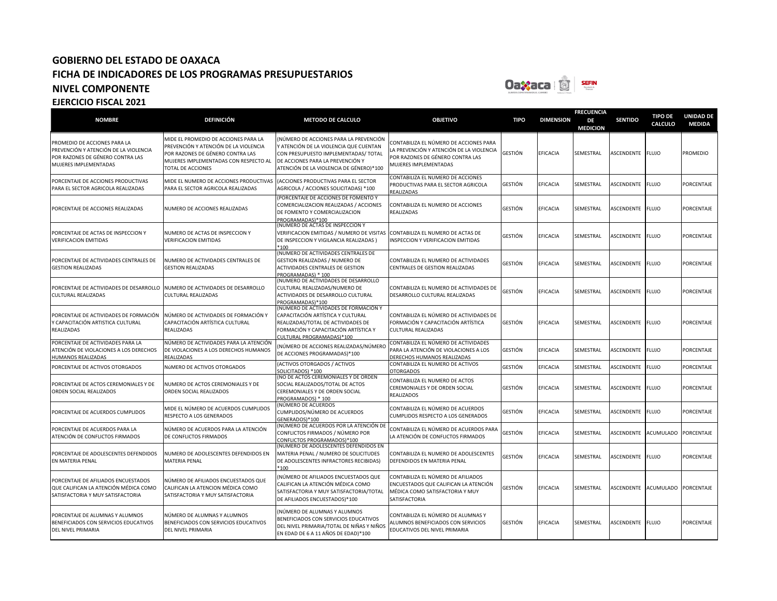

### **NOMBRE DEFINICIÓN METODO DE CALCULO OBJETIVO TIPO DIMENSION FRECUENCIA DE MEDICION SENTIDO TIPO DE CALCULO UNIDAD DE MEDIDA** PROMEDIO DE ACCIONES PARA LA PREVENCIÓN Y ATENCIÓN DE LA VIOLENCIA POR RAZONES DE GÉNERO CONTRA LAS MUJERES IMPLEMENTADAS MIDE EL PROMEDIO DE ACCIONES PARA LA PREVENCIÓN Y ATENCIÓN DE LA VIOLENCIA POR RAZONES DE GÉNERO CONTRA LAS MUJERES IMPLEMENTADAS CON RESPECTO AL TOTAL DE ACCIONES (NÚMERO DE ACCIONES PARA LA PREVENCIÓN Y ATENCIÓN DE LA VIOLENCIA QUE CUENTAN CON PRESUPUESTO IMPLEMENTADAS/ TOTAL DE ACCIONES PARA LA PREVENCIÓN Y ATENCIÓN DE LA VIOLENCIA DE GÉNERO)\*100 CONTABILIZA EL NÚMERO DE ACCIONES PARA LA PREVENCIÓN Y ATENCIÓN DE LA VIOLENCIA POR RAZONES DE GÉNERO CONTRA LAS MUJERES IMPLEMENTADAS GESTIÓN EFICACIA SEMESTRAL ASCENDENTE FLUJO PROMEDIO PORCENTAJE DE ACCIONES PRODUCTIVAS PARA EL SECTOR AGRICOLA REALIZADAS MIDE EL NUMERO DE ACCIONES PRODUCTIVAS PARA EL SECTOR AGRICOLA REALIZADAS (ACCIONES PRODUCTIVAS PARA EL SECTOR AGRICOLA / ACCIONES SOLICITADAS) \*100 CONTABILIZA EL NUMERO DE ACCIONES PRODUCTIVAS PARA EL SECTOR AGRICOLA **FALIZADAS** GESTIÓN EFICACIA SEMESTRAL ASCENDENTE FLUJO PORCENTAJE PORCENTAJE DE ACCIONES REALIZADAS NUMERO DE ACCIONES REALIZADAS (PORCENTAJE DE ACCIONES DE FOMENTO Y COMERCIALIZACION REALIZADAS / ACCIONES DE FOMENTO Y COMERCIALIZACION PROGRAMADAS)\*100 CONTABILIZA EL NUMERO DE ACCIONES REALIZADAS GESTIÓN EFICACIA SEMESTRAL ASCENDENTE FLUJO PORCENTAJE PORCENTAJE DE ACTAS DE INSPECCION Y VERIFICACION EMITIDAS NUMERO DE ACTAS DE INSPECCION Y VERIFICACION EMITIDAS (NUMERO DE ACTAS DE INSPECCION Y VERIFICACION EMITIDAS / NUMERO DE VISITAS DE INSPECCION Y VIGILANCIA REALIZADAS ) \*100 CONTABILIZA EL NUMERO DE ACTAS DE INSPECCION Y VERIFICACION EMITIDAS GESTIÓN EFICACIA SEMESTRAL ASCENDENTE FLUJO PORCENTAJE PORCENTAJE DE ACTIVIDADES CENTRALES DE GESTION REALIZADAS NUMERO DE ACTIVIDADES CENTRALES DE GESTION REALIZADAS (NUMERO DE ACTIVIDADES CENTRALES DE GESTION REALIZADAS / NUMERO DE ACTIVIDADES CENTRALES DE GESTION PROGRAMADAS) \* 100 CONTABILIZA EL NUMERO DE ACTIVIDADES CENTRALES DE GESTION REALIZADAS GESTIÓN EFICACIA SEMESTRAL ASCENDENTE FLUJO PORCENTAJE PORCENTAJE DE ACTIVIDADES DE DESARROLLO CULTURAL REALIZADAS NUMERO DE ACTIVIDADES DE DESARROLLO CULTURAL REALIZADAS (NUMERO DE ACTIVIDADES DE DESARROLLO CULTURAL REALIZADAS/NUMERO DE ACTIVIDADES DE DESARROLLO CULTURAL PROGRAMADAS)\*100 CONTABILIZA EL NUMERO DE ACTIVIDADES DE DESARROLLO CULTURAL REALIZADAS GESTIÓN EFICACIA SEMESTRAL ASCENDENTE FLUJO PORCENTAJE PORCENTAJE DE ACTIVIDADES DE FORMACIÓN Y CAPACITACIÓN ARTISTICA CULTURAL REALIZADAS NÚMERO DE ACTIVIDADES DE FORMACIÓN Y CAPACITACIÓN ARTÍSTICA CULTURAL REALIZADAS **NÚMERO DE ACTIVIDADES DE FORMACIÓN Y** CAPACITACIÓN ARTÍSTICA Y CULTURAL REALIZADAS/TOTAL DE ACTIVIDADES DE FORMACIÓN Y CAPACITACIÓN ARTÍSTICA Y CULTURAL PROGRAMADAS)\*100 CONTABILIZA EL NÚMERO DE ACTIVIDADES DE FORMACIÓN Y CAPACITACIÓN ARTÍSTICA CULTURAL REALIZADAS GESTIÓN EFICACIA SEMESTRAL ASCENDENTE FLUJO PORCENTAJE PORCENTAJE DE ACTIVIDADES PARA LA ATENCIÓN DE VIOLACIONES A LOS DERECHOS HUMANOS REALIZADAS NÚMERO DE ACTIVIDADES PARA LA ATENCIÓN DE VIOLACIONES A LOS DERECHOS HUMANOS REALIZADAS (NÚMERO DE ACCIONES REALIZADAS/NÚMERO DE ACCIONES PROGRAMADAS)\*100 CONTABILIZA EL NÚMERO DE ACTIVIDADES PARA LA ATENCIÓN DE VIOLACIONES A LOS DERECHOS HUMANOS REALIZADAS GESTIÓN EFICACIA SEMESTRAL ASCENDENTE FLUJO PORCENTAJE PORCENTAJE DE ACTIVOS OTORGADOS NúMERO DE ACTIVOS OTORGADOS (ACTIVOS OTORGADOS / ACTIVOS SOLICITADOS) \*100 CONTABILIZA EL NUMERO DE ACTIVOS **TORGADOS** GESTIÓN EFICACIA SEMESTRAL ASCENDENTE FLUJO PORCENTAJE PORCENTAJE DE ACTOS CEREMONIALES Y DE ORDEN SOCIAL REALIZADOS NUMERO DE ACTOS CEREMONIALES Y DE ORDEN SOCIAL REALIZADOS (NO DE ACTOS CEREMONIALES Y DE ORDEN SOCIAL REALIZADOS/TOTAL DE ACTOS CEREMONIALES Y DE ORDEN SOCIAL PROGRAMADOS) \* 100 CONTABILIZA EL NUMERO DE ACTOS CEREMONIALES Y DE ORDEN SOCIAL REALIZADOS GESTIÓN EFICACIA SEMESTRAL ASCENDENTE FLUJO PORCENTAJE PORCENTAJE DE ACUERDOS CUMPLIDOS MIDE EL NÚMERO DE ACUERDOS CUMPLIDOS RESPECTO A LOS GENERADOS (NÚMERO DE ACUERDOS CUMPLIDOS/NÚMERO DE ACUERDOS GENERADOS)\*100 CONTABILIZA EL NÚMERO DE ACUERDOS CUMPLIDOS RESPECTO A LOS GENERADOS GESTIÓN EFICACIA SEMESTRAL ASCENDENTE FLUJO PORCENTAJE PORCENTAJE DE ACUERDOS PARA LA ATENCIÓN DE CONFLICTOS FIRMADOS NÚMERO DE ACUERDOS PARA LA ATENCIÓN DE CONFLICTOS FIRMADOS (NÚMERO DE ACUERDOS POR LA ATENCIÓN DE CONFLICTOS FIRMADOS / NÚMERO POR CONFLICTOS PROGRAMADOS)\*100 CONTABILIZA EL NÚMERO DE ACUERDOS PARA LONTABILIZA EL NOMERO DE ACOERDOS PARA GESTIÓN EFICACIA SEMESTRAL ASCENDENTE ACUMULADO PORCENTAJE PORCENTAJE DE ADOLESCENTES DEFENDIDOS EN MATERIA PENAL NUMERO DE ADOLESCENTES DEFENDIDOS EN MATERIA PENAL (NUMERO DE ADOLESCENTES DEFENDIDOS EN MATERIA PENAL / NUMERO DE SOLICITUDES DE ADOLESCENTES INFRACTORES RECIBIDAS) \*100 CONTABILIZA EL NUMERO DE ADOLESCENTES DEFENDIDOS EN MATERIA PENAL GESTIÓN EFICACIA SEMESTRAL ASCENDENTE FLUJO PORCENTAJE PORCENTAJE DE AFILIADOS ENCUESTADOS QUE CALIFICAN LA ATENCIÓN MÉDICA COMO SATISFACTORIA Y MUY SATISFACTORIA NÚMERO DE AFILIADOS ENCUESTADOS QUE CALIFICAN LA ATENCION MÉDICA COMO SATISFACTORIA Y MUY SATISFACTORIA (NÚMERO DE AFILIADOS ENCUESTADOS QUE CALIFICAN LA ATENCIÓN MÉDICA COMO SATISFACTORIA Y MUY SATISFACTORIA/TOTAL DE AFILIADOS ENCUESTADOS)\*100 CONTABILIZA EL NÚMERO DE AFILIADOS ENCUESTADOS QUE CALIFICAN LA ATENCIÓN MÉDICA COMO SATISFACTORIA Y MUY **SATISFACTORIA** GESTIÓN EFICACIA SEMESTRAL ASCENDENTE ACUMULADO PORCENTAJE PORCENTAJE DE ALUMNAS Y ALUMNOS BENEFICIADOS CON SERVICIOS EDUCATIVOS DEL NIVEL PRIMARIA NÚMERO DE ALUMNAS Y ALUMNOS BENEFICIADOS CON SERVICIOS EDUCATIVOS DEL NIVEL PRIMARIA (NÚMERO DE ALUMNAS Y ALUMNOS BENEFICIADOS CON SERVICIOS EDUCATIVOS DEL NIVEL PRIMARIA/TOTAL DE NIÑAS Y NIÑOS EN EDAD DE 6 A 11 AÑOS DE EDAD)\*100 CONTABILIZA EL NÚMERO DE ALUMNAS Y ALUMNOS BENEFICIADOS CON SERVICIOS EDUCATIVOS DEL NIVEL PRIMARIA GESTIÓN EFICACIA SEMESTRAL ASCENDENTE FLUJO PORCENTAJE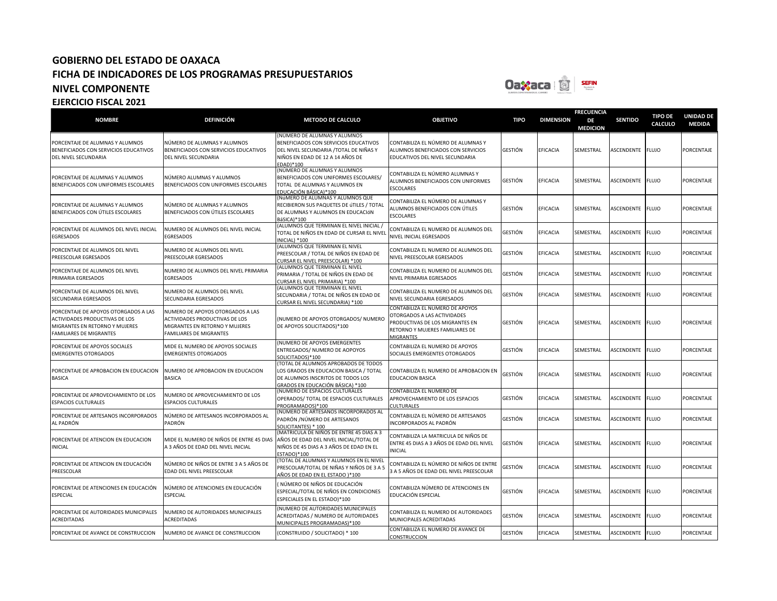

| <b>NOMBRE</b>                                                                                                                              | <b>DEFINICIÓN</b>                                                                                                                      | <b>METODO DE CALCULO</b>                                                                                                                                          | <b>OBJETIVO</b>                                                                                                                                          | <b>TIPO</b> | <b>DIMENSION</b> | <b>FRECUENCIA</b><br>DE<br><b>MEDICION</b> | <b>SENTIDO</b>   | <b>TIPO DE</b><br><b>CALCULO</b> | <b>UNIDAD DE</b><br><b>MEDIDA</b> |
|--------------------------------------------------------------------------------------------------------------------------------------------|----------------------------------------------------------------------------------------------------------------------------------------|-------------------------------------------------------------------------------------------------------------------------------------------------------------------|----------------------------------------------------------------------------------------------------------------------------------------------------------|-------------|------------------|--------------------------------------------|------------------|----------------------------------|-----------------------------------|
| PORCENTAJE DE ALUMNAS Y ALUMNOS<br>BENEFICIADOS CON SERVICIOS EDUCATIVOS<br>DEL NIVEL SECUNDARIA                                           | NÚMERO DE ALUMNAS Y ALUMNOS<br>BENEFICIADOS CON SERVICIOS EDUCATIVOS<br>DEL NIVEL SECUNDARIA                                           | (NÚMERO DE ALUMNAS Y ALUMNOS<br>BENEFICIADOS CON SERVICIOS EDUCATIVOS<br>DEL NIVEL SECUNDARIA / TOTAL DE NIÑAS Y<br>NIÑOS EN EDAD DE 12 A 14 AÑOS DE<br>EDAD)*100 | CONTABILIZA EL NÚMERO DE ALUMNAS Y<br>ALUMNOS BENEFICIADOS CON SERVICIOS<br>EDUCATIVOS DEL NIVEL SECUNDARIA                                              | GESTIÓN     | EFICACIA         | SEMESTRAL                                  | ASCENDENTE       | <b>FLUJO</b>                     | <b>PORCENTAJE</b>                 |
| PORCENTAJE DE ALUMNAS Y ALUMNOS<br>BENEFICIADOS CON UNIFORMES ESCOLARES                                                                    | NÚMERO ALUMNAS Y ALUMNOS<br>BENEFICIADOS CON UNIFORMES ESCOLARES                                                                       | (NÚMERO DE ALUMNAS Y ALUMNOS<br>BENEFICIADOS CON UNIFORMES ESCOLARES/<br>TOTAL DE ALUMNAS Y ALUMNOS EN<br>EDUCACIÓN BÁSICA)*100                                   | CONTABILIZA EL NÚMERO ALUMNAS Y<br>ALUMNOS BENEFICIADOS CON UNIFORMES<br><b>ESCOLARES</b>                                                                | GESTIÓN     | EFICACIA         | SEMESTRAL                                  | ASCENDENTE       | <b>FLUJO</b>                     | PORCENTAJE                        |
| PORCENTAJE DE ALUMNAS Y ALUMNOS<br>BENEFICIADOS CON ÚTILES ESCOLARES                                                                       | NÚMERO DE ALUMNAS Y ALUMNOS<br>BENEFICIADOS CON ÚTILES ESCOLARES                                                                       | (NÚMERO DE ALUMNAS Y ALUMNOS QUE<br>RECIBIERON SUS PAQUETES DE ÚTILES / TOTAL<br>DE ALUMNAS Y ALUMNOS EN EDUCACIÓN<br>BáSICA)*100                                 | CONTABILIZA EL NÚMERO DE ALUMNAS Y<br>ALUMNOS BENEFICIADOS CON ÚTILES<br><b>ESCOLARES</b>                                                                | GESTIÓN     | EFICACIA         | SEMESTRAL                                  | ASCENDENTE FLUJO |                                  | <b>PORCENTAJE</b>                 |
| PORCENTAJE DE ALUMNOS DEL NIVEL INICIAL<br>EGRESADOS                                                                                       | NUMERO DE ALUMNOS DEL NIVEL INICIAL<br>EGRESADOS                                                                                       | (ALUMNOS QUE TERMINAN EL NIVEL INICIAL /<br>TOTAL DE NIÑOS EN EDAD DE CURSAR EL NIVEL<br>INICIAL) *100                                                            | CONTABILIZA EL NUMERO DE ALUMNOS DEL<br>NIVEL INICIAL EGRESADOS                                                                                          | GESTIÓN     | EFICACIA         | SEMESTRAL                                  | ASCENDENTE       | <b>FLUJO</b>                     | PORCENTAJE                        |
| PORCENTAJE DE ALUMNOS DEL NIVEL<br>PREESCOLAR EGRESADOS                                                                                    | NUMERO DE ALUMNOS DEL NIVEL<br>PREESCOLAR EGRESADOS                                                                                    | (ALUMNOS QUE TERMINAN EL NIVEL<br>PREESCOLAR / TOTAL DE NIÑOS EN EDAD DE<br>CURSAR EL NIVEL PREESCOLAR) *100                                                      | CONTABILIZA EL NUMERO DE ALUMNOS DEL<br>NIVEL PREESCOLAR EGRESADOS                                                                                       | GESTIÓN     | EFICACIA         | SEMESTRAL                                  | ASCENDENTE       | <b>FLUJO</b>                     | <b>PORCENTAJE</b>                 |
| PORCENTAJE DE ALUMNOS DEL NIVEL<br>PRIMARIA EGRESADOS                                                                                      | NUMERO DE ALUMNOS DEL NIVEL PRIMARIA<br><b>EGRESADOS</b>                                                                               | (ALUMNOS QUE TERMINAN EL NIVEL<br>PRIMARIA / TOTAL DE NIÑOS EN EDAD DE<br>CURSAR EL NIVEL PRIMARIA) *100                                                          | CONTABILIZA EL NUMERO DE ALUMNOS DEL<br>NIVEL PRIMARIA EGRESADOS                                                                                         | GESTIÓN     | EFICACIA         | SEMESTRAL                                  | ASCENDENTE       | <b>FLUJO</b>                     | PORCENTAJE                        |
| PORCENTAJE DE ALUMNOS DEL NIVEL<br>SECUNDARIA EGRESADOS                                                                                    | NUMERO DE ALUMNOS DEL NIVEL<br>SECUNDARIA EGRESADOS                                                                                    | (ALUMNOS QUE TERMINAN EL NIVEL<br>SECUNDARIA / TOTAL DE NIÑOS EN EDAD DE<br>CURSAR EL NIVEL SECUNDARIA) *100                                                      | CONTABILIZA EL NUMERO DE ALUMNOS DEL<br>NIVEL SECUNDARIA EGRESADOS                                                                                       | GESTIÓN     | EFICACIA         | SEMESTRAL                                  | ASCENDENTE       | <b>FLUJO</b>                     | <b>PORCENTAJE</b>                 |
| PORCENTAJE DE APOYOS OTORGADOS A LAS<br><b>ACTIVIDADES PRODUCTIVAS DE LOS</b><br>MIGRANTES EN RETORNO Y MUJERES<br>FAMILIARES DE MIGRANTES | NUMERO DE APOYOS OTORGADOS A LAS<br>ACTIVIDADES PRODUCTIVAS DE LOS<br>MIGRANTES EN RETORNO Y MUJERES<br><b>FAMILIARES DE MIGRANTES</b> | (NUMERO DE APOYOS OTORGADOS/ NUMERO<br>DE APOYOS SOLICITADOS)*100                                                                                                 | CONTABILIZA EL NUMERO DE APOYOS<br>OTORGADOS A LAS ACTIVIDADES<br>PRODUCTIVAS DE LOS MIGRANTES EN<br>RETORNO Y MUJERES FAMILIARES DE<br><b>MIGRANTES</b> | GESTIÓN     | EFICACIA         | SEMESTRAL                                  | ASCENDENTE FLUJO |                                  | PORCENTAJE                        |
| PORCENTAJE DE APOYOS SOCIALES<br><b>EMERGENTES OTORGADOS</b>                                                                               | MIDE EL NUMERO DE APOYOS SOCIALES<br><b>EMERGENTES OTORGADOS</b>                                                                       | <b>(NUMERO DE APOYOS EMERGENTES</b><br>ENTREGADOS/ NUMERO DE AOPOYOS<br>SOLICITADOS)*100                                                                          | CONTABILIZA EL NUMERO DE APOYOS<br>SOCIALES EMERGENTES OTORGADOS                                                                                         | GESTIÓN     | <b>EFICACIA</b>  | SEMESTRAL                                  | ASCENDENTE       | <b>FLUJO</b>                     | PORCENTAJE                        |
| PORCENTAJE DE APROBACION EN EDUCACION<br>BASICA                                                                                            | NUMERO DE APROBACION EN EDUCACION<br><b>BASICA</b>                                                                                     | (TOTAL DE ALUMNOS APROBADOS DE TODOS<br>LOS GRADOS EN EDUCACION BASICA / TOTAL<br>DE ALUMNOS INSCRITOS DE TODOS LOS<br>GRADOS EN EDUCACIÓN BÁSICA) *100           | CONTABILIZA EL NUMERO DE APROBACION EN<br><b>EDUCACION BASICA</b>                                                                                        | GESTIÓN     | <b>EFICACIA</b>  | SEMESTRAL                                  | ASCENDENTE FLUJO |                                  | PORCENTAJE                        |
| PORCENTAJE DE APROVECHAMIENTO DE LOS<br>ESPACIOS CULTURALES                                                                                | NUMERO DE APROVECHAMIENTO DE LOS<br><b>ESPACIOS CULTURALES</b>                                                                         | (NUMERO DE ESPACIOS CULTURALES<br>OPERADOS/ TOTAL DE ESPACIOS CULTURALES<br>PROGRAMADOS)*100                                                                      | CONTABILIZA EL NUMERO DE<br>APROVECHAMIENTO DE LOS ESPACIOS<br><b>CULTURALES</b>                                                                         | GESTIÓN     | EFICACIA         | SEMESTRAL                                  | ASCENDENTE       | <b>FLUJO</b>                     | <b>PORCENTAJE</b>                 |
| PORCENTAJE DE ARTESANOS INCORPORADOS<br>AL PADRÓN                                                                                          | NÚMERO DE ARTESANOS INCORPORADOS AL<br>PADRÓN                                                                                          | (NÚMERO DE ARTESANOS INCORPORADOS AL<br>PADRÓN /NÚMERO DE ARTESANOS<br>SOLICITANTES) * 100                                                                        | CONTABILIZA EL NÚMERO DE ARTESANOS<br>INCORPORADOS AL PADRÓN                                                                                             | GESTIÓN     | EFICACIA         | SEMESTRAL                                  | ASCENDENTE       | <b>FLUJO</b>                     | PORCENTAJE                        |
| PORCENTAJE DE ATENCION EN EDUCACION<br>NICIAL                                                                                              | MIDE EL NUMERO DE NIÑOS DE ENTRE 45 DIAS<br>A 3 AÑOS DE EDAD DEL NIVEL INICIAL                                                         | (MATRICULA DE NIÑOS DE ENTRE 45 DIAS A 3<br>AÑOS DE EDAD DEL NIVEL INICIAL/TOTAL DE<br>NIÑOS DE 45 DIAS A 3 AÑOS DE EDAD EN EL<br>ESTADO)*100                     | CONTABILIZA LA MATRICULA DE NIÑOS DE<br>ENTRE 45 DIAS A 3 AÑOS DE EDAD DEL NIVEL<br><b>INICIAL</b>                                                       | GESTIÓN     | <b>EFICACIA</b>  | SEMESTRAL                                  | ASCENDENTE FLUJO |                                  | PORCENTAJE                        |
| PORCENTAJE DE ATENCION EN EDUCACIÓN<br>PREESCOLAR                                                                                          | NÚMERO DE NIÑOS DE ENTRE 3 A 5 AÑOS DE<br>EDAD DEL NIVEL PREESCOLAR                                                                    | TOTAL DE ALUMNAS Y ALUMNOS EN EL NIVEL<br>PRESCOLAR/TOTAL DE NIÑAS Y NIÑOS DE 3 A 5<br>AÑOS DE EDAD EN EL ESTADO )*100                                            | CONTABILIZA EL NÚMERO DE NIÑOS DE ENTRE<br>3 A 5 AÑOS DE EDAD DEL NIVEL PREESCOLAR                                                                       | GESTIÓN     | EFICACIA         | SEMESTRAL                                  | ASCENDENTE FLUJO |                                  | <b>PORCENTAJE</b>                 |
| PORCENTAJE DE ATENCIONES EN EDUCACIÓN<br>ESPECIAL                                                                                          | NÚMERO DE ATENCIONES EN EDUCACIÓN<br>ESPECIAL                                                                                          | NÚMERO DE NIÑOS DE EDUCACIÓN<br>ESPECIAL/TOTAL DE NIÑOS EN CONDICIONES<br>ESPECIALES EN EL ESTADO)*100                                                            | CONTABILIZA NÚMERO DE ATENCIONES EN<br>EDUCACIÓN ESPECIAL                                                                                                | GESTIÓN     | EFICACIA         | SEMESTRAL                                  | ASCENDENTE       | <b>FLUJO</b>                     | PORCENTAJE                        |
| PORCENTAJE DE AUTORIDADES MUNICIPALES<br><b>ACREDITADAS</b>                                                                                | NUMERO DE AUTORIDADES MUNICIPALES<br>ACREDITADAS                                                                                       | (NUMERO DE AUTORIDADES MUNICIPALES<br>ACREDITADAS / NUMERO DE AUTORIDADES<br>MUNICIPALES PROGRAMADAS)*100                                                         | CONTABILIZA EL NUMERO DE AUTORIDADES<br>MUNICIPALES ACREDITADAS                                                                                          | GESTIÓN     | EFICACIA         | SEMESTRAL                                  | ASCENDENTE       | <b>FLUJO</b>                     | PORCENTAJE                        |
| PORCENTAJE DE AVANCE DE CONSTRUCCION                                                                                                       | NUMERO DE AVANCE DE CONSTRUCCION                                                                                                       | (CONSTRUIDO / SOLICITADO) * 100                                                                                                                                   | CONTABILIZA EL NUMERO DE AVANCE DE<br>CONSTRUCCION                                                                                                       | GESTIÓN     | EFICACIA         | SEMESTRAL                                  | ASCENDENTE       | <b>FLUJO</b>                     | <b>PORCENTAJE</b>                 |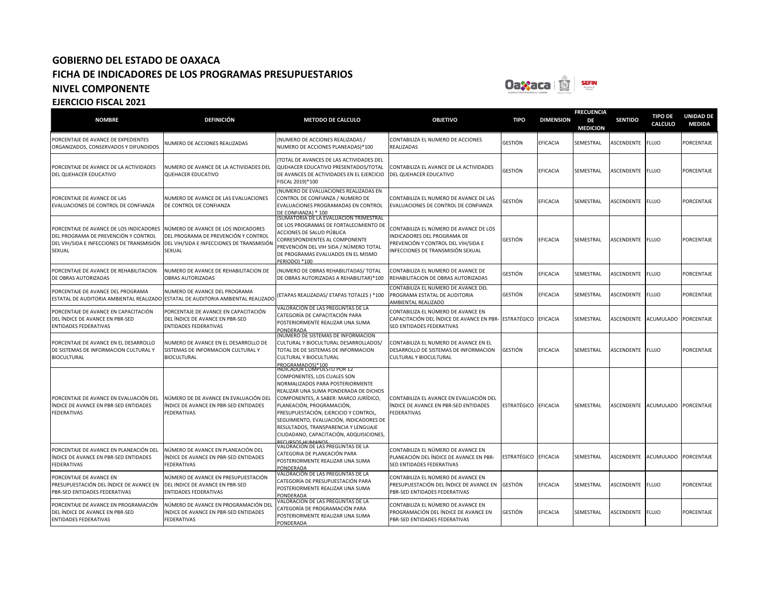

|                                                                                                                                        |                                                                                                                                    |                                                                                                                                                                                                                                                                                                                                                                           |                                                                                                                                                   |                |                  | <b>FRECUENCIA</b>     |                  |                                  |                                   |
|----------------------------------------------------------------------------------------------------------------------------------------|------------------------------------------------------------------------------------------------------------------------------------|---------------------------------------------------------------------------------------------------------------------------------------------------------------------------------------------------------------------------------------------------------------------------------------------------------------------------------------------------------------------------|---------------------------------------------------------------------------------------------------------------------------------------------------|----------------|------------------|-----------------------|------------------|----------------------------------|-----------------------------------|
| <b>NOMBRE</b>                                                                                                                          | <b>DEFINICIÓN</b>                                                                                                                  | <b>METODO DE CALCULO</b>                                                                                                                                                                                                                                                                                                                                                  | <b>OBJETIVO</b>                                                                                                                                   | <b>TIPO</b>    | <b>DIMENSION</b> | DE<br><b>MEDICION</b> | <b>SENTIDO</b>   | <b>TIPO DE</b><br><b>CALCULO</b> | <b>UNIDAD DE</b><br><b>MEDIDA</b> |
| PORCENTAJE DE AVANCE DE EXPEDIENTES<br>ORGANIZADOS, CONSERVADOS Y DIFUNDIDOS                                                           | NUMERO DE ACCIONES REALIZADAS                                                                                                      | NUMERO DE ACCIONES REALIZADAS /<br>NUMERO DE ACCIONES PLANEADAS)*100                                                                                                                                                                                                                                                                                                      | CONTABILIZA EL NUMERO DE ACCIONES<br>REALIZADAS                                                                                                   | GESTIÓN        | EFICACIA         | SEMESTRAL             | ASCENDENTE       | <b>FLUJO</b>                     | PORCENTAJE                        |
| PORCENTAJE DE AVANCE DE LA ACTIVIDADES<br>DEL QUEHACER EDUCATIVO                                                                       | NUMERO DE AVANCE DE LA ACTIVIDADES DEL<br>QUEHACER EDUCATIVO                                                                       | TOTAL DE AVANCES DE LAS ACTIVIDADES DEL<br>QUEHACER EDUCATIVO PRESENTADOS/TOTAL<br>DE AVANCES DE ACTIVIDADES EN EL EJERCICIO<br>FISCAL 2019)*100                                                                                                                                                                                                                          | CONTABILIZA EL AVANCE DE LA ACTIVIDADES<br>DEL QUEHACER EDUCATIVO                                                                                 | <b>GESTIÓN</b> | EFICACIA         | SEMESTRAL             | ASCENDENTE       | <b>FLUJO</b>                     | PORCENTAJE                        |
| PORCENTAJE DE AVANCE DE LAS<br>EVALUACIONES DE CONTROL DE CONFIANZA                                                                    | NUMERO DE AVANCE DE LAS EVALUACIONES<br>DE CONTROL DE CONFIANZA                                                                    | NUMERO DE EVALUACIONES REALIZADAS EN<br>CONTROL DE CONFIANZA / NUMERO DE<br>EVALUACIONES PROGRAMADAS EN CONTROL<br>DE CONFIANZA) * 100                                                                                                                                                                                                                                    | CONTABILIZA EL NUMERO DE AVANCE DE LAS<br>EVALUACIONES DE CONTROL DE CONFIANZA                                                                    | GESTIÓN        | EFICACIA         | SEMESTRAL             | ASCENDENTE       | <b>FLUJO</b>                     | PORCENTAJE                        |
| PORCENTAJE DE AVANCE DE LOS INDICADORES<br>DEL PROGRAMA DE PREVENCIÓN Y CONTROL<br>DEL VIH/SIDA E INFECCIONES DE TRANSMISIÓN<br>SEXUAL | NÚMERO DE AVANCE DE LOS INDICADORES<br>DEL PROGRAMA DE PREVENCIÓN Y CONTROL<br>DEL VIH/SIDA E INFECCIONES DE TRANSMISIÓN<br>SEXUAL | SUMATORIA DE LA EVALUACIÓN TRIMESTRAL<br>DE LOS PROGRAMAS DE FORTALECIMIENTO DE<br>ACCIONES DE SALUD PÚBLICA<br>CORRESPONDIENTES AL COMPONENTE<br>PREVENCIÓN DEL VIH SIDA / NÚMERO TOTAL<br>DE PROGRAMAS EVALUADOS EN EL MISMO<br>PERIODO) *100                                                                                                                           | CONTABILIZA EL NÚMERO DE AVANCE DE LOS<br>INDICADORES DEL PROGRAMA DE<br>PREVENCIÓN Y CONTROL DEL VIH/SIDA E<br>INFECCIONES DE TRANSMISIÓN SEXUAL | <b>GESTIÓN</b> | EFICACIA         | SEMESTRAL             | ASCENDENTE FLUJO |                                  | PORCENTAJE                        |
| PORCENTAJE DE AVANCE DE REHABILITACION<br>DE OBRAS AUTORIZADAS                                                                         | NUMERO DE AVANCE DE REHABILITACION DE<br><b>OBRAS AUTORIZADAS</b>                                                                  | NUMERO DE OBRAS REHABILITADAS/ TOTAL<br>DE OBRAS AUTORIZADAS A REHABILITAR)*100                                                                                                                                                                                                                                                                                           | CONTABILIZA EL NUMERO DE AVANCE DE<br>REHABILITACION DE OBRAS AUTORIZADAS                                                                         | <b>GESTIÓN</b> | EFICACIA         | SEMESTRAL             | ASCENDENTE       | <b>FLUJO</b>                     | PORCENTAJE                        |
| PORCENTAJE DE AVANCE DEL PROGRAMA<br>ESTATAL DE AUDITORIA AMBIENTAL REALIZADO                                                          | NUMERO DE AVANCE DEL PROGRAMA<br>ESTATAL DE AUDITORIA AMBIENTAL REALIZADO                                                          | ETAPAS REALIZADAS/ ETAPAS TOTALES ) *100                                                                                                                                                                                                                                                                                                                                  | CONTABILIZA EL NUMERO DE AVANCE DEL<br>PROGRAMA ESTATAL DE AUDITORIA<br>AMBIENTAL REALIZADO                                                       | <b>GESTIÓN</b> | EFICACIA         | SEMESTRAL             | ASCENDENTE       | <b>FLUJO</b>                     | PORCENTAJE                        |
| PORCENTAJE DE AVANCE EN CAPACITACIÓN<br>DEL ÍNDICE DE AVANCE EN PBR-SED<br><b>ENTIDADES FEDERATIVAS</b>                                | PORCENTAJE DE AVANCE EN CAPACITACIÓN<br>DEL ÍNDICE DE AVANCE EN PBR-SED<br><b>ENTIDADES FEDERATIVAS</b>                            | VALORACIÓN DE LAS PREGUNTAS DE LA<br>CATEGORÍA DE CAPACITACIÓN PARA<br>POSTERIORMENTE REALIZAR UNA SUMA<br>PONDERADA                                                                                                                                                                                                                                                      | CONTABILIZA EL NÚMERO DE AVANCE EN<br>CAPACITACIÓN DEL ÍNDICE DE AVANCE EN PBR- ESTRATÉGICO<br>SED ENTIDADES FEDERATIVAS                          |                | <b>EFICACIA</b>  | SEMESTRAL             | ASCENDENTE       | <b>ACUMULADO</b>                 | PORCENTAJE                        |
| PORCENTAJE DE AVANCE EN EL DESARROLLO<br>DE SISTEMAS DE INFORMACION CULTURAL Y<br><b>BIOCULTURAL</b>                                   | NUMERO DE AVANCE EN EL DESARROLLO DE<br>SISTEMAS DE INFORMACION CULTURAL Y<br><b>BIOCULTURAL</b>                                   | NUMERO DE SISTEMAS DE INFORMACION<br>CULTURAL Y BIOCULTURAL DESARROLLADOS/<br>TOTAL DE DE SISTEMAS DE INFORMACION<br>CULTURAL Y BIOCULTURAL<br>PROGRAMADOS)*100<br>INDICADOR COMPUESTO POR 12                                                                                                                                                                             | CONTABILIZA EL NUMERO DE AVANCE EN EL<br>DESARROLLO DE SISTEMAS DE INFORMACION<br>CULTURAL Y BIOCULTURAL                                          | <b>GESTIÓN</b> | EFICACIA         | SEMESTRAL             | ASCENDENTE       | <b>FLUJO</b>                     | PORCENTAJE                        |
| PORCENTAJE DE AVANCE EN EVALUACIÓN DEL<br>ÍNDICE DE AVANCE EN PBR-SED ENTIDADES<br><b>FEDERATIVAS</b>                                  | NÚMERO DE DE AVANCE EN EVALUACIÓN DEL<br>ÍNDICE DE AVANCE EN PBR-SED ENTIDADES<br><b>FEDERATIVAS</b>                               | COMPONENTES, LOS CUALES SON<br>NORMALIZADOS PARA POSTERIORMENTE<br>REALIZAR UNA SUMA PONDERADA DE DICHOS<br>COMPONENTES, A SABER: MARCO JURÍDICO,<br>PLANEACIÓN, PROGRAMACIÓN,<br>PRESUPUESTACIÓN, EJERCICIO Y CONTROL,<br>SEGUIMIENTO, EVALUACIÓN, INDICADORES DE<br>RESULTADOS, TRANSPARENCIA Y LENGUAJE<br>CIUDADANO, CAPACITACIÓN, ADQUISICIONES,<br>RECURSOS HUMANOS | CONTABILIZA EL AVANCE EN EVALUACIÓN DEL<br>ÍNDICE DE AVANCE EN PBR-SED ENTIDADES<br><b>FEDERATIVAS</b>                                            | ESTRATÉGICO    | <b>EFICACIA</b>  | SEMESTRAL             | ASCENDENTE       | ACUMULADO                        | PORCENTAJE                        |
| PORCENTAJE DE AVANCE EN PLANEACIÓN DEL<br>ÍNDICE DE AVANCE EN PBR-SED ENTIDADES<br><b>FEDERATIVAS</b>                                  | NÚMERO DE AVANCE EN PLANEACIÓN DEL<br>ÍNDICE DE AVANCE EN PBR-SED ENTIDADES<br><b>FEDERATIVAS</b>                                  | VALORACIÓN DE LAS PREGUNTAS DE LA<br>CATEGORIA DE PLANEACIÓN PARA<br>POSTERIORMENTE REALIZAR UNA SUMA<br>PONDERADA                                                                                                                                                                                                                                                        | CONTABILIZA EL NÚMERO DE AVANCE EN<br>PLANEACIÓN DEL ÍNDICE DE AVANCE EN PBR-<br>SED ENTIDADES FEDERATIVAS                                        | ESTRATÉGICO    | <b>EFICACIA</b>  | SEMESTRAL             | ASCENDENTE       | <b>ACUMULADO</b>                 | PORCENTAJE                        |
| PORCENTAJE DE AVANCE EN<br>PRESUPUESTACIÓN DEL ÍNDICE DE AVANCE EN<br>PBR-SED ENTIDADES FEDERATIVAS                                    | NÚMERO DE AVANCE EN PRESUPUESTACIÓN<br>DEL INDICE DE AVANCE EN PBR-SED<br><b>ENTIDADES FEDERATIVAS</b>                             | VALORACIÓN DE LAS PREGUNTAS DE LA<br>CATEGORÍA DE PRESUPUESTACIÓN PARA<br>POSTERIORMENTE REALIZAR UNA SUMA<br>PONDERADA                                                                                                                                                                                                                                                   | CONTABILIZA EL NÚMERO DE AVANCE EN<br>PRESUPUESTACIÓN DEL ÍNDICE DE AVANCE EN<br>PBR-SED ENTIDADES FEDERATIVAS                                    | <b>GESTIÓN</b> | EFICACIA         | SEMESTRAL             | ASCENDENTE       | <b>FLUJO</b>                     | PORCENTAJE                        |
| PORCENTAJE DE AVANCE EN PROGRAMACIÓN<br>DEL ÍNDICE DE AVANCE EN PBR-SED<br><b>ENTIDADES FEDERATIVAS</b>                                | NÚMERO DE AVANCE EN PROGRAMACIÓN DEL<br>ÍNDICE DE AVANCE EN PBR-SED ENTIDADES<br><b>FEDERATIVAS</b>                                | VALORACIÓN DE LAS PREGUNTAS DE LA<br>CATEGORÍA DE PROGRAMACIÓN PARA<br>POSTERIORMENTE REALIZAR UNA SUMA<br><b>PONDERADA</b>                                                                                                                                                                                                                                               | CONTABILIZA EL NÚMERO DE AVANCE EN<br>PROGRAMACIÓN DEL ÍNDICE DE AVANCE EN<br>PBR-SED ENTIDADES FEDERATIVAS                                       | <b>GESTIÓN</b> | EFICACIA         | SEMESTRAL             | ASCENDENTE       | <b>FLUJO</b>                     | PORCENTAJE                        |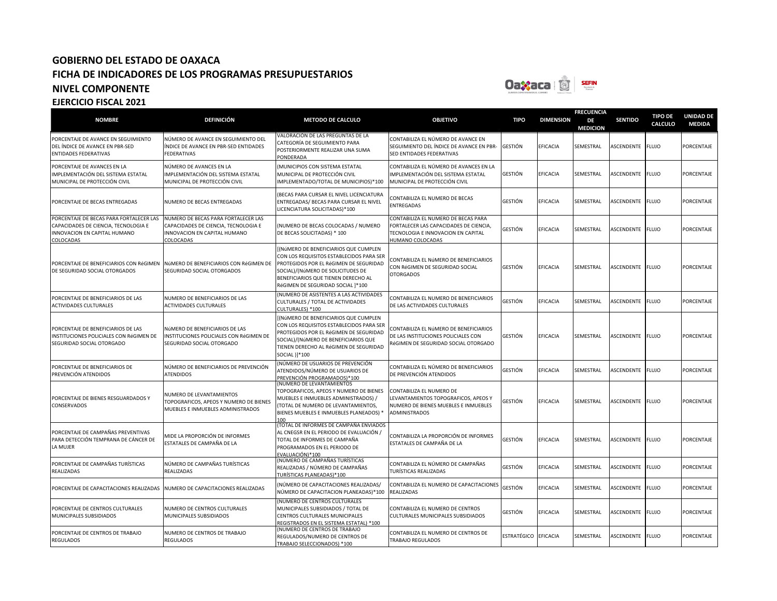

### **NOMBRE DEFINICIÓN METODO DE CALCULO OBJETIVO TIPO DIMENSION FRECUENCIA DE MEDICION SENTIDO TIPO DE CALCULO UNIDAD DE MEDIDA** PORCENTAJE DE AVANCE EN SEGUIMIENTO DEL ÍNDICE DE AVANCE EN PBR-SED ENTIDADES FEDERATIVAS NÚMERO DE AVANCE EN SEGUIMIENTO DEL ÍNDICE DE AVANCE EN PBR-SED ENTIDADES FEDERATIVAS VALORACIÓN DE LAS PREGUNTAS DE LA CATEGORÍA DE SEGUIMIENTO PARA POSTERIORMENTE REALIZAR UNA SUMA PONDERADA CONTABILIZA EL NÚMERO DE AVANCE EN SEGUIMIENTO DEL ÍNDICE DE AVANCE EN PBR-SED ENTIDADES FEDERATIVAS GESTIÓN EFICACIA SEMESTRAL ASCENDENTE FLUJO PORCENTAJE PORCENTAJE DE AVANCES EN LA IMPLEMENTACIÓN DEL SISTEMA ESTATAL MUNICIPAL DE PROTECCIÓN CIVIL NÚMERO DE AVANCES EN LA IMPLEMENTACIÓN DEL SISTEMA ESTATAL MUNICIPAL DE PROTECCIÓN CIVIL (MUNICIPIOS CON SISTEMA ESTATAL MUNICIPAL DE PROTECCIÓN CIVIL IMPLEMENTADO/TOTAL DE MUNICIPIOS)\*100 CONTABILIZA EL NÚMERO DE AVANCES EN LA IMPLEMENTACIÓN DEL SISTEMA ESTATAL MUNICIPAL DE PROTECCIÓN CIVIL GESTIÓN EFICACIA SEMESTRAL ASCENDENTE FLUJO PORCENTAJE PORCENTAJE DE BECAS ENTREGADAS NUMERO DE BECAS ENTREGADAS (BECAS PARA CURSAR EL NIVEL LICENCIATURA ENTREGADAS/ BECAS PARA CURSAR EL NIVEL LICENCIATURA SOLICITADAS)\*100 CONTABILIZA EL NUMERO DE BECAS ENTREGADAS GESTIÓN EFICACIA SEMESTRAL ASCENDENTE FLUJO PORCENTAJE PORCENTAJE DE BECAS PARA FORTALECER LAS CAPACIDADES DE CIENCIA, TECNOLOGIA E INNOVACION EN CAPITAL HUMANO COLOCADAS NUMERO DE BECAS PARA FORTALECER LAS CAPACIDADES DE CIENCIA, TECNOLOGIA E INNOVACION EN CAPITAL HUMANO COLOCADAS (NUMERO DE BECAS COLOCADAS / NUMERO DE BECAS SOLICITADAS) \* 100 CONTABILIZA EL NUMERO DE BECAS PARA FORTALECER LAS CAPACIDADES DE CIENCIA, TECNOLOGIA E INNOVACION EN CAPITAL UMANO COLOCADAS GESTIÓN EFICACIA SEMESTRAL ASCENDENTE FLUJO PORCENTAJE PORCENTAJE DE BENEFICIARIOS CON RéGIMEN DE SEGURIDAD SOCIAL OTORGADOS NúMERO DE BENEFICIARIOS CON RéGIMEN DE SEGURIDAD SOCIAL OTORGADOS [(NúMERO DE BENEFICIARIOS QUE CUMPLEN CON LOS REQUISITOS ESTABLECIDOS PARA SER PROTEGIDOS POR EL RéGIMEN DE SEGURIDAD SOCIAL)/(NúMERO DE SOLICITUDES DE BENEFICIARIOS QUE TIENEN DERECHO AL RéGIMEN DE SEGURIDAD SOCIAL ]\*100 CONTABILIZA EL NúMERO DE BENEFICIARIOS CON RéGIMEN DE SEGURIDAD SOCIAL OTORGADOS GESTIÓN EFICACIA SEMESTRAL ASCENDENTE FLUJO PORCENTAJE PORCENTAJE DE BENEFICIARIOS DE LAS ACTIVIDADES CULTURALES NUMERO DE BENEFICIARIOS DE LAS ACTIVIDADES CULTURALES (NUMERO DE ASISTENTES A LAS ACTIVIDADES CULTURALES / TOTAL DE ACTIVIDADES CULTURALES) \*100 CONTABILIZA EL NUMERO DE BENEFICIARIOS DE LAS ACTIVIDADES CULTURALES GESTIÓN EFICACIA SEMESTRAL ASCENDENTE FLUJO PORCENTAJE PORCENTAJE DE BENEFICIARIOS DE LAS INSTITUCIONES POLICIALES CON RéGIMEN DE SEGURIDAD SOCIAL OTORGADO NúMERO DE BENEFICIARIOS DE LAS INSTITUCIONES POLICIALES CON RéGIMEN DE SEGURIDAD SOCIAL OTORGADO [(NúMERO DE BENEFICIARIOS QUE CUMPLEN CON LOS REQUISITOS ESTABLECIDOS PARA SER PROTEGIDOS POR EL RéGIMEN DE SEGURIDAD SOCIAL)/(NúMERO DE BENEFICIARIOS QUE TIENEN DERECHO AL RéGIMEN DE SEGURIDAD SOCIAL )]\*100 CONTABILIZA EL NúMERO DE BENEFICIARIOS DE LAS INSTITUCIONES POLICIALES CON **ÉGIMEN DE SEGURIDAD SOCIAL OTORGADO** GESTIÓN EFICACIA SEMESTRAL ASCENDENTE FLUJO PORCENTAJE PORCENTAJE DE BENEFICIARIOS DE PREVENCIÓN ATENDIDOS NÚMERO DE BENEFICIARIOS DE PREVENCIÓN ATENDIDOS (NÚMERO DE USUARIOS DE PREVENCIÓN ATENDIDOS/NÚMERO DE USUARIOS DE PREVENCIÓN PROGRAMADOS)\*100 CONTABILIZA EL NÚMERO DE BENEFICIARIOS UNTABILIZA EL NUMERO DE BENEFICIARIOS GESTIÓN EFICACIA SEMESTRAL ASCENDENTE FLUJO PORCENTAJE PORCENTAJE DE BIENES RESGUARDADOS Y CONSERVADOS NUMERO DE LEVANTAMIENTOS TOPOGRAFICOS, APEOS Y NUMERO DE BIENES MUEBLES E INMUEBLES ADMINISTRADOS (NUMERO DE LEVANTAMIENTOS TOPOGRAFICOS, APEOS Y NUMERO DE BIENES MUEBLES E INMUEBLES ADMINISTRADOS) / (TOTAL DE NUMERO DE LEVANTAMIENTOS, BIENES MUEBLES E INMUEBLES PLANEADOS) \* 100 (TOTAL DE INFORMES DE CAMPAÑA ENVIADOS CONTABILIZA EL NUMERO DE LEVANTAMIENTOS TOPOGRAFICOS, APEOS Y NUMERO DE BIENES MUEBLES E INMUEBLES ADMINISTRADOS GESTIÓN EFICACIA SEMESTRAL ASCENDENTE FLUJO PORCENTAJE PORCENTAJE DE CAMPAÑAS PREVENTIVAS PARA DETECCIÓN TEMPRANA DE CÁNCER DE LA MUJER MIDE LA PROPORCIÓN DE INFORMES ESTATALES DE CAMPAÑA DE LA AL CNEGSR EN EL PERIODO DE EVALUACIÓN / TOTAL DE INFORMES DE CAMPAÑA PROGRAMADOS EN EL PERIODO DE EVALUACIÓN)\*100 CONTABILIZA LA PROPORCIÓN DE INFORMES ESTATALES DE CAMPAÑA DE LA GESTIÓN EFICACIA SEMESTRAL ASCENDENTE FLUJO PORCENTAJE PORCENTAJE DE CAMPAÑAS TURÍSTICAS REALIZADAS NÚMERO DE CAMPAÑAS TURÍSTICAS REALIZADAS (NÚMERO DE CAMPAÑAS TURÍSTICAS REALIZADAS / NÚMERO DE CAMPAÑAS TURÍSTICAS PLANEADAS)\*100 CONTABILIZA EL NÚMERO DE CAMPAÑAS TURÍSTICAS REALIZADAS GESTIÓN EFICACIA SEMESTRAL ASCENDENTE FLUJO PORCENTAJE PORCENTAJE DE CAPACITACIONES REALIZADAS NUMERO DE CAPACITACIONES REALIZADAS (NÚMERO DE CAPACITACIONES REALIZADAS/ NÚMERO DE CAPACITACION PLANEADAS)\*100 CONTABILIZA EL NUMERO DE CAPACITACIONES REALIZADAS GESTIÓN EFICACIA SEMESTRAL ASCENDENTE FLUJO PORCENTAJE PORCENTAJE DE CENTROS CULTURALES MUNICIPALES SUBSIDIADOS NUMERO DE CENTROS CULTURALES MUNICIPALES SUBSIDIADOS (NUMERO DE CENTROS CULTURALES MUNICIPALES SUBSIDIADOS / TOTAL DE CENTROS CULTURALES MUNICIPALES REGISTRADOS EN EL SISTEMA ESTATAL) \*100 CONTABILIZA EL NUMERO DE CENTROS CULTURALES MUNICIPALES SUBSIDIADOS GESTIÓN EFICACIA SEMESTRAL ASCENDENTE FLUJO PORCENTAJE PORCENTAJE DE CENTROS DE TRABAJO REGULADOS NUMERO DE CENTROS DE TRABAJO REGULADOS (NUMERO DE CENTROS DE TRABAJO REGULADOS/NUMERO DE CENTROS DE TRABAJO SELECCIONADOS) \*100 CONTABILIZA EL NUMERO DE CENTROS DE TRABAJO REGULADOS ESTRATÉGICO EFICACIA SEMESTRAL ASCENDENTE FLUJO PORCENTAJE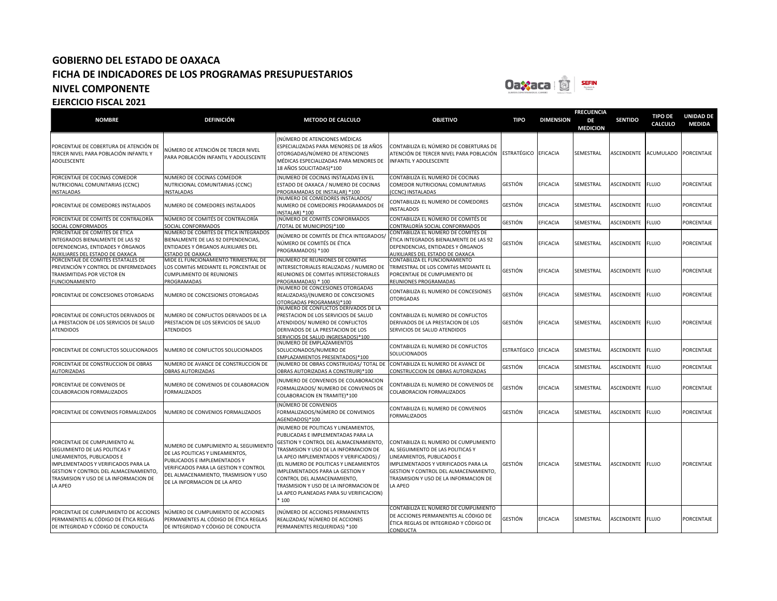

| <b>NOMBRE</b>                                                                                                                                                                                                                     | <b>DEFINICIÓN</b>                                                                                                                                                                                                          | <b>METODO DE CALCULO</b>                                                                                                                                                                                                                                                                                                                                                                                        | <b>OBJETIVO</b>                                                                                                                                                                                                                              | <b>TIPO</b>          | <b>DIMENSION</b> | <b>FRECUENCIA</b><br>DE<br><b>MEDICION</b> | <b>SENTIDO</b>    | <b>TIPO DE</b><br>CALCULO | <b>UNIDAD DE</b><br><b>MEDIDA</b> |
|-----------------------------------------------------------------------------------------------------------------------------------------------------------------------------------------------------------------------------------|----------------------------------------------------------------------------------------------------------------------------------------------------------------------------------------------------------------------------|-----------------------------------------------------------------------------------------------------------------------------------------------------------------------------------------------------------------------------------------------------------------------------------------------------------------------------------------------------------------------------------------------------------------|----------------------------------------------------------------------------------------------------------------------------------------------------------------------------------------------------------------------------------------------|----------------------|------------------|--------------------------------------------|-------------------|---------------------------|-----------------------------------|
| PORCENTAJE DE COBERTURA DE ATENCIÓN DE<br>TERCER NIVEL PARA POBLACIÓN INFANTIL Y<br>ADOLESCENTE                                                                                                                                   | NÚMERO DE ATENCIÓN DE TERCER NIVEL<br>PARA POBLACIÓN INFANTIL Y ADOLESCENTE                                                                                                                                                | NÚMERO DE ATENCIONES MÉDICAS<br>ESPECIALIZADAS PARA MENORES DE 18 AÑOS<br>OTORGADAS/NÚMERO DE ATENCIONES<br>MÉDICAS ESPECIALIZADAS PARA MENORES DE<br>18 AÑOS SOLICITADAS)*100                                                                                                                                                                                                                                  | CONTABILIZA EL NÚMERO DE COBERTURAS DE<br>ATENCIÓN DE TERCER NIVEL PARA POBLACIÓN<br>INFANTIL Y ADOLESCENTE                                                                                                                                  | ESTRATÉGICO EFICACIA |                  | SEMESTRAL                                  | <b>ASCENDENTE</b> | <b>ACUMULADO</b>          | <b>PORCENTAJE</b>                 |
| PORCENTAJE DE COCINAS COMEDOR<br>NUTRICIONAL COMUNITARIAS (CCNC)<br><b>INSTALADAS</b>                                                                                                                                             | NUMERO DE COCINAS COMEDOR<br>NUTRICIONAL COMUNITARIAS (CCNC)<br><b>NSTALADAS</b>                                                                                                                                           | (NUMERO DE COCINAS INSTALADAS EN EL<br>ESTADO DE OAXACA / NUMERO DE COCINAS<br>PROGRAMADAS DE INSTALAR) *100                                                                                                                                                                                                                                                                                                    | CONTABILIZA EL NUMERO DE COCINAS<br>COMEDOR NUTRICIONAL COMUNITARIAS<br>(CCNC) INSTALADAS                                                                                                                                                    | GESTIÓN              | <b>FFICACIA</b>  | SEMESTRAL                                  | ASCENDENTE        | <b>FLUJO</b>              | <b>PORCENTAIE</b>                 |
| PORCENTAJE DE COMEDORES INSTALADOS                                                                                                                                                                                                | NUMERO DE COMEDORES INSTALADOS                                                                                                                                                                                             | (NUMERO DE COMEDORES INSTALADOS/<br>NUMERO DE COMEDORES PROGRAMADOS DE<br><b>NSTALARI *100</b>                                                                                                                                                                                                                                                                                                                  | CONTABILIZA EL NUMERO DE COMEDORES<br><b>INSTALADOS</b>                                                                                                                                                                                      | GESTIÓN              | EFICACIA         | SEMESTRAL                                  | ASCENDENTE        | <b>FLUJO</b>              | PORCENTAJE                        |
| PORCENTAJE DE COMITÉS DE CONTRALORÍA<br>SOCIAL CONFORMADOS                                                                                                                                                                        | NÚMERO DE COMITÉS DE CONTRALORÍA<br>SOCIAL CONFORMADOS                                                                                                                                                                     | NÚMERO DE COMITÉS CONFORMADOS<br>TOTAL DE MUNICIPIOS)*100                                                                                                                                                                                                                                                                                                                                                       | CONTABILIZA EL NÚMERO DE COMITÉS DE<br>CONTRALORÍA SOCIAL CONFORMADOS                                                                                                                                                                        | GESTIÓN              | <b>EFICACIA</b>  | SEMESTRAL                                  | ASCENDENTE        | <b>FLUJO</b>              | PORCENTAJE                        |
| PORCENTAJE DE COMITÉS DE ÉTICA<br>INTEGRADOS BIENALMENTE DE LAS 92<br>DEPENDENCIAS, ENTIDADES Y ÓRGANOS<br>AUXILIARES DEL ESTADO DE OAXACA                                                                                        | NÚMERO DE COMITÉS DE ÉTICA INTEGRADOS<br>BIENALMENTE DE LAS 92 DEPENDENCIAS,<br>ENTIDADES Y ÓRGANOS AUXILIARES DEL<br>ESTADO DE OAXACA                                                                                     | NÚMERO DE COMITÉS DE ÉTICA INTEGRADOS,<br>NÚMERO DE COMITÉS DE ÉTICA<br>PROGRAMADOS) *100                                                                                                                                                                                                                                                                                                                       | CONTABILIZA EL NÚMERO DE COMITÉS DE<br>ÉTICA INTEGRADOS BIENALMENTE DE LAS 92<br>DEPENDENCIAS, ENTIDADES Y ÓRGANOS<br>AUXILIARES DEL ESTADO DE OAXACA                                                                                        | GESTIÓN              | <b>EFICACIA</b>  | SEMESTRAL                                  | ASCENDENTE        | <b>FLUJO</b>              | PORCENTAJE                        |
| PORCENTAJE DE COMITÉS ESTATALES DE<br>PREVENCIÓN Y CONTROL DE ENFERMEDADES<br>TRANSMITIDAS POR VECTOR EN<br><b>FUNCIONAMIENTO</b>                                                                                                 | MIDE EL FUNCIONAMIENTO TRIMESTRAL DE<br>LOS COMITÉS MEDIANTE EL PORCENTAJE DE<br><b>CUMPLIMIENTO DE REUNIONES</b><br>PROGRAMADAS                                                                                           | (NUMERO DE REUNIONES DE COMITéS<br>INTERSECTORIALES REALIZADAS / NUMERO DE<br>REUNIONES DE COMITéS INTERSECTORIALES<br>PROGRAMADAS) * 100                                                                                                                                                                                                                                                                       | CONTABILIZA EL FUNCIONAMIENTO<br>TRIMESTRAL DE LOS COMITéS MEDIANTE EL<br>PORCENTAJE DE CUMPLIMIENTO DE<br>REUNIONES PROGRAMADAS                                                                                                             | GESTIÓN              | EFICACIA         | SEMESTRAL                                  | ASCENDENTE        | <b>FLUJO</b>              | PORCENTAJE                        |
| PORCENTAJE DE CONCESIONES OTORGADAS                                                                                                                                                                                               | NUMERO DE CONCESIONES OTORGADAS                                                                                                                                                                                            | NUMERO DE CONCESIONES OTORGADAS<br>REALIZADAS)/(NUMERO DE CONCESIONES<br>OTORGADAS PROGRAMAS)*100                                                                                                                                                                                                                                                                                                               | CONTABILIZA EL NUMERO DE CONCESIONES<br><b>OTORGADAS</b>                                                                                                                                                                                     | GESTIÓN              | <b>EFICACIA</b>  | SEMESTRAL                                  | ASCENDENTE        | <b>FLUJO</b>              | PORCENTAJE                        |
| PORCENTAJE DE CONFLICTOS DERIVADOS DE<br>LA PRESTACION DE LOS SERVICIOS DE SALUD<br><b>ATENDIDOS</b>                                                                                                                              | NUMERO DE CONFLICTOS DERIVADOS DE LA<br>PRESTACION DE LOS SERVICIOS DE SALUD<br><b>ATENDIDOS</b>                                                                                                                           | NUMERO DE CONFLICTOS DERIVADOS DE LA<br>PRESTACION DE LOS SERVICIOS DE SALUD<br>ATENDIDOS/ NUMERO DE CONFLICTOS<br>DERIVADOS DE LA PRESTACION DE LOS<br>SERVICIOS DE SALUD INGRESADOS)*100                                                                                                                                                                                                                      | CONTABILIZA EL NUMERO DE CONFLICTOS<br>DERIVADOS DE LA PRESTACION DE LOS<br>SERVICIOS DE SALUD ATENDIDOS                                                                                                                                     | <b>GESTIÓN</b>       | <b>EFICACIA</b>  | SEMESTRAL                                  | <b>ASCENDENTE</b> | <b>FLUJO</b>              | PORCENTAJE                        |
| PORCENTAJE DE CONFLICTOS SOLUCIONADOS                                                                                                                                                                                             | NUMERO DE CONFLICTOS SOLUCIONADOS                                                                                                                                                                                          | (NUMERO DE EMPLAZAMIENTOS<br>SOLUCIONADOS/NUMERO DE<br>EMPLAZAMIENTOS PRESENTADOS)*100                                                                                                                                                                                                                                                                                                                          | CONTABILIZA EL NUMERO DE CONFLICTOS<br>SOLUCIONADOS                                                                                                                                                                                          | ESTRATÉGICO          | EFICACIA         | SEMESTRAL                                  | ASCENDENTE        | <b>FLUJO</b>              | PORCENTAJE                        |
| PORCENTAJE DE CONSTRUCCION DE OBRAS<br><b>AUTORIZADAS</b>                                                                                                                                                                         | NUMERO DE AVANCE DE CONSTRUCCION DE<br><b>OBRAS AUTORIZADAS</b>                                                                                                                                                            | NUMERO DE OBRAS CONSTRUIDAS/ TOTAL DE CONTABILIZA EL NUMERO DE AVANCE DE<br>OBRAS AUTORIZADAS A CONSTRUIR)*100                                                                                                                                                                                                                                                                                                  | CONSTRUCCION DE OBRAS AUTORIZADAS                                                                                                                                                                                                            | GESTIÓN              | EFICACIA         | SEMESTRAL                                  | ASCENDENTE        | <b>FLUJO</b>              | PORCENTAJE                        |
| PORCENTAJE DE CONVENIOS DE<br>COLABORACION FORMALIZADOS                                                                                                                                                                           | NUMERO DE CONVENIOS DE COLABORACION<br><b>FORMALIZADOS</b>                                                                                                                                                                 | NUMERO DE CONVENIOS DE COLABORACION<br>FORMALIZADOS/ NUMERO DE CONVENIOS DE<br>COLABORACION EN TRAMITE)*100                                                                                                                                                                                                                                                                                                     | CONTABILIZA EL NUMERO DE CONVENIOS DE<br>COLABORACION FORMALIZADOS                                                                                                                                                                           | GESTIÓN              | <b>EFICACIA</b>  | SEMESTRAL                                  | ASCENDENTE        | <b>FLUJO</b>              | PORCENTAJE                        |
| PORCENTAJE DE CONVENIOS FORMALIZADOS                                                                                                                                                                                              | NUMERO DE CONVENIOS FORMALIZADOS                                                                                                                                                                                           | (NÚMERO DE CONVENIOS<br>FORMALIZADOS/NÚMERO DE CONVENIOS<br>AGENDADOS)*100                                                                                                                                                                                                                                                                                                                                      | CONTABILIZA EL NUMERO DE CONVENIOS<br><b>FORMALIZADOS</b>                                                                                                                                                                                    | GESTIÓN              | EFICACIA         | SEMESTRAL                                  | ASCENDENTE        | <b>FLUJO</b>              | PORCENTAJE                        |
| PORCENTAJE DE CUMPLIMIENTO AL<br>SEGUIMIENTO DE LAS POLITICAS Y<br>LINEAMIENTOS, PUBLICADOS E<br>IMPLEMENTADOS Y VERIFICADOS PARA LA<br>GESTION Y CONTROL DEL ALMACENAMIENTO,<br>TRASMISION Y USO DE LA INFORMACION DE<br>LA APEO | NUMERO DE CUMPLIMIENTO AL SEGUIMIENTO<br>DE LAS POLITICAS Y LINEAMIENTOS,<br>PUBLICADOS E IMPLEMENTADOS Y<br>VERIFICADOS PARA LA GESTION Y CONTROL<br>DEL ALMACENAMIENTO. TRASMISION Y USO<br>DE LA INFORMACION DE LA APEO | NUMERO DE POLITICAS Y LINEAMIENTOS,<br>PUBLICADAS E IMPLEMENTADAS PARA LA<br>GESTION Y CONTROL DEL ALMACENAMIENTO,<br>TRASMISION Y USO DE LA INFORMACION DE<br>LA APEO IMPLEMENTADOS Y VERIFICADOS) /<br>(EL NUMERO DE POLITICAS Y LINEAMIENTOS<br>IMPLEMENTADOS PARA LA GESTION Y<br>CONTROL DEL ALMACENAMIENTO,<br>TRASMISION Y USO DE LA INFORMACION DE<br>LA APEO PLANEADAS PARA SU VERIFICACION)<br>$*100$ | CONTABILIZA EL NUMERO DE CUMPLIMIENTO<br>AL SEGUIMIENTO DE LAS POLITICAS Y<br>LINEAMIENTOS, PUBLICADOS E<br>IMPLEMENTADOS Y VERIFICADOS PARA LA<br>GESTION Y CONTROL DEL ALMACENAMIENTO,<br>TRASMISION Y USO DE LA INFORMACION DE<br>LA APEO | <b>GESTIÓN</b>       | <b>EFICACIA</b>  | SEMESTRAL                                  | <b>ASCENDENTE</b> | <b>FLUJO</b>              | PORCENTAJE                        |
| PORCENTAJE DE CUMPLIMIENTO DE ACCIONES<br>PERMANENTES AL CÓDIGO DE ÉTICA REGLAS<br>DE INTEGRIDAD Y CÓDIGO DE CONDUCTA                                                                                                             | NÚMERO DE CUMPLIMIENTO DE ACCIONES<br>PERMANENTES AL CÓDIGO DE ÉTICA REGLAS<br>DE INTEGRIDAD Y CÓDIGO DE CONDUCTA                                                                                                          | NÚMERO DE ACCIONES PERMANENTES<br>REALIZADAS/ NÚMERO DE ACCIONES<br>PERMANENTES REQUERIDAS) *100                                                                                                                                                                                                                                                                                                                | CONTABILIZA EL NÚMERO DE CUMPLIMIENTO<br>DE ACCIONES PERMANENTES AL CÓDIGO DE<br>ÉTICA REGLAS DE INTEGRIDAD Y CÓDIGO DE<br>CONDUCTA                                                                                                          | GESTIÓN              | <b>EFICACIA</b>  | SEMESTRAL                                  | ASCENDENTE        | <b>FLUJO</b>              | PORCENTAJE                        |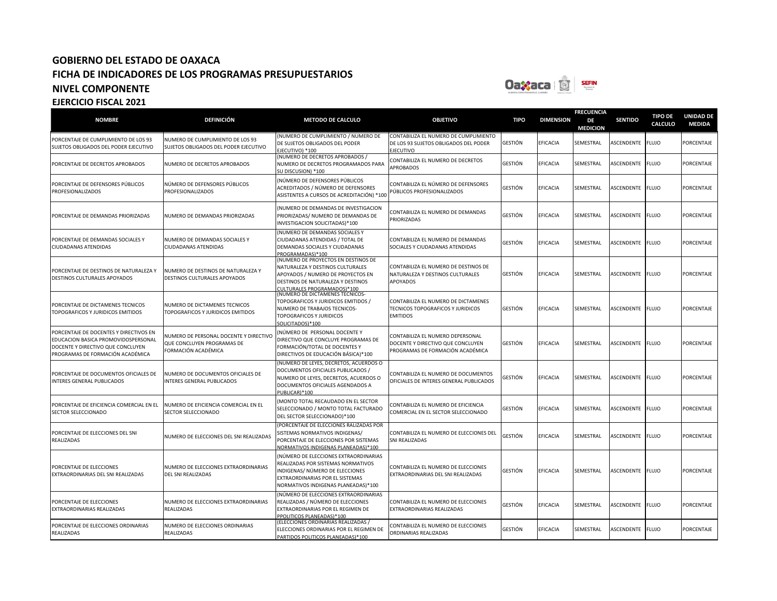

### **NOMBRE DEFINICIÓN METODO DE CALCULO OBJETIVO TIPO DIMENSION FRECUENCIA DE MEDICION SENTIDO TIPO DE CALCULO UNIDAD DE MEDIDA** PORCENTAJE DE CUMPLIMIENTO DE LOS 93 SUJETOS OBLIGADOS DEL PODER EJECUTIVO NUMERO DE CUMPLIMIENTO DE LOS 93 SUJETOS OBLIGADOS DEL PODER EJECUTIVO (NUMERO DE CUMPLIMIENTO / NUMERO DE DE SUJETOS OBLIGADOS DEL PODER EJECUTIVO) \*100 CONTABILIZA EL NUMERO DE CUMPLIMIENTO DE LOS 93 SUJETOS OBLIGADOS DEL PODER **IFCUTIVO** GESTIÓN EFICACIA SEMESTRAL ASCENDENTE FLUJO PORCENTAJE PORCENTAJE DE DECRETOS APROBADOS NUMERO DE DECRETOS APROBADOS (NUMERO DE DECRETOS APROBADOS / NUMERO DE DECRETOS PROGRAMADOS PARA SU DISCUSION) \*100 CONTABILIZA EL NUMERO DE DECRETOS APROBADOS GESTIÓN EFICACIA SEMESTRAL ASCENDENTE FLUJO PORCENTAJE PORCENTAJE DE DEFENSORES PÚBLICOS PROFESIONALIZADOS NÚMERO DE DEFENSORES PÚBLICOS PROFESIONALIZADOS (NÚMERO DE DEFENSORES PÚBLICOS ACREDITADOS / NÚMERO DE DEFENSORES ASISTENTES A CURSOS DE ACREDITACIÓN) \*100 CONTABILIZA EL NÚMERO DE DEFENSORES UNTABILIZA EL NUMERO DE DEFENSURES GESTIÓN EFICACIA SEMESTRAL ASCENDENTE FLUJO PORCENTAJE<br>PÚBLICOS PROFESIONALIZADOS PORCENTAJE DE DEMANDAS PRIORIZADAS NUMERO DE DEMANDAS PRIORIZADAS (NUMERO DE DEMANDAS DE INVESTIGACION PRIORIZADAS/ NUMERO DE DEMANDAS DE INVESTIGACION SOLICITADAS)\*100 CONTABILIZA EL NUMERO DE DEMANDAS PRIORIZADAS GESTIÓN EFICACIA SEMESTRAL ASCENDENTE FLUJO PORCENTAJE PORCENTAJE DE DEMANDAS SOCIALES Y CIUDADANAS ATENDIDAS NUMERO DE DEMANDAS SOCIALES Y CIUDADANAS ATENDIDAS (NUMERO DE DEMANDAS SOCIALES Y CIUDADANAS ATENDIDAS / TOTAL DE DEMANDAS SOCIALES Y CIUDADANAS PROGRAMADAS)\*100 CONTABILIZA EL NUMERO DE DEMANDAS SOCIALES Y CIUDADANAS ATENDIDAS GESTIÓN EFICACIA SEMESTRAL ASCENDENTE FLUJO PORCENTAJE PORCENTAJE DE DESTINOS DE NATURALEZA Y DESTINOS CULTURALES APOYADOS NUMERO DE DESTINOS DE NATURALEZA Y DESTINOS CULTURALES APOYADOS (NUMERO DE PROYECTOS EN DESTINOS DE NATURALEZA Y DESTINOS CULTURALES APOYADOS / NUMERO DE PROYECTOS EN DESTINOS DE NATURALEZA Y DESTINOS CULTURALES PROGRAMADOS)\*100 CONTABILIZA EL NUMERO DE DESTINOS DE NATURALEZA Y DESTINOS CULTURALES APOYADOS GESTIÓN EFICACIA SEMESTRAL ASCENDENTE FLUJO PORCENTAJE PORCENTAJE DE DICTAMENES TECNICOS TOPOGRAFICOS Y JURIDICOS EMITIDOS NUMERO DE DICTAMENES TECNICOS TOPOGRAFICOS Y JURIDICOS EMITIDOS (NUMERO DE DICTAMENES TECNICOS-TOPOGRAFICOS Y JURIDICOS EMITIDOS / NUMERO DE TRABAJOS TECNICOS-TOPOGRAFICOS Y JURIDICOS SOLICITADOS)\*100 CONTABILIZA EL NUMERO DE DICTAMENES TECNICOS TOPOGRAFICOS Y JURIDICOS **EMITIDOS** GESTIÓN EFICACIA SEMESTRAL ASCENDENTE FLUJO PORCENTAJE PORCENTAJE DE DOCENTES Y DIRECTIVOS EN EDUCACION BASICA PROMOVIDOSPERSONAL DOCENTE Y DIRECTIVO QUE CONCLUYEN PROGRAMAS DE FORMACIÓN ACADÉMICA NUMERO DE PERSONAL DOCENTE Y DIRECTIVO QUE CONCLUYEN PROGRAMAS DE FORMACIÓN ACADÉMICA (NÚMERO DE PERSONAL DOCENTE Y DIRECTIVO QUE CONCLUYE PROGRAMAS DE FORMACIÓN/TOTAL DE DOCENTES Y DIRECTIVOS DE EDUCACIÓN BÁSICA)\*100 CONTABILIZA EL NUMERO DEPERSONAL DOCENTE Y DIRECTIVO QUE CONCLUYEN PROGRAMAS DE FORMACIÓN ACADÉMICA GESTIÓN EFICACIA SEMESTRAL ASCENDENTE FLUJO PORCENTAJE PORCENTAJE DE DOCUMENTOS OFICIALES DE INTERES GENERAL PUBLICADOS NUMERO DE DOCUMENTOS OFICIALES DE INTERES GENERAL PUBLICADOS (NUMERO DE LEYES, DECRETOS, ACUERDOS O DOCUMENTOS OFICIALES PUBLICADOS / NUMERO DE LEYES, DECRETOS, ACUERDOS O DOCUMENTOS OFICIALES AGENDADOS A PUBLICAR)\*100 CONTABILIZA EL NUMERO DE DOCUMENTOS OFICIALES DE INTERES GENERAL PUBLICADOS GESTIÓN EFICACIA SEMESTRAL ASCENDENTE FLUJO PORCENTAJE PORCENTAJE DE EFICIENCIA COMERCIAL EN EL SECTOR SELECCIONADO NUMERO DE EFICIENCIA COMERCIAL EN EL SECTOR SELECCIONADO (MONTO TOTAL RECAUDADO EN EL SECTOR SELECCIONADO / MONTO TOTAL FACTURADO DEL SECTOR SELECCIONADO)\*100 CONTABILIZA EL NUMERO DE EFICIENCIA COMERCIAL EN EL SECTOR SELECCIONADO GESTIÓN EFICACIA SEMESTRAL ASCENDENTE FLUJO PORCENTAJE PORCENTAJE DE ELECCIONES DEL SNI REALIZADAS NUMERO DE ELECCIONES DEL SNI REALIZADAS (PORCENTAJE DE ELECCIONES RALIZADAS POR SISTEMAS NORMATIVOS INDIGENAS/ PORCENTAJE DE ELECCIONES POR SISTEMAS ORMATIVOS INDIGENAS PLANEADAS)\*100 CONTABILIZA EL NUMERO DE ELECCIONES DEL SNI REALIZADAS GESTIÓN EFICACIA SEMESTRAL ASCENDENTE FLUJO PORCENTAJE PORCENTAJE DE ELECCIONES EXTRAORDINARIAS DEL SNI REALIZADAS NUMERO DE ELECCIONES EXTRAORDINARIAS DEL SNI REALIZADAS (NÚMERO DE ELECCIONES EXTRAORDINARIAS REALIZADAS POR SISTEMAS NORMATIVOS INDIGENAS/ NÚMERO DE ELECCIONES EXTRAORDINARIAS POR EL SISTEMAS NORMATIVOS INDIGENAS PLANEADAS)\*100 CONTABILIZA EL NUMERO DE ELECCIONES EXTRAORDINARIAS DEL SNI REALIZADAS GESTIÓN EFICACIA SEMESTRAL ASCENDENTE FLUJO PORCENTAJE PORCENTAJE DE ELECCIONES EXTRAORDINARIAS REALIZADAS NUMERO DE ELECCIONES EXTRAORDINARIAS REALIZADAS (NÚMERO DE ELECCIONES EXTRAORDINARIAS REALIZADAS / NÚMERO DE ELECCIONES EXTRAORDINARIAS POR EL REGIMEN DE PPOLITICOS PLANEADAS)\*100 CONTABILIZA EL NUMERO DE ELECCIONES EXTRAORDINARIAS REALIZADAS GESTIÓN EFICACIA SEMESTRAL ASCENDENTE FLUJO PORCENTAJE PORCENTAJE DE ELECCIONES ORDINARIAS REALIZADAS NUMERO DE ELECCIONES ORDINARIAS REALIZADAS (ELECCIONES ORDINARIAS REALIZADAS / ELECCIONES ORDINARIAS POR EL REGIMEN DE PARTIDOS POLITICOS PLANEADAS)\*100 CONTABILIZA EL NUMERO DE ELECCIONES ORDINARIAS REALIZADAS GESTIÓN EFICACIA SEMESTRAL ASCENDENTE FLUJO PORCENTAJE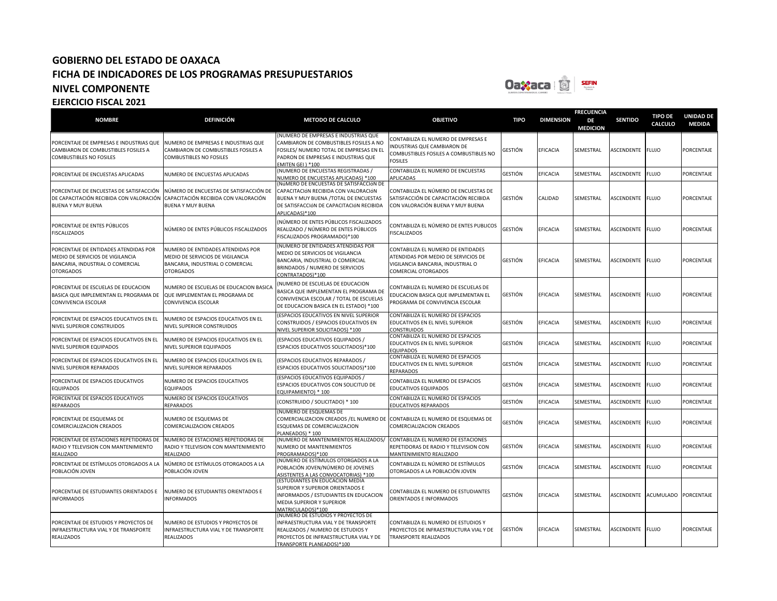

| <b>NOMBRE</b>                                                                                                                     | <b>DEFINICIÓN</b>                                                                                                             | <b>METODO DE CALCULO</b>                                                                                                                                                               | <b>OBJETIVO</b>                                                                                                                       | <b>TIPO</b>    | <b>DIMENSION</b> | <b>FRECUENCIA</b><br>DE<br><b>MEDICION</b> | <b>SENTIDO</b>    | <b>TIPO DE</b><br><b>CALCULO</b> | <b>UNIDAD DE</b><br><b>MEDIDA</b> |
|-----------------------------------------------------------------------------------------------------------------------------------|-------------------------------------------------------------------------------------------------------------------------------|----------------------------------------------------------------------------------------------------------------------------------------------------------------------------------------|---------------------------------------------------------------------------------------------------------------------------------------|----------------|------------------|--------------------------------------------|-------------------|----------------------------------|-----------------------------------|
| PORCENTAJE DE EMPRESAS E INDUSTRIAS QUE<br>CAMBIARON DE COMBUSTIBLES FOSILES A<br>COMBUSTIBLES NO FOSILES                         | NUMERO DE EMPRESAS E INDUSTRIAS QUE<br>CAMBIARON DE COMBUSTIBLES FOSILES A<br><b>COMBUSTIBLES NO FOSILES</b>                  | (NUMERO DE EMPRESAS E INDUSTRIAS QUE<br>CAMBIARON DE COMBUSTIBLES FOSILES A NO<br>FOSILES/ NUMERO TOTAL DE EMPRESAS EN EL<br>PADRON DE EMPRESAS E INDUSTRIAS QUE<br>EMITEN GEI ) *100  | CONTABILIZA EL NUMERO DE EMPRESAS E<br><b>INDUSTRIAS QUE CAMBIARON DE</b><br>COMBUSTIBLES FOSILES A COMBUSTIBLES NO<br><b>FOSILES</b> | GESTIÓN        | <b>EFICACIA</b>  | SEMESTRAL                                  | ASCENDENTE        | <b>FLUJO</b>                     | PORCENTAJE                        |
| PORCENTAJE DE ENCUESTAS APLICADAS                                                                                                 | NUMERO DE ENCUESTAS APLICADAS                                                                                                 | (NUMERO DE ENCUESTAS REGISTRADAS /<br><b>IUMERO DE ENCUESTAS APLICADAS) *100</b>                                                                                                       | CONTABILIZA EL NUMERO DE ENCUESTAS<br>APLICADAS                                                                                       | GESTIÓN        | EFICACIA         | SEMESTRAL                                  | ASCENDENTE        | <b>FLUJO</b>                     | PORCENTAJE                        |
| PORCENTAJE DE ENCUESTAS DE SATISFACCIÓN<br>DE CAPACITACIÓN RECIBIDA CON VALORACIÓN<br><b>BUENA Y MUY BUENA</b>                    | NÚMERO DE ENCUESTAS DE SATISFACCIÓN DE<br>CAPACITACIÓN RECIBIDA CON VALORACIÓN<br><b>BUENA Y MUY BUENA</b>                    | NÚMERO DE ENCUESTAS DE SATISFACCIÓN DE<br>CAPACITACIÓN RECIBIDA CON VALORACIÓN<br>BUENA Y MUY BUENA /TOTAL DE ENCUESTAS<br>DE SATISFACCIÓN DE CAPACITACIÓN RECIBIDA<br>APLICADAS)*100  | CONTABILIZA EL NÚMERO DE ENCUESTAS DE<br>SATISFACCIÓN DE CAPACITACIÓN RECIBIDA<br>CON VALORACIÓN BUENA Y MUY BUENA                    | <b>GESTIÓN</b> | CALIDAD          | SEMESTRAL                                  | ASCENDENTE        | <b>FLUJO</b>                     | PORCENTAJE                        |
| PORCENTAJE DE ENTES PÚBLICOS<br>FISCALIZADOS                                                                                      | NÚMERO DE ENTES PÚBLICOS FISCALIZADOS                                                                                         | NÚMERO DE ENTES PÚBLICOS FISCALIZADOS<br>REALIZADO / NÚMERO DE ENTES PÚBLICOS<br>FISCALIZADOS PROGRAMADO)*100                                                                          | CONTABILIZA EL NÚMERO DE ENTES PUBLICOS<br><b>FISCALIZADOS</b>                                                                        | GESTIÓN        | EFICACIA         | SEMESTRAL                                  | ASCENDENTE        | <b>FLUJO</b>                     | PORCENTAJE                        |
| PORCENTAJE DE ENTIDADES ATENDIDAS POR<br>MEDIO DE SERVICIOS DE VIGILANCIA<br>BANCARIA, INDUSTRIAL O COMERCIAL<br><b>OTORGADOS</b> | NUMERO DE ENTIDADES ATENDIDAS POR<br>MEDIO DE SERVICIOS DE VIGILANCIA<br>BANCARIA, INDUSTRIAL O COMERCIAL<br><b>OTORGADOS</b> | (NUMERO DE ENTIDADES ATENDIDAS POR<br>MEDIO DE SERVICIOS DE VIGILANCIA<br>BANCARIA, INDUSTRIAL O COMERCIAL<br>BRINDADOS / NUMERO DE SERVICIOS<br>CONTRATADOS)*100                      | CONTABILIZA EL NUMERO DE ENTIDADES<br>ATENDIDAS POR MEDIO DE SERVICIOS DE<br>VIGILANCIA BANCARIA, INDUSTRIAL O<br>COMERCIAL OTORGADOS | GESTIÓN        | <b>EFICACIA</b>  | SEMESTRAL                                  | <b>ASCENDENTE</b> | <b>FLUJO</b>                     | <b>PORCENTAJE</b>                 |
| PORCENTAJE DE ESCUELAS DE EDUCACION<br>BASICA QUE IMPLEMENTAN EL PROGRAMA DE<br>CONVIVENCIA ESCOLAR                               | NUMERO DE ESCUELAS DE EDUCACION BASICA<br>QUE IMPLEMENTAN EL PROGRAMA DE<br>CONVIVENCIA ESCOLAR                               | NUMERO DE ESCUELAS DE EDUCACION<br>BASICA QUE IMPLEMENTAN EL PROGRAMA DE<br>CONVIVENCIA ESCOLAR / TOTAL DE ESCUELAS<br>DE EDUCACION BASICA EN EL ESTADO) *100                          | CONTABILIZA EL NUMERO DE ESCUELAS DE<br>EDUCACION BASICA QUE IMPLEMENTAN EL<br>PROGRAMA DE CONVIVENCIA ESCOLAR                        | <b>GESTIÓN</b> | EFICACIA         | SEMESTRAL                                  | ASCENDENTE        | <b>FLUJO</b>                     | PORCENTAJE                        |
| PORCENTAJE DE ESPACIOS EDUCATIVOS EN EL<br>NIVEL SUPERIOR CONSTRUIDOS                                                             | NUMERO DE ESPACIOS EDUCATIVOS EN EL<br>NIVEL SUPERIOR CONSTRUIDOS                                                             | (ESPACIOS EDUCATIVOS EN NIVEL SUPERIOR<br>CONSTRUIDOS / ESPACIOS EDUCATIVOS EN<br>NIVEL SUPERIOR SOLICITADOS) *100                                                                     | CONTABILIZA EL NUMERO DE ESPACIOS<br>EDUCATIVOS EN EL NIVEL SUPERIOR<br>CONSTRUIDOS                                                   | GESTIÓN        | EFICACIA         | SEMESTRAL                                  | ASCENDENTE        | <b>FLUJO</b>                     | PORCENTAJE                        |
| PORCENTAJE DE ESPACIOS EDUCATIVOS EN EL<br>NIVEL SUPERIOR EQUIPADOS                                                               | NUMERO DE ESPACIOS EDUCATIVOS EN EL<br>NIVEL SUPERIOR EQUIPADOS                                                               | ESPACIOS EDUCATIVOS EQUIPADOS /<br>ESPACIOS EDUCATIVOS SOLICITADOS)*100                                                                                                                | CONTABILIZA EL NUMERO DE ESPACIOS<br>EDUCATIVOS EN EL NIVEL SUPERIOR<br><b>EQUIPADOS</b>                                              | GESTIÓN        | EFICACIA         | SEMESTRAL                                  | ASCENDENTE        | <b>FLUJO</b>                     | PORCENTAJE                        |
| PORCENTAJE DE ESPACIOS EDUCATIVOS EN EL<br>NIVEL SUPERIOR REPARADOS                                                               | NUMERO DE ESPACIOS EDUCATIVOS EN EL<br>NIVEL SUPERIOR REPARADOS                                                               | ESPACIOS EDUCATIVOS REPARADOS /<br>ESPACIOS EDUCATIVOS SOLICITADOS)*100                                                                                                                | CONTABILIZA EL NUMERO DE ESPACIOS<br>EDUCATIVOS EN EL NIVEL SUPERIOR<br>REPARADOS                                                     | GESTIÓN        | EFICACIA         | SEMESTRAL                                  | <b>ASCENDENTE</b> | <b>FLUJO</b>                     | PORCENTAJE                        |
| PORCENTAJE DE ESPACIOS EDUCATIVOS<br>EQUIPADOS                                                                                    | NUMERO DE ESPACIOS EDUCATIVOS<br><b>EQUIPADOS</b>                                                                             | (ESPACIOS EDUCATIVOS EQUIPADOS /<br>ESPACIOS EDUCATIVOS CON SOLICITUD DE<br>EQUIPAMIENTO) * 100                                                                                        | CONTABILIZA EL NUMERO DE ESPACIOS<br>EDUCATIVOS EQUIPADOS                                                                             | GESTIÓN        | EFICACIA         | SEMESTRAL                                  | ASCENDENTE        | <b>FLUJO</b>                     | PORCENTAJE                        |
| PORCENTAJE DE ESPACIOS EDUCATIVOS<br><b>REPARADOS</b>                                                                             | NUMERO DE ESPACIOS EDUCATIVOS<br><b>REPARADOS</b>                                                                             | (CONSTRUIDO / SOLICITADO) * 100                                                                                                                                                        | CONTABILIZA EL NUMERO DE ESPACIOS<br><b>EDUCATIVOS REPARADOS</b>                                                                      | GESTIÓN        | <b>EFICACIA</b>  | SEMESTRAL                                  | ASCENDENTE        | <b>FLUJO</b>                     | PORCENTAJE                        |
| ORCENTAJE DE ESQUEMAS DE<br>COMERCIALIZACION CREADOS                                                                              | NUMERO DE ESQUEMAS DE<br><b>COMERCIALIZACION CREADOS</b>                                                                      | (NUMERO DE ESQUEMAS DE<br>COMERCIALIZACION CREADOS / EL NUMERO DE<br>ESQUEMAS DE COMERCIALIZACION<br>PLANEADOS) * 100                                                                  | CONTABILIZA EL NUMERO DE ESQUEMAS DE<br>COMERCIALIZACION CREADOS                                                                      | GESTIÓN        | <b>EFICACIA</b>  | SEMESTRAL                                  | ASCENDENTE        | <b>FLUJO</b>                     | PORCENTAJE                        |
| PORCENTAJE DE ESTACIONES REPETIDORAS DE<br>RADIO Y TELEVISION CON MANTENIMIENTO<br>REALIZADO                                      | NUMERO DE ESTACIONES REPETIDORAS DE<br>RADIO Y TELEVISION CON MANTENIMIENTO<br>REALIZADO                                      | (NUMERO DE MANTENIMIENTOS REALIZADOS/<br>NUMERO DE MANTENIMIENTOS<br>PROGRAMADOS)*100                                                                                                  | CONTABILIZA EL NUMERO DE ESTACIONES<br>REPETIDORAS DE RADIO Y TELEVISION CON<br>MANTENIMIENTO REALIZADO                               | GESTIÓN        | <b>EFICACIA</b>  | SEMESTRAL                                  | ASCENDENTE        | <b>FLUJO</b>                     | PORCENTAJE                        |
| PORCENTAJE DE ESTÍMULOS OTORGADOS A LA<br>POBLACIÓN JOVEN                                                                         | NÚMERO DE ESTÍMULOS OTORGADOS A LA<br>POBLACIÓN JOVEN                                                                         | (NÚMERO DE ESTÍMULOS OTORGADOS A LA<br>POBLACIÓN JOVEN/NÚMERO DE JOVENES<br>ASISTENTES A LAS CONVOCATORIAS) *100                                                                       | CONTABILIZA EL NÚMERO DE ESTÍMULOS<br>OTORGADOS A LA POBLACIÓN JOVEN                                                                  | GESTIÓN        | <b>EFICACIA</b>  | SEMESTRAL                                  | ASCENDENTE        | <b>FLUJO</b>                     | PORCENTAJE                        |
| ORCENTAJE DE ESTUDIANTES ORIENTADOS E<br><b>NFORMADOS</b>                                                                         | NUMERO DE ESTUDIANTES ORIENTADOS E<br><b>INFORMADOS</b>                                                                       | (ESTUDIANTES EN EDUCACION MEDIA<br>SUPERIOR Y SUPERIOR ORIENTADOS E<br>INFORMADOS / ESTUDIANTES EN EDUCACION<br>MEDIA SUPERIOR Y SUPERIOR<br>MATRICULADOS)*100                         | CONTABILIZA EL NUMERO DE ESTUDIANTES<br>ORIENTADOS E INFORMADOS                                                                       | GESTIÓN        | EFICACIA         | SEMESTRAL                                  | ASCENDENTE        | ACUMULADO PORCENTAJE             |                                   |
| PORCENTAJE DE ESTUDIOS Y PROYECTOS DE<br>INFRAESTRUCTURA VIAL Y DE TRANSPORTE<br><b>REALIZADOS</b>                                | NUMERO DE ESTUDIOS Y PROYECTOS DE<br>INFRAESTRUCTURA VIAL Y DE TRANSPORTE<br><b>REALIZADOS</b>                                | (NUMERO DE ESTUDIOS Y PROYECTOS DE<br>INFRAESTRUCTURA VIAL Y DE TRANSPORTE<br>REALIZADOS / NUMERO DE ESTUDIOS Y<br>PROYECTOS DE INFRAESTRUCTURA VIAL Y DE<br>TRANSPORTE PLANEADOS)*100 | CONTABILIZA EL NUMERO DE ESTUDIOS Y<br>PROYECTOS DE INFRAESTRUCTURA VIAL Y DE<br>TRANSPORTE REALIZADOS                                | GESTIÓN        | EFICACIA         | SEMESTRAL                                  | ASCENDENTE        | <b>FLUJO</b>                     | PORCENTAJE                        |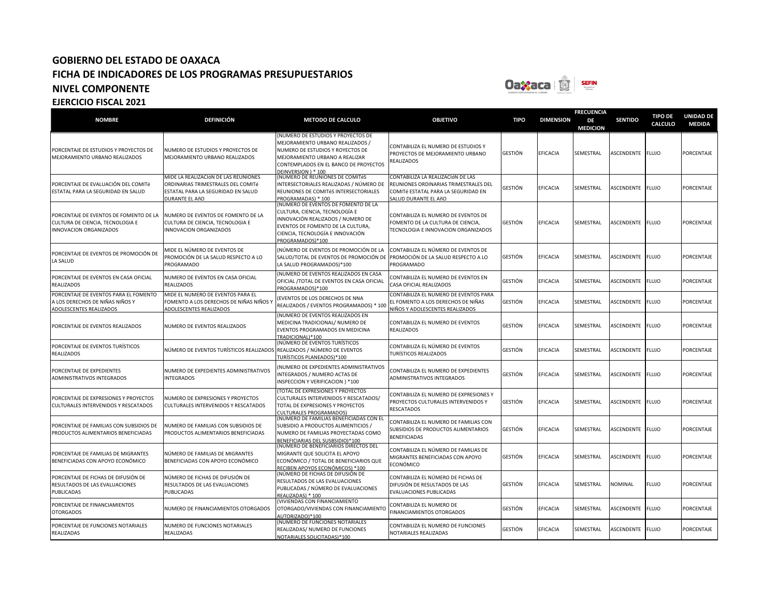

| <b>NOMBRE</b>                                                                                        | <b>DEFINICIÓN</b>                                                                                                                  | <b>METODO DE CALCULO</b>                                                                                                                                                                                    | <b>OBJETIVO</b>                                                                                                                           | <b>TIPO</b>    | <b>DIMENSION</b> | <b>FRECUENCIA</b><br>DE<br><b>MEDICION</b> | <b>SENTIDO</b>    | <b>TIPO DE</b><br><b>CALCULO</b> | <b>UNIDAD DE</b><br><b>MEDIDA</b> |
|------------------------------------------------------------------------------------------------------|------------------------------------------------------------------------------------------------------------------------------------|-------------------------------------------------------------------------------------------------------------------------------------------------------------------------------------------------------------|-------------------------------------------------------------------------------------------------------------------------------------------|----------------|------------------|--------------------------------------------|-------------------|----------------------------------|-----------------------------------|
| PORCENTAJE DE ESTUDIOS Y PROYECTOS DE<br>MEJORAMIENTO URBANO REALIZADOS                              | NUMERO DE ESTUDIOS Y PROYECTOS DE<br>MEJORAMIENTO URBANO REALIZADOS                                                                | NUMERO DE ESTUDIOS Y PROYECTOS DE<br>MEJORAMIENTO URBANO REALIZADOS /<br>NUMERO DE ESTUDIOS Y ROYECTOS DE<br>MEJORAMIENTO URBANO A REALIZAR<br>CONTEMPLADOS EN EL BANCO DE PROYECTOS<br>DEINVERSION ) * 100 | CONTABILIZA EL NUMERO DE ESTUDIOS Y<br>PROYECTOS DE MEJORAMIENTO URBANO<br><b>REALIZADOS</b>                                              | <b>GESTIÓN</b> | <b>EFICACIA</b>  | SEMESTRAL                                  | ASCENDENTE        | <b>FLUJO</b>                     | PORCENTAJE                        |
| PORCENTAJE DE EVALUACIÓN DEL COMITé<br>ESTATAL PARA LA SEGURIDAD EN SALUD                            | MIDE LA REALIZACIÓN DE LAS REUNIONES<br>ORDINARIAS TRIMESTRALES DEL COMITé<br>ESTATAL PARA LA SEGURIDAD EN SALUD<br>DURANTE EL AñO | (NÚMERO DE REUNIONES DE COMITéS<br>INTERSECTORIALES REALIZADAS / NÚMERO DE<br>REUNIONES DE COMITéS INTERSECTORIALES<br>PROGRAMADAS) * 100                                                                   | CONTABILIZA LA REALIZACIÓN DE LAS<br>REUNIONES ORDINARIAS TRIMESTRALES DEL<br>COMITé ESTATAL PARA LA SEGURIDAD EN<br>SALUD DURANTE EL AñO | GESTIÓN        | <b>EFICACIA</b>  | SEMESTRAL                                  | ASCENDENTE        | <b>FLUJO</b>                     | PORCENTAJE                        |
| PORCENTAJE DE EVENTOS DE FOMENTO DE LA<br>CULTURA DE CIENCIA, TECNOLOGIA E<br>INNOVACION ORGANIZADOS | NUMERO DE EVENTOS DE FOMENTO DE LA<br>CULTURA DE CIENCIA, TECNOLOGIA E<br>INNOVACION ORGANIZADOS                                   | (NUMERO DE EVENTOS DE FOMENTO DE LA<br>CULTURA, CIENCIA, TECNOLOGÍA E<br>INNOVACIÓN REALIZADOS / NUMERO DE<br>EVENTOS DE FOMENTO DE LA CULTURA,<br>CIENCIA, TECNOLOGÍA E INNOVACIÓN<br>PROGRAMADOS)*100     | CONTABILIZA EL NUMERO DE EVENTOS DE<br>FOMENTO DE LA CULTURA DE CIENCIA,<br>TECNOLOGIA E INNOVACION ORGANIZADOS                           | GESTIÓN        | <b>EFICACIA</b>  | SEMESTRAL                                  | ASCENDENTE        | <b>FLUJO</b>                     | PORCENTAJE                        |
| PORCENTAJE DE EVENTOS DE PROMOCIÓN DE<br>LA SALUD                                                    | MIDE EL NÚMERO DE EVENTOS DE<br>PROMOCIÓN DE LA SALUD RESPECTO A LO<br>PROGRAMADO                                                  | (NÚMERO DE EVENTOS DE PROMOCIÓN DE LA<br>SALUD/TOTAL DE EVENTOS DE PROMOCIÓN DE PROMOCIÓN DE LA SALUD RESPECTO A LO<br>LA SALUD PROGRAMADOS)*100                                                            | CONTABILIZA EL NÚMERO DE EVENTOS DE<br>PROGRAMADO                                                                                         | <b>GESTIÓN</b> | <b>EFICACIA</b>  | SEMESTRAL                                  | ASCENDENTE        | <b>FLUJO</b>                     | PORCENTAJE                        |
| PORCENTAJE DE EVENTOS EN CASA OFICIAL<br><b>REALIZADOS</b>                                           | NUMERO DE EVENTOS EN CASA OFICIAL<br><b>REALIZADOS</b>                                                                             | (NUMERO DE EVENTOS REALIZADOS EN CASA<br>OFICIAL /TOTAL DE EVENTOS EN CASA OFICIAL<br>PROGRAMADOS)*100                                                                                                      | CONTABILIZA EL NUMERO DE EVENTOS EN<br>CASA OFICIAL REALIZADOS                                                                            | GESTIÓN        | <b>EFICACIA</b>  | SEMESTRAL                                  | <b>ASCENDENTE</b> | <b>FLUJO</b>                     | PORCENTAJE                        |
| PORCENTAJE DE EVENTOS PARA EL FOMENTO<br>A LOS DERECHOS DE NIÑAS NIÑOS Y<br>ADOLESCENTES REALIZADOS  | MIDE EL NUMERO DE EVENTOS PARA EL<br>FOMENTO A LOS DERECHOS DE NIÑAS NIÑOS Y<br>ADOLESCENTES REALIZADOS                            | (EVENTOS DE LOS DERECHOS DE NNA<br>REALIZADOS / EVENTOS PROGRAMADOS) * 100                                                                                                                                  | CONTABILIZA EL NUMERO DE EVENTOS PARA<br>EL FOMENTO A LOS DERECHOS DE NIÑAS<br>NIÑOS Y ADOLESCENTES REALIZADOS                            | GESTIÓN        | EFICACIA         | SEMESTRAL                                  | ASCENDENTE        | <b>FLUJO</b>                     | PORCENTAJE                        |
| PORCENTAJE DE EVENTOS REALIZADOS                                                                     | NUMERO DE EVENTOS REALIZADOS                                                                                                       | (NUMERO DE EVENTOS REALIZADOS EN<br>MEDICINA TRADICIONAL/ NUMERO DE<br>EVENTOS PROGRAMADOS EN MEDICINA<br>TRADICIONAL)*100                                                                                  | CONTABILIZA EL NUMERO DE EVENTOS<br><b>REALIZADOS</b>                                                                                     | GESTIÓN        | <b>EFICACIA</b>  | SEMESTRAL                                  | ASCENDENTE        | <b>FLUJO</b>                     | PORCENTAJE                        |
| PORCENTAJE DE EVENTOS TURÍSTICOS<br><b>REALIZADOS</b>                                                | NÚMERO DE EVENTOS TURÍSTICOS REALIZADOS REALIZADOS / NÚMERO DE EVENTOS                                                             | (NÚMERO DE EVENTOS TURÍSTICOS<br>TURÍSTICOS PLANEADOS)*100                                                                                                                                                  | CONTABILIZA EL NÚMERO DE EVENTOS<br><b>TURÍSTICOS REALIZADOS</b>                                                                          | GESTIÓN        | EFICACIA         | SEMESTRAL                                  | ASCENDENTE        | <b>FLUJO</b>                     | PORCENTAJE                        |
| PORCENTAJE DE EXPEDIENTES<br>ADMINISTRATIVOS INTEGRADOS                                              | NUMERO DE EXPEDIENTES ADMINISTRATIVOS<br><b>INTEGRADOS</b>                                                                         | (NUMERO DE EXPEDIENTES ADMINISTRATIVOS<br>INTEGRADOS / NUMERO ACTAS DE<br>INSPECCION Y VERIFICACION ) *100                                                                                                  | CONTABILIZA EL NUMERO DE EXPEDIENTES<br>ADMINISTRATIVOS INTEGRADOS                                                                        | GESTIÓN        | <b>EFICACIA</b>  | SEMESTRAL                                  | ASCENDENTE        | <b>FLUJO</b>                     | PORCENTAJE                        |
| PORCENTAJE DE EXPRESIONES Y PROYECTOS<br>CULTURALES INTERVENIDOS Y RESCATADOS                        | NUMERO DE EXPRESIONES Y PROYECTOS<br>CULTURALES INTERVENIDOS Y RESCATADOS                                                          | <b>TOTAL DE EXPRESIONES Y PROYECTOS</b><br>CULTURALES INTERVENIDOS Y RESCATADOS/<br>TOTAL DE EXPRESIONES Y PROYECTOS<br>CULTURALES PROGRAMADOS)                                                             | CONTABILIZA EL NUMERO DE EXPRESIONES Y<br>PROYECTOS CULTURALES INTERVENIDOS Y<br><b>RESCATADOS</b>                                        | GESTIÓN        | <b>EFICACIA</b>  | SEMESTRAL                                  | <b>ASCENDENTE</b> | <b>FLUJO</b>                     | PORCENTAJE                        |
| PORCENTAJE DE FAMILIAS CON SUBSIDIOS DE<br>PRODUCTOS ALIMENTARIOS BENEFICIADAS                       | NUMERO DE FAMILIAS CON SUBSIDIOS DE<br>PRODUCTOS ALIMENTARIOS BENEFICIADAS                                                         | (NUMERO DE FAMILIAS BENEFICIADAS CON EL<br>SUBSIDIO A PRODUCTOS ALIMENTICIOS /<br>NUMERO DE FAMILIAS PROYECTADAS COMO<br>BENEFICIARIAS DEL SUSBSIDIO)*100                                                   | CONTABILIZA EL NUMERO DE FAMILIAS CON<br>SUBSIDIOS DE PRODUCTOS ALIMENTARIOS<br><b>BENEFICIADAS</b>                                       | GESTIÓN        | <b>EFICACIA</b>  | SEMESTRAL                                  | ASCENDENTE        | <b>FLUJO</b>                     | PORCENTAJE                        |
| PORCENTAJE DE FAMILIAS DE MIGRANTES<br>BENEFICIADAS CON APOYO ECONÓMICO                              | NÚMERO DE FAMILIAS DE MIGRANTES<br>BENEFICIADAS CON APOYO ECONÓMICO                                                                | (NÚMERO DE BENEFICIARIOS DIRECTOS DEL<br>MIGRANTE QUE SOLICITA EL APOYO<br>ECONÓMICO / TOTAL DE BENEFICIARIOS QUE<br>RECIBEN APOYOS ECONÓMICOS) *100                                                        | CONTABILIZA EL NÚMERO DE FAMILIAS DE<br><b>MIGRANTES BENEFICIADAS CON APOYO</b><br>ECONÓMICO                                              | GESTIÓN        | <b>EFICACIA</b>  | SEMESTRAL                                  | ASCENDENTE        | <b>FLUJO</b>                     | PORCENTAJE                        |
| PORCENTAJE DE FICHAS DE DIFUSIÓN DE<br>RESULTADOS DE LAS EVALUACIONES<br>PUBLICADAS                  | NÚMERO DE FICHAS DE DIFUSIÓN DE<br>RESULTADOS DE LAS EVALUACIONES<br><b>PUBLICADAS</b>                                             | (NÚMERO DE FICHAS DE DIFUSIÓN DE<br>RESULTADOS DE LAS EVALUACIONES<br>PUBLICADAS / NÚMERO DE EVALUACIONES<br>REALIZADAS) * 100                                                                              | CONTABILIZA EL NÚMERO DE FICHAS DE<br>DIFUSIÓN DE RESULTADOS DE LAS<br>EVALUACIONES PUBLICADAS                                            | GESTIÓN        | <b>EFICACIA</b>  | SEMESTRAL                                  | NOMINAL           | <b>FLUJO</b>                     | PORCENTAJE                        |
| PORCENTAJE DE FINANCIAMIENTOS<br><b>OTORGADOS</b>                                                    | NUMERO DE FINANCIAMIENTOS OTORGADOS                                                                                                | <b>(VIVIENDAS CON FINANCIAMIENTO</b><br>OTORGADO/VIVIENDAS CON FINANCIAMIENTO<br>AUTORIZADO)*100                                                                                                            | CONTABILIZA EL NUMERO DE<br><b>FINANCIAMIENTOS OTORGADOS</b>                                                                              | GESTIÓN        | <b>EFICACIA</b>  | SEMESTRAL                                  | ASCENDENTE        | <b>FLUJO</b>                     | PORCENTAJE                        |
| PORCENTAJE DE FUNCIONES NOTARIALES<br>REALIZADAS                                                     | NUMERO DE FUNCIONES NOTARIALES<br>REALIZADAS                                                                                       | (NUMERO DE FUNCIONES NOTARIALES<br>REALIZADAS/ NUMERO DE FUNCIONES<br>NOTARIALES SOLICITADAS)*100                                                                                                           | CONTABILIZA EL NUMERO DE FUNCIONES<br>NOTARIALES REALIZADAS                                                                               | GESTIÓN        | <b>EFICACIA</b>  | SEMESTRAL                                  | ASCENDENTE        | <b>FLUJO</b>                     | PORCENTAJE                        |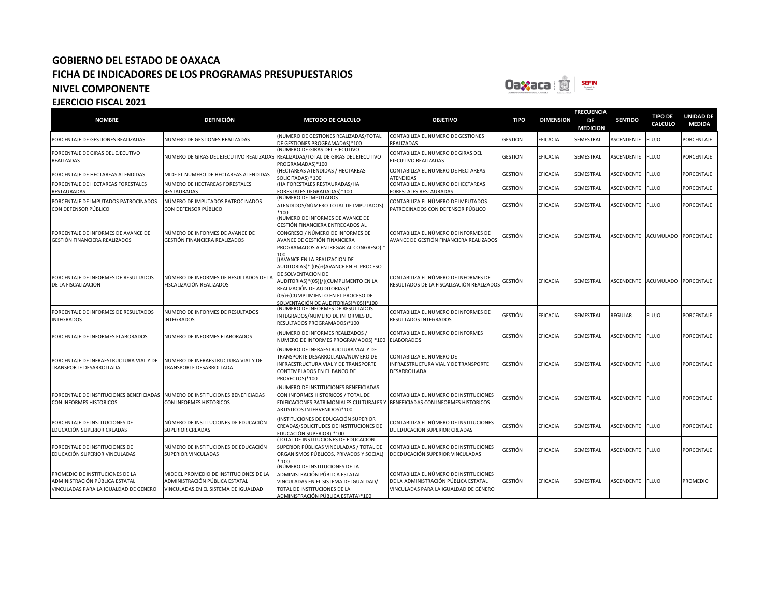

### **NOMBRE DEFINICIÓN METODO DE CALCULO OBJETIVO TIPO DIMENSION FRECUENCIA DE MEDICION SENTIDO TIPO DE CALCULO UNIDAD DE MEDIDA** PORCENTAJE DE GESTIONES REALIZADAS NUMERO DE GESTIONES REALIZADAS (NUMERO DE GESTIONES REALIZADAS/TOTAL DE GESTIONES PROGRAMADAS)\*100 CONTABILIZA EL NUMERO DE GESTIONES **FALIZADAS** GESTIÓN EFICACIA SEMESTRAL ASCENDENTE FLUJO PORCENTAJE PORCENTAJE DE GIRAS DEL EJECUTIVO REALIZADAS NUMERO DE GIRAS DEL EJECUTIVO REALIZADAS REALIZADAS/TOTAL DE GIRAS DEL EJECUTIVO (NUMERO DE GIRAS DEL EJECUTIVO PROGRAMADAS)\*100<br>(HECTAREAS ATENDIDAS / HECTAREAS CONTABILIZA EL NUMERO DE GIRAS DEL EJECUTIVO REALIZADAS GESTIÓN EFICACIA SEMESTRAL ASCENDENTE FLUJO PORCENTAJE PORCENTAJE DE HECTAREAS ATENDIDAS MIDE EL NUMERO DE HECTAREAS ATENDIDAS SOLICITADAS) \*100 CONTABILIZA EL NUMERO DE HECTAREAS **TENDIDAS** GESTIÓN EFICACIA SEMESTRAL ASCENDENTE FLUJO PORCENTAJE PORCENTAJE DE HECTAREAS FORESTALES RESTAURADAS NUMERO DE HECTAREAS FORESTALES **RESTAURADAS** (HA FORESTALES RESTAURADAS/HA FORESTALES DEGRADADAS)\*100 CONTABILIZA EL NUMERO DE HECTAREAS **ORESTALES RESTAURADAS** GESTIÓN EFICACIA SEMESTRAL ASCENDENTE FLUJO PORCENTAJE PORCENTAJE DE IMPUTADOS PATROCINADOS CON DEFENSOR PÚBLICO NÚMERO DE IMPUTADOS PATROCINADOS CON DEFENSOR PÚBLICO (NÚMERO DE IMPUTADOS ATENDIDOS/NÚMERO TOTAL DE IMPUTADOS) \*100 CONTABILIZA EL NÚMERO DE IMPUTADOS ONTABILIZA EL NUMENO DE IMPUTADOS GESTIÓN EFICACIA SEMESTRAL ASCENDENTE FLUJO PORCENTAJE<br>PATROCINADOS CON DEFENSOR PÚBLICO PORCENTAJE DE INFORMES DE AVANCE DE GESTIÓN FINANCIERA REALIZADOS NÚMERO DE INFORMES DE AVANCE DE GESTIÓN FINANCIERA REALIZADOS (NÚMERO DE INFORMES DE AVANCE DE GESTIÓN FINANCIERA ENTREGADOS AL CONGRESO / NÚMERO DE INFORMES DE AVANCE DE GESTIÓN FINANCIERA PROGRAMADOS A ENTREGAR AL CONGRESO) \* 100<br>[(AVANCE EN LA REALIZACION DE CONTABILIZA EL NÚMERO DE INFORMES DE AVANCE DE GESTIÓN FINANCIERA REALIZADOS GESTIÓN EFICACIA SEMESTRAL ASCENDENTE ACUMULADO PORCENTAJE PORCENTAJE DE INFORMES DE RESULTADOS DE LA FISCALIZACIÓN NÚMERO DE INFORMES DE RESULTADOS DE LA FISCALIZACIÓN REALIZADOS AUDITORIAS)\* (05)+(AVANCE EN EL PROCESO DE SOLVENTACIÓN DE AUDITORIAS)\*(05)]/[(CUMPLIMENTO EN LA REALIZACIÓN DE AUDITORIAS)\* (05)+(CUMPLIMIENTO EN EL PROCESO DE SOLVENTACIÓN DE AUDITORIAS)\*(05)]\*100 CONTABILIZA EL NÚMERO DE INFORMES DE RESULTADOS DE LA FISCALIZACIÓN REALIZADOS GESTIÓN EFICACIA SEMESTRAL ASCENDENTE ACUMULADO PORCENTAJE PORCENTAJE DE INFORMES DE RESULTADOS INTEGRADOS NUMERO DE INFORMES DE RESULTADOS INTEGRADOS (NUMERO DE INFORMES DE RESULTADOS INTEGRADOS/NUMERO DE INFORMES DE RESULTADOS PROGRAMADOS)\*100 CONTABILIZA EL NUMERO DE INFORMES DE RESULTADOS INTEGRADOS GESTIÓN EFICACIA SEMESTRAL REGULAR FLUJO PORCENTAJE PORCENTAJE DE INFORMES ELABORADOS NUMERO DE INFORMES ELABORADOS (NUMERO DE INFORMES REALIZADOS / NUMERO DE INFORMES PROGRAMADOS) \*100 CONTABILIZA EL NUMERO DE INFORMES ELABORADOS GESTIÓN EFICACIA SEMESTRAL ASCENDENTE FLUJO PORCENTAJE PORCENTAJE DE INFRAESTRUCTURA VIAL Y DE TRANSPORTE DESARROLLADA NUMERO DE INFRAESTRUCTURA VIAL Y DE TRANSPORTE DESARROLLADA (NUMERO DE INFRAESTRUCTURA VIAL Y DE TRANSPORTE DESARROLLADA/NUMERO DE INFRAESTRUCTURA VIAL Y DE TRANSPORTE CONTEMPLADOS EN EL BANCO DE PROYECTOS)\*100 CONTABILIZA EL NUMERO DE INFRAESTRUCTURA VIAL Y DE TRANSPORTE DESARROLLADA GESTIÓN EFICACIA SEMESTRAL ASCENDENTE FLUJO PORCENTAJE PORCENTAJE DE INSTITUCIONES BENEFICIADAS CON INFORMES HISTORICOS NUMERO DE INSTITUCIONES BENEFICIADAS CON INFORMES HISTORICOS (NUMERO DE INSTITUCIONES BENEFICIADAS CON INFORMES HISTORICOS / TOTAL DE EDIFICACIONES PATRIMONIALES CULTURALES Y ARTISTICOS INTERVENIDOS)\*100 CONTABILIZA EL NUMERO DE INSTITUCIONES BENEFICIADAS CON INFORMES HISTORICOS GESTIÓN EFICACIA SEMESTRAL ASCENDENTE FLUJO PORCENTAJE PORCENTAJE DE INSTITUCIONES DE EDUCACIÓN SUPERIOR CREADAS NÚMERO DE INSTITUCIONES DE EDUCACIÓN SUPERIOR CREADAS (INSTITUCIONES DE EDUCACIÓN SUPERIOR CREADAS/SOLICITUDES DE INSTITUCIONES DE EDUCACIÓN SUPERIOR) \*100 CONTABILIZA EL NÚMERO DE INSTITUCIONES ONTABILIZA EL NOMERO DE INSTITUCIONES GESTIÓN EFICACIA SEMESTRAL ASCENDENTE FLUJO PORCENTAJE PORCENTAJE DE INSTITUCIONES DE EDUCACIÓN SUPERIOR VINCULADAS NÚMERO DE INSTITUCIONES DE EDUCACIÓN SUPERIOR VINCULADAS (TOTAL DE INSTITUCIONES DE EDUCACIÓN SUPERIOR PÚBLICAS VINCULADAS / TOTAL DE ORGANISMOS PÚBLICOS, PRIVADOS Y SOCIAL) 100 CONTABILIZA EL NÚMERO DE INSTITUCIONES ONTABILIZA EL NUMERO DE INSTITUCIONES GESTIÓN EFICACIA SEMESTRAL ASCENDENTE FLUJO PORCENTAJE<br>DE EDUCACIÓN SUPERIOR VINCULADAS PROMEDIO DE INSTITUCIONES DE LA ADMINISTRACIÓN PÚBLICA ESTATAL VINCULADAS PARA LA IGUALDAD DE GÉNERO MIDE EL PROMEDIO DE INSTITUCIONES DE LA ADMINISTRACIÓN PÚBLICA ESTATAL VINCULADAS EN EL SISTEMA DE IGUALDAD (NÚMERO DE INSTITUCIONES DE LA ADMINISTRACIÓN PÚBLICA ESTATAL VINCULADAS EN EL SISTEMA DE IGUALDAD/ TOTAL DE INSTITUCIONES DE LA CONTABILIZA EL NÚMERO DE INSTITUCIONES DE LA ADMINISTRACIÓN PÚBLICA ESTATAL VINCULADAS PARA LA IGUALDAD DE GÉNERO GESTIÓN EFICACIA SEMESTRAL ASCENDENTE FLUJO PROMEDIO

ADMINISTRACIÓN PÚBLICA ESTATA)\*100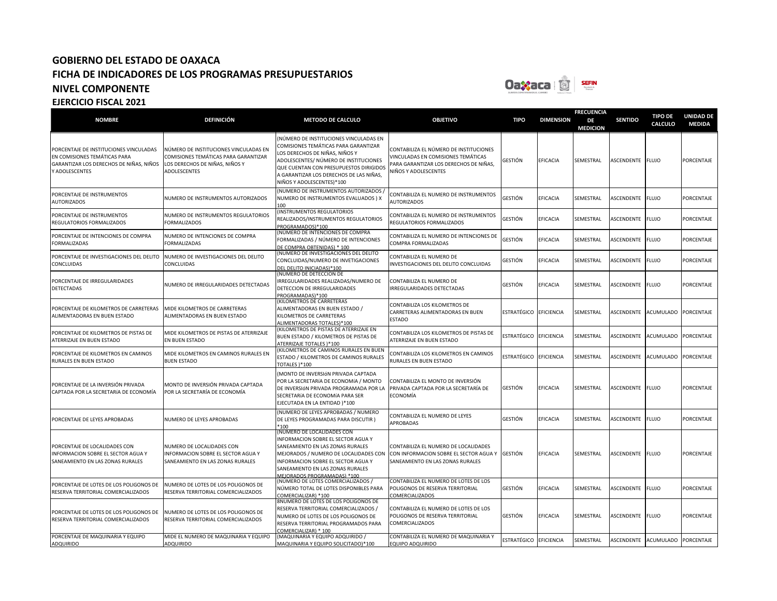

| <b>NOMBRE</b>                                                                                                                       | <b>DEFINICIÓN</b>                                                                                                               | <b>METODO DE CALCULO</b>                                                                                                                                                                                                                                                   | <b>OBJETIVO</b>                                                                                                                                | <b>TIPO</b>            | <b>DIMENSION</b>  | <b>FRECUENCIA</b><br>DE<br><b>MEDICION</b> | <b>SENTIDO</b>    | <b>TIPO DE</b><br>CALCULO | <b>UNIDAD DE</b><br><b>MEDIDA</b> |
|-------------------------------------------------------------------------------------------------------------------------------------|---------------------------------------------------------------------------------------------------------------------------------|----------------------------------------------------------------------------------------------------------------------------------------------------------------------------------------------------------------------------------------------------------------------------|------------------------------------------------------------------------------------------------------------------------------------------------|------------------------|-------------------|--------------------------------------------|-------------------|---------------------------|-----------------------------------|
| PORCENTAJE DE INSTITUCIONES VINCULADAS<br>EN COMISIONES TEMÁTICAS PARA<br>GARANTIZAR LOS DERECHOS DE NIÑAS, NIÑOS<br>Y ADOLESCENTES | NÚMERO DE INSTITUCIONES VINCULADAS EN<br>COMISIONES TEMÁTICAS PARA GARANTIZAR<br>LOS DERECHOS DE NIÑAS, NIÑOS Y<br>ADOLESCENTES | NÚMERO DE INSTITUCIONES VINCULADAS EN<br>COMISIONES TEMÁTICAS PARA GARANTIZAR<br>LOS DERECHOS DE NIÑAS, NIÑOS Y<br>ADOLESCENTES/ NÚMERO DE INSTITUCIONES<br>QUE CUENTAN CON PRESUPUESTOS DIRIGIDOS<br>A GARANTIZAR LOS DERECHOS DE LAS NIÑAS,<br>NIÑOS Y ADOLESCENTES)*100 | CONTABILIZA EL NÚMERO DE INSTITUCIONES<br>VINCULADAS EN COMISIONES TEMÁTICAS<br>PARA GARANTIZAR LOS DERECHOS DE NIÑAS,<br>NIÑOS Y ADOLESCENTES | gestión                | <b>EFICACIA</b>   | SEMESTRAL                                  | ASCENDENTE FLUJO  |                           | PORCENTAJE                        |
| PORCENTAJE DE INSTRUMENTOS<br><b>AUTORIZADOS</b>                                                                                    | NUMERO DE INSTRUMENTOS AUTORIZADOS                                                                                              | (NUMERO DE INSTRUMENTOS AUTORIZADOS,<br>NUMERO DE INSTRUMENTOS EVALUADOS ) X<br>100                                                                                                                                                                                        | CONTABILIZA EL NUMERO DE INSTRUMENTOS<br><b>AUTORIZADOS</b>                                                                                    | GESTIÓN                | EFICACIA          | SEMESTRAL                                  | ASCENDENTE FLUJO  |                           | <b>PORCENTAJE</b>                 |
| PORCENTAJE DE INSTRUMENTOS<br>REGULATORIOS FORMALIZADOS                                                                             | NUMERO DE INSTRUMENTOS REGULATORIOS<br><b>FORMALIZADOS</b>                                                                      | INSTRUMENTOS REGULATORIOS<br>REALIZADOS/INSTRUMENTOS REGULATORIOS<br>PROGRAMADOS)*100                                                                                                                                                                                      | CONTABILIZA EL NUMERO DE INSTRUMENTOS<br>REGULATORIOS FORMALIZADOS                                                                             | GESTIÓN                | EFICACIA          | SEMESTRAL                                  | ASCENDENTE        | <b>FLUJO</b>              | <b>PORCENTAJE</b>                 |
| PORCENTAJE DE INTENCIONES DE COMPRA<br><b>FORMALIZADAS</b>                                                                          | NUMERO DE INTENCIONES DE COMPRA<br><b>FORMALIZADAS</b>                                                                          | (NÚMERO DE INTENCIONES DE COMPRA<br>FORMALIZADAS / NÚMERO DE INTENCIONES<br>DE COMPRA OBTENIDAS) * 100                                                                                                                                                                     | CONTABILIZA EL NUMERO DE INTENCIONES DE<br>COMPRA FORMALIZADAS                                                                                 | GESTIÓN                | <b>EFICACIA</b>   | SEMESTRAL                                  | ASCENDENTE        | <b>FLUJO</b>              | PORCENTAJE                        |
| PORCENTAJE DE INVESTIGACIONES DEL DELITO<br>CONCLUIDAS                                                                              | NUMERO DE INVESTIGACIONES DEL DELITO<br>CONCLUIDAS                                                                              | NUMERO DE INVESTIGACIONES DEL DELITO<br>CONCLUIDAS/NUMERO DE INVETIGACIONES<br>DEL DELITO INICIADAS)*100                                                                                                                                                                   | CONTABILIZA EL NUMERO DE<br>INVESTIGACIONES DEL DELITO CONCLUIDAS                                                                              | GESTIÓN                | <b>EFICACIA</b>   | SEMESTRAL                                  | ASCENDENTE        | <b>FLUJO</b>              | PORCENTAJE                        |
| PORCENTAJE DE IRREGULARIDADES<br><b>DETECTADAS</b>                                                                                  | NUMERO DE IRREGULARIDADES DETECTADAS                                                                                            | (NUMERO DE DETECCION DE<br>IRREGULARIDADES REALIZADAS/NUMERO DE<br>DETECCION DE IRREGULARIDADES<br>PROGRAMADAS)*100                                                                                                                                                        | CONTABILIZA EL NUMERO DE<br><b>IRREGULARIDADES DETECTADAS</b>                                                                                  | GESTIÓN                | <b>EFICACIA</b>   | SEMESTRAL                                  | ASCENDENTE FLUJO  |                           | PORCENTAJE                        |
| PORCENTAJE DE KILOMETROS DE CARRETERAS<br>ALIMENTADORAS EN BUEN ESTADO                                                              | MIDE KILOMETROS DE CARRETERAS<br>ALIMENTADORAS EN BUEN ESTADO                                                                   | KILOMETROS DE CARRETERAS<br>ALIMENTADORAS EN BUEN ESTADO /<br>KILOMETROS DE CARRETERAS<br>ALIMENTADORAS TOTALES)*100                                                                                                                                                       | CONTABILIZA LOS KILOMETROS DE<br>CARRETERAS ALIMENTADORAS EN BUEN<br><b>ESTADO</b>                                                             | ESTRATÉGICO            | <b>EFICIENCIA</b> | SEMESTRAL                                  | ASCENDENTE        | <b>ACUMULADO</b>          | PORCENTAJE                        |
| PORCENTAJE DE KILOMETROS DE PISTAS DE<br>ATERRIZAJE EN BUEN ESTADO                                                                  | MIDE KILOMETROS DE PISTAS DE ATERRIZAJE<br>EN BUEN ESTADO                                                                       | KILOMETROS DE PISTAS DE ATERRIZAJE EN<br>BUEN ESTADO / KILOMETROS DE PISTAS DE<br><b>ATERRIZAJE TOTALES )*100</b>                                                                                                                                                          | CONTABILIZA LOS KILOMETROS DE PISTAS DE<br>ATERRIZAJE EN BUEN ESTADO                                                                           | ESTRATÉGICO            | EFICIENCIA        | SEMESTRAL                                  | <b>ASCENDENTE</b> | <b>ACUMULADO</b>          | <b>PORCENTAJE</b>                 |
| PORCENTAJE DE KILOMETROS EN CAMINOS<br>RURALES EN BUEN ESTADO                                                                       | MIDE KILOMETROS EN CAMINOS RURALES EN<br><b>BUEN ESTADO</b>                                                                     | KILOMETROS DE CAMINOS RURALES EN BUEN<br>ESTADO / KILOMETROS DE CAMINOS RURALES<br>TOTALES )*100                                                                                                                                                                           | CONTABILIZA LOS KILOMETROS EN CAMINOS<br>RURALES EN BUEN ESTADO                                                                                | ESTRATÉGICO            | <b>EFICIENCIA</b> | SEMESTRAL                                  | ASCENDENTE        | <b>ACUMULADO</b>          | PORCENTAJE                        |
| PORCENTAJE DE LA INVERSIÓN PRIVADA<br>CAPTADA POR LA SECRETARÍA DE ECONOMÍA                                                         | MONTO DE INVERSIÓN PRIVADA CAPTADA<br>POR LA SECRETARÍA DE ECONOMÍA                                                             | MONTO DE INVERSIÓN PRIVADA CAPTADA<br>POR LA SECRETARÍA DE ECONOMÍA / MONTO<br>DE INVERSIÓN PRIVADA PROGRAMADA POR LA<br>SECRETARÍA DE ECONOMÍA PARA SER<br>EJECUTADA EN LA ENTIDAD )*100                                                                                  | CONTABILIZA EL MONTO DE INVERSIÓN<br>PRIVADA CAPTADA POR LA SECRETARÍA DE<br>ECONOMÍA                                                          | <b>GESTIÓN</b>         | EFICACIA          | SEMESTRAL                                  | ASCENDENTE        | <b>FLUJO</b>              | PORCENTAJE                        |
| PORCENTAJE DE LEYES APROBADAS                                                                                                       | NUMERO DE LEYES APROBADAS                                                                                                       | (NUMERO DE LEYES APROBADAS / NUMERO<br>DE LEYES PROGRAMADAS PARA DISCUTIR)<br>$*100$                                                                                                                                                                                       | CONTABILIZA EL NUMERO DE LEYES<br>APROBADAS                                                                                                    | GESTIÓN                | <b>EFICACIA</b>   | SEMESTRAL                                  | ASCENDENTE        | <b>FLUJO</b>              | <b>PORCENTAJE</b>                 |
| PORCENTAJE DE LOCALIDADES CON<br>INFORMACION SOBRE EL SECTOR AGUA Y<br>SANEAMIENTO EN LAS ZONAS RURALES                             | NUMERO DE LOCALIDADES CON<br>INFORMACION SOBRE EL SECTOR AGUA Y<br>SANEAMIENTO EN LAS ZONAS RURALES                             | (NUMERO DE LOCALIDADES CON<br>INFORMACION SOBRE EL SECTOR AGUA Y<br>SANEAMIENTO EN LAS ZONAS RURALES<br>MEJORADOS / NUMERO DE LOCALIDADES CON<br>INFORMACION SOBRE EL SECTOR AGUA Y<br>SANEAMIENTO EN LAS ZONAS RURALES<br>MEIORADOS PROGRAMADAS) *100                     | CONTABILIZA EL NUMERO DE LOCALIDADES<br>CON INFORMACION SOBRE EL SECTOR AGUA Y<br>SANEAMIENTO EN LAS ZONAS RURALES                             | <b>GESTIÓN</b>         | EFICACIA          | SEMESTRAL                                  | ASCENDENTE        | <b>FLUJO</b>              | PORCENTAJE                        |
| PORCENTAJE DE LOTES DE LOS POLIGONOS DE<br>RESERVA TERRITORIAL COMERCIALIZADOS                                                      | NUMERO DE LOTES DE LOS POLIGONOS DE<br>RESERVA TERRITORIAL COMERCIALIZADOS                                                      | (NÚMERO DE LOTES COMERCIALIZADOS ,<br>NÚMERO TOTAL DE LOTES DISPONIBLES PARA<br>COMERCIALIZAR) *100                                                                                                                                                                        | CONTABILIZA EL NUMERO DE LOTES DE LOS<br>POLIGONOS DE RESERVA TERRITORIAL<br>COMERCIALIZADOS                                                   | <b>GESTIÓN</b>         | EFICACIA          | SEMESTRAL                                  | ASCENDENTE        | <b>FLUJO</b>              | PORCENTAJE                        |
| PORCENTAJE DE LOTES DE LOS POLIGONOS DE<br>RESERVA TERRITORIAL COMERCIALIZADOS                                                      | NUMERO DE LOTES DE LOS POLIGONOS DE<br>RESERVA TERRITORIAL COMERCIALIZADOS                                                      | 8NUMERO DE LOTES DE LOS POLIGONOS DE<br>RESERVA TERRITORIAL COMERCIALIZADOS /<br>NUMERO DE LOTES DE LOS POLIGONOS DE<br>RESERVA TERRITORIAL PROGRAMADOS PARA<br>COMERCIALIZAR) * 100                                                                                       | CONTABILIZA EL NUMERO DE LOTES DE LOS<br>POLIGONOS DE RESERVA TERRITORIAL<br><b>COMERCIALIZADOS</b>                                            | <b>GESTIÓN</b>         | <b>EFICACIA</b>   | SEMESTRAL                                  | ASCENDENTE        | <b>FLUJO</b>              | PORCENTAJE                        |
| PORCENTAJE DE MAQUINARIA Y EQUIPO<br><b>ADQUIRIDO</b>                                                                               | MIDE EL NUMERO DE MAQUINARIA Y EQUIPO<br><b>ADQUIRIDO</b>                                                                       | (MAQUINARIA Y EQUIPO ADQUIRIDO /<br>MAQUINARIA Y EQUIPO SOLICITADO)*100                                                                                                                                                                                                    | CONTABILIZA EL NUMERO DE MAQUINARIA Y<br>EQUIPO ADQUIRIDO                                                                                      | ESTRATÉGICO EFICIENCIA |                   | SEMESTRAL                                  | ASCENDENTE        | <b>ACUMULADO</b>          | PORCENTAJE                        |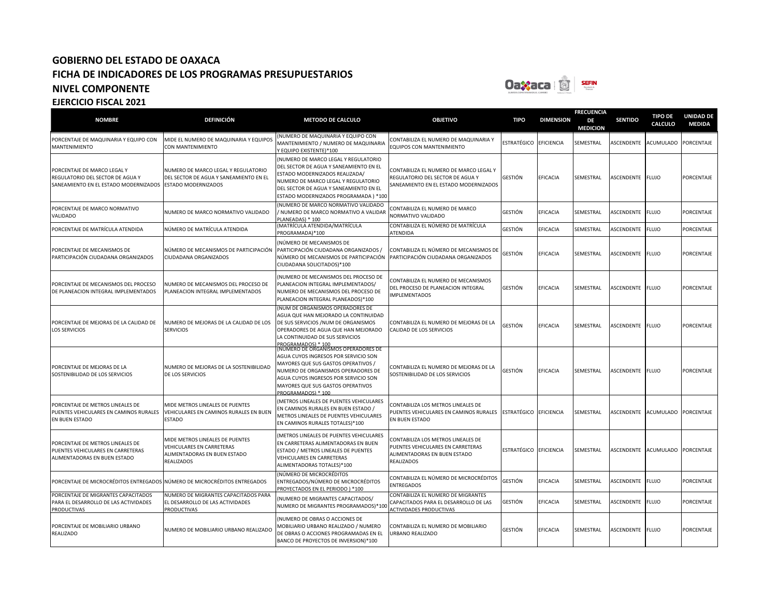

### **NOMBRE DEFINICIÓN METODO DE CALCULO OBJETIVO TIPO DIMENSION FRECUENCIA DE MEDICION SENTIDO TIPO DE CALCULO UNIDAD DE MEDIDA** PORCENTAJE DE MAQUINARIA Y EQUIPO CON MANTENIMIENTO MIDE EL NUMERO DE MAQUINARIA Y EQUIPOS CON MANTENIMIENTO (NUMERO DE MAQUINARIA Y EQUIPO CON MANTENIMIENTO / NUMERO DE MAQUINARIA Y EQUIPO EXISTENTE)\*100 CONTABILIZA EL NUMERO DE MAQUINARIA Y EQUIPOS CON MANTENIMIENTO ESTRATÉGICO EFICIENCIA SEMESTRAL ASCENDENTE ACUMULADO PORCENTAJE PORCENTAJE DE MARCO LEGAL Y REGULATORIO DEL SECTOR DE AGUA Y SANEAMIENTO EN EL ESTADO MODERNIZADOS NUMERO DE MARCO LEGAL Y REGULATORIO DEL SECTOR DE AGUA Y SANEAMIENTO EN EL ESTADO MODERNIZADOS (NUMERO DE MARCO LEGAL Y REGULATORIO DEL SECTOR DE AGUA Y SANEAMIENTO EN EL ESTADO MODERNIZADOS REALIZADA/ NUMERO DE MARCO LEGAL Y REGULATORIO DEL SECTOR DE AGUA Y SANEAMIENTO EN EL ESTADO MODERNIZADOS PROGRAMADA ) \*100 CONTABILIZA EL NUMERO DE MARCO LEGAL Y REGULATORIO DEL SECTOR DE AGUA Y **SANEAMIENTO EN EL ESTADO MODERNIZADOS** GESTIÓN EFICACIA SEMESTRAL ASCENDENTE FLUJO PORCENTAJE PORCENTAJE DE MARCO NORMATIVO VALIDADO NUMERO DE MARCO NORMATIVO VALIDADO (NUMERO DE MARCO NORMATIVO VALIDADO / NUMERO DE MARCO NORMATIVO A VALIDAR PLANEADAS) \* 100<br>(MATRÍCULA ATENDIDA/MATRÍCULA CONTABILIZA EL NUMERO DE MARCO NORMATIVO VALIDADO GESTIÓN EFICACIA SEMESTRAL ASCENDENTE FLUJO PORCENTAJE PORCENTAJE DE MATRÍCULA ATENDIDA NÚMERO DE MATRÍCULA ATENDIDA PROGRAMADA)\*100 CONTABILIZA EL NÚMERO DE MATRÍCULA ATENDIDA GESTIÓN EFICACIA SEMESTRAL ASCENDENTE FLUJO PORCENTAJE PORCENTAJE DE MECANISMOS DE PARTICIPACIÓN CIUDADANA ORGANIZADOS NÚMERO DE MECANISMOS DE PARTICIPACIÓN CIUDADANA ORGANIZADOS (NÚMERO DE MECANISMOS DE PARTICIPACIÓN CIUDADANA ORGANIZADOS / NÚMERO DE MECANISMOS DE PARTICIPACIÓN CIUDADANA SOLICITADOS)\*100 CONTABILIZA EL NÚMERO DE MECANISMOS DE PARTICIPACIÓN CIUDADANA ORGANIZADOS GESTIÓN EFICACIA SEMESTRAL ASCENDENTE FLUJO PORCENTAJE PORCENTAJE DE MECANISMOS DEL PROCESO DE PLANEACION INTEGRAL IMPLEMENTADOS NUMERO DE MECANISMOS DEL PROCESO DE PLANEACION INTEGRAL IMPLEMENTADOS (NUMERO DE MECANISMOS DEL PROCESO DE **PLANEACION INTEGRAL IMPLEMENTADOS/** NUMERO DE MECANISMOS DEL PROCESO DE PLANEACION INTEGRAL PLANEADOS)\*100 CONTABILIZA EL NUMERO DE MECANISMOS DEL PROCESO DE PLANEACION INTEGRAL MPI EMENTADOS GESTIÓN EFICACIA SEMESTRAL ASCENDENTE FLUJO PORCENTAJE PORCENTAJE DE MEJORAS DE LA CALIDAD DE LOS SERVICIOS NUMERO DE MEJORAS DE LA CALIDAD DE LOS SERVICIOS (NUM DE ORGANISMOS OPERADORES DE AGUA QUE HAN MEJORADO LA CONTINUIDAD DE SUS SERVICIOS /NUM DE ORGANISMOS OPERADORES DE AGUA QUE HAN MEJORADO LA CONTINUIDAD DE SUS SERVICIOS PROGRAMADOS) \* 100 (NUMERO DE ORGANISMOS OPERADORES DE CONTABILIZA EL NUMERO DE MEJORAS DE LA CALIDAD DE LOS SERVICIOS GESTIÓN EFICACIA SEMESTRAL ASCENDENTE FLUJO PORCENTAJE PORCENTAJE DE MEJORAS DE LA SOSTENIBILIDAD DE LOS SERVICIOS NUMERO DE MEJORAS DE LA SOSTENIBILIDAD DE LOS SERVICIOS AGUA CUYOS INGRESOS POR SERVICIO SON MAYORES QUE SUS GASTOS OPERATIVOS / NUMERO DE ORGANISMOS OPERADORES DE AGUA CUYOS INGRESOS POR SERVICIO SON MAYORES QUE SUS GASTOS OPERATIVOS PROGRAMADOS) \* 100 CONTABILIZA EL NUMERO DE MEJORAS DE LA SOSTENIBILIDAD DE LOS SERVICIOS GESTIÓN EFICACIA SEMESTRAL ASCENDENTE FLUJO PORCENTAJE PORCENTAJE DE METROS LINEALES DE PUENTES VEHICULARES EN CAMINOS RURALES EN BUEN ESTADO MIDE METROS LINEALES DE PUENTES VEHICULARES EN CAMINOS RURALES EN BUEN ESTADO (METROS LINEALES DE PUENTES VEHICULARES EN CAMINOS RURALES EN BUEN ESTADO / METROS LINEALES DE PUENTES VEHICULARES EN CAMINOS RURALES TOTALES)\*100 CONTABILIZA LOS METROS LINEALES DE PUENTES VEHICULARES EN CAMINOS RURALES EN BUEN ESTADO ESTRATÉGICO EFICIENCIA SEMESTRAL ASCENDENTE ACUMULADO PORCENTAJE PORCENTAJE DE METROS LINEALES DE PUENTES VEHICULARES EN CARRETERAS ALIMENTADORAS EN BUEN ESTADO MIDE METROS LINEALES DE PUENTES VEHICULARES EN CARRETERAS ALIMENTADORAS EN BUEN ESTADO REALIZADOS (METROS LINEALES DE PUENTES VEHICULARES EN CARRETERAS ALIMENTADORAS EN BUEN ESTADO / METROS LINEALES DE PUENTES VEHICULARES EN CARRETERAS ALIMENTADORAS TOTALES)\*100 CONTABILIZA LOS METROS LINEALES DE PUENTES VEHICULARES EN CARRETERAS ALIMENTADORAS EN BUEN ESTADO REALIZADOS ESTRATÉGICO EFICIENCIA SEMESTRAL ASCENDENTE ACUMULADO PORCENTAJE PORCENTAJE DE MICROCRÉDITOS ENTREGADOS NÚMERO DE MICROCRÉDITOS ENTREGADOS (NÚMERO DE MICROCRÉDITOS ENTREGADOS/NÚMERO DE MICROCRÉDITOS PROYECTADOS EN EL PERIODO ) \*100 CONTABILIZA EL NÚMERO DE MICROCRÉDITOS **ENTREGADOS** GESTIÓN EFICACIA SEMESTRAL ASCENDENTE FLUJO PORCENTAJE PORCENTAJE DE MIGRANTES CAPACITADOS PARA EL DESARROLLO DE LAS ACTIVIDADES **PRODUCTIVAS** NUMERO DE MIGRANTES CAPACITADOS PARA EL DESARROLLO DE LAS ACTIVIDADES **PRODUCTIVAS** (NUMERO DE MIGRANTES CAPACITADOS/ NUMERO DE MIGRANTES PROGRAMADOS)\*100 CONTABILIZA EL NUMERO DE MIGRANTES CAPACITADOS PARA EL DESARROLLO DE LAS ACTIVIDADES PRODUCTIVAS GESTIÓN EFICACIA SEMESTRAL ASCENDENTE FLUJO PORCENTAJE PORCENTAJE DE MOBILIARIO URBANO REALIZADO NUMERO DE MOBILIARIO URBANO REALIZADO (NUMERO DE OBRAS O ACCIONES DE MOBILIARIO URBANO REALIZADO / NUMERO DE OBRAS O ACCIONES PROGRAMADAS EN EL BANCO DE PROYECTOS DE INVERSION)\*100 CONTABILIZA EL NUMERO DE MOBILIARIO URBANO REALIZADO GESTIÓN EFICACIA SEMESTRAL ASCENDENTE FLUJO PORCENTAJE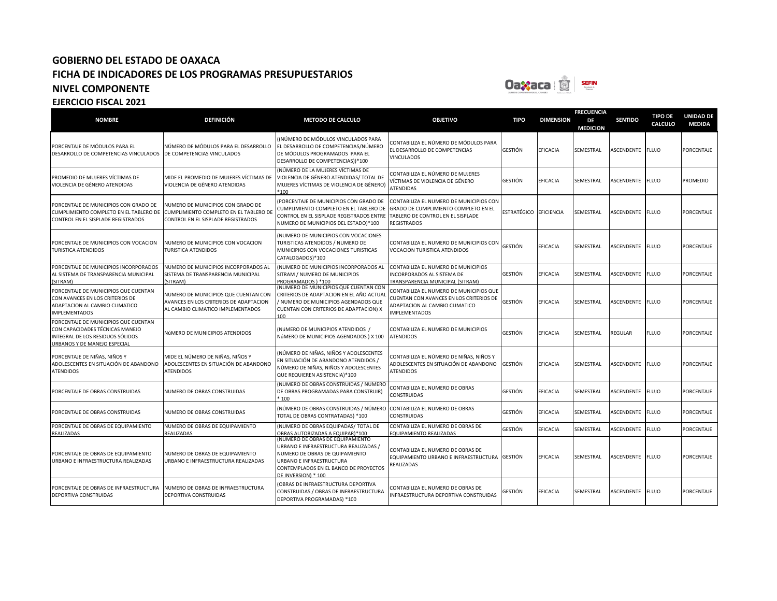

| <b>NOMBRE</b>                                                                                                                               | <b>DEFINICIÓN</b>                                                                                                   | <b>METODO DE CALCULO</b>                                                                                                                                                                                | <b>OBJETIVO</b>                                                                                                                              | <b>TIPO</b>    | <b>DIMENSION</b>  | <b>FRECUENCIA</b><br>DE<br><b>MEDICION</b> | <b>SENTIDO</b>    | <b>TIPO DE</b><br><b>CALCULO</b> | <b>UNIDAD DE</b><br><b>MEDIDA</b> |
|---------------------------------------------------------------------------------------------------------------------------------------------|---------------------------------------------------------------------------------------------------------------------|---------------------------------------------------------------------------------------------------------------------------------------------------------------------------------------------------------|----------------------------------------------------------------------------------------------------------------------------------------------|----------------|-------------------|--------------------------------------------|-------------------|----------------------------------|-----------------------------------|
| PORCENTAJE DE MÓDULOS PARA EL<br>DESARROLLO DE COMPETENCIAS VINCULADOS                                                                      | NÚMERO DE MÓDULOS PARA EL DESARROLLO<br>DE COMPETENCIAS VINCULADOS                                                  | (NÚMERO DE MÓDULOS VINCULADOS PARA<br>EL DESARROLLO DE COMPETENCIAS/NÚMERO<br>DE MÓDULOS PROGRAMADOS PARA EL<br>DESARROLLO DE COMPETENCIAS))*100                                                        | CONTABILIZA EL NÚMERO DE MÓDULOS PARA<br>EL DESARROLLO DE COMPETENCIAS<br><b>VINCULADOS</b>                                                  | GESTIÓN        | <b>EFICACIA</b>   | SEMESTRAL                                  | ASCENDENTE        | <b>FLUJO</b>                     | PORCENTAJE                        |
| PROMEDIO DE MUJERES VÍCTIMAS DE<br>VIOLENCIA DE GÉNERO ATENDIDAS                                                                            | MIDE EL PROMEDIO DE MUJERES VÍCTIMAS DE<br>VIOLENCIA DE GÉNERO ATENDIDAS                                            | (NÚMERO DE LA MUJERES VÍCTIMAS DE<br>VIOLENCIA DE GÉNERO ATENDIDAS/ TOTAL DE<br>MUJERES VÍCTIMAS DE VIOLENCIA DE GÉNERO)<br>$*100$                                                                      | CONTABILIZA EL NÚMERO DE MUJERES<br>VÍCTIMAS DE VIOLENCIA DE GÉNERO<br>ATENDIDAS                                                             | GESTIÓN        | <b>EFICACIA</b>   | SEMESTRAL                                  | ASCENDENTE        | <b>FLUJO</b>                     | PROMEDIO                          |
| PORCENTAJE DE MUNICIPIOS CON GRADO DE<br>CUMPLIMIENTO COMPLETO EN EL TABLERO DE<br>CONTROL EN EL SISPLADE REGISTRADOS                       | NUMERO DE MUNICIPIOS CON GRADO DE<br>CUMPLIMIENTO COMPLETO EN EL TABLERO DE<br>CONTROL EN EL SISPLADE REGISTRADOS   | PORCENTAJE DE MUNICIPIOS CON GRADO DE<br>CUMPLIMIENTO COMPLETO EN EL TABLERO DE<br>CONTROL EN EL SISPLADE REGISTRADOS ENTRE<br>NUMERO DE MUNICIPIOS DEL ESTADO)*100                                     | CONTABILIZA EL NUMERO DE MUNICIPIOS CON<br>GRADO DE CUMPLIMIENTO COMPLETO EN EL<br>TABLERO DE CONTROL EN EL SISPLADE<br><b>REGISTRADOS</b>   | ESTRATÉGICO    | <b>EFICIENCIA</b> | SEMESTRAL                                  | ASCENDENTE FLUJO  |                                  | PORCENTAJE                        |
| PORCENTAJE DE MUNICIPIOS CON VOCACION<br>TURISTICA ATENDIDOS                                                                                | NUMERO DE MUNICIPIOS CON VOCACION<br><b>TURISTICA ATENDIDOS</b>                                                     | (NUMERO DE MUNICIPIOS CON VOCACIONES<br>TURISTICAS ATENDIDOS / NUMERO DE<br>MUNICIPIOS CON VOCACIONES TURISTICAS<br>CATALOGADOS)*100                                                                    | CONTABILIZA EL NUMERO DE MUNICIPIOS CON<br><b>VOCACION TURISTICA ATENDIDOS</b>                                                               | GESTIÓN        | <b>EFICACIA</b>   | SEMESTRAL                                  | ASCENDENTE FLUJO  |                                  | PORCENTAJE                        |
| PORCENTAJE DE MUNICIPIOS INCORPORADOS<br>AL SISTEMA DE TRANSPARENCIA MUNICIPAL<br>(SITRAM)                                                  | NUMERO DE MUNICIPIOS INCORPORADOS AL<br>SISTEMA DE TRANSPARENCIA MUNICIPAL<br>(SITRAM)                              | (NUMERO DE MUNICIPIOS INCORPORADOS AL<br>SITRAM / NUMERO DE MUNICIPIOS<br>PROGRAMADOS ) *100                                                                                                            | CONTABILIZA EL NUMERO DE MUNICIPIOS<br>INCORPORADOS AL SISTEMA DE<br>TRANSPARENCIA MUNICIPAL (SITRAM)                                        | GESTIÓN        | EFICACIA          | SEMESTRAL                                  | ASCENDENTE        | <b>FLUJO</b>                     | PORCENTAJE                        |
| PORCENTAJE DE MUNICIPIOS QUE CUENTAN<br>CON AVANCES EN LOS CRITERIOS DE<br>ADAPTACION AL CAMBIO CLIMATICO<br><b>IMPLEMENTADOS</b>           | NUMERO DE MUNICIPIOS QUE CUENTAN CON<br>AVANCES EN LOS CRITERIOS DE ADAPTACION<br>AL CAMBIO CLIMATICO IMPLEMENTADOS | NUMERO DE MUNICIPIOS QUE CUENTAN CON<br>CRITERIOS DE ADAPTACION EN EL AÑO ACTUAI<br>/ NUMERO DE MUNICIPIOS AGENDADOS QUE<br>CUENTAN CON CRITERIOS DE ADAPTACION) X<br>100                               | CONTABILIZA EL NUMERO DE MUNICIPIOS QUE<br>CUENTAN CON AVANCES EN LOS CRITERIOS DE<br>ADAPTACION AL CAMBIO CLIMATICO<br><b>IMPLEMENTADOS</b> | GESTIÓN        | EFICACIA          | SEMESTRAL                                  | ASCENDENTE        | <b>FLUJO</b>                     | PORCENTAJE                        |
| PORCENTAJE DE MUNICIPIOS QUE CUENTAN<br>CON CAPACIDADES TÉCNICAS MANEJO<br>INTEGRAL DE LOS RESIDUOS SÓLIDOS<br>URBANOS Y DE MANEJO ESPECIAL | NÚMERO DE MUNICIPIOS ATENDIDOS                                                                                      | (NÚMERO DE MUNICIPIOS ATENDIDOS /<br>NÚMERO DE MUNICIPIOS AGENDADOS ) X 100                                                                                                                             | CONTABILIZA EL NUMERO DE MUNICIPIOS<br><b>ATENDIDOS</b>                                                                                      | GESTIÓN        | EFICACIA          | SEMESTRAL                                  | REGULAR           | <b>FLUJO</b>                     | PORCENTAJE                        |
| PORCENTAJE DE NIÑAS, NIÑOS Y<br>ADOLESCENTES EN SITUACIÓN DE ABANDONO<br><b>ATENDIDOS</b>                                                   | MIDE EL NÚMERO DE NIÑAS, NIÑOS Y<br>ADOLESCENTES EN SITUACIÓN DE ABANDONO<br><b>ATENDIDOS</b>                       | NÚMERO DE NIÑAS, NIÑOS Y ADOLESCENTES<br>EN SITUACIÓN DE ABANDONO ATENDIDOS /<br>NÚMERO DE NIÑAS, NIÑOS Y ADOLESCENTES<br>QUE REQUIEREN ASISTENCIA)*100                                                 | CONTABILIZA EL NÚMERO DE NIÑAS, NIÑOS Y<br>ADOLESCENTES EN SITUACIÓN DE ABANDONO<br><b>ATENDIDOS</b>                                         | GESTIÓN        | <b>EFICACIA</b>   | SEMESTRAL                                  | ASCENDENTE        | <b>FLUJO</b>                     | PORCENTAJE                        |
| PORCENTAJE DE OBRAS CONSTRUIDAS                                                                                                             | NUMERO DE OBRAS CONSTRUIDAS                                                                                         | (NUMERO DE OBRAS CONSTRUIDAS / NUMERO<br>DE OBRAS PROGRAMADAS PARA CONSTRUIR)<br>$*100$                                                                                                                 | CONTABILIZA EL NUMERO DE OBRAS<br>CONSTRUIDAS                                                                                                | GESTIÓN        | <b>EFICACIA</b>   | SEMESTRAL                                  | <b>ASCENDENTE</b> | <b>FLUJO</b>                     | PORCENTAJE                        |
| PORCENTAJE DE OBRAS CONSTRUIDAS                                                                                                             | NUMERO DE OBRAS CONSTRUIDAS                                                                                         | (NÚMERO DE OBRAS CONSTRUIDAS / NÚMERO CONTABILIZA EL NUMERO DE OBRAS<br>TOTAL DE OBRAS CONTRATADAS) *100                                                                                                | CONSTRUIDAS                                                                                                                                  | GESTIÓN        | <b>EFICACIA</b>   | <b>SEMESTRAL</b>                           | ASCENDENTE FLUJO  |                                  | PORCENTAJE                        |
| PORCENTAJE DE OBRAS DE EQUIPAMIENTO<br>REALIZADAS                                                                                           | NUMERO DE OBRAS DE EQUIPAMIENTO<br>REALIZADAS                                                                       | NUMERO DE OBRAS EQUIPADAS/ TOTAL DE<br>OBRAS AUTORIZADAS A EQUIPAR)*100                                                                                                                                 | CONTABILIZA EL NUMERO DE OBRAS DE<br>EQUIPAMIENTO REALIZADAS                                                                                 | GESTIÓN        | EFICACIA          | SEMESTRAL                                  | ASCENDENTE        | <b>FLUJO</b>                     | PORCENTAJE                        |
| PORCENTAJE DE OBRAS DE EQUIPAMIENTO<br>URBANO E INFRAESTRUCTURA REALIZADAS                                                                  | NUMERO DE OBRAS DE EQUIPAMIENTO<br>URBANO E INFRAESTRUCTURA REALIZADAS                                              | (NUMERO DE OBRAS DE EQUIPAMIENTO<br>URBANO E INFRAESTRUCTURA REALIZADAS /<br>NUMERO DE OBRAS DE QUIPAMIENTO<br>URBANO E INFRAESTRUCTURA<br>CONTEMPLADOS EN EL BANCO DE PROYECTOS<br>DE INVERSION) * 100 | CONTABILIZA EL NUMERO DE OBRAS DE<br>EQUIPAMIENTO URBANO E INFRAESTRUCTURA<br>REALIZADAS                                                     | <b>GESTIÓN</b> | <b>EFICACIA</b>   | SEMESTRAL                                  | ASCENDENTE FLUJO  |                                  | PORCENTAJE                        |
| PORCENTAJE DE OBRAS DE INFRAESTRUCTURA<br>DEPORTIVA CONSTRUIDAS                                                                             | NUMERO DE OBRAS DE INFRAESTRUCTURA<br>DEPORTIVA CONSTRUIDAS                                                         | OBRAS DE INFRAESTRUCTURA DEPORTIVA<br>CONSTRUIDAS / OBRAS DE INFRAESTRUCTURA<br>DEPORTIVA PROGRAMADAS) *100                                                                                             | CONTABILIZA EL NUMERO DE OBRAS DE<br>INFRAESTRUCTURA DEPORTIVA CONSTRUIDAS                                                                   | GESTIÓN        | <b>EFICACIA</b>   | SEMESTRAL                                  | ASCENDENTE FLUJO  |                                  | PORCENTAJE                        |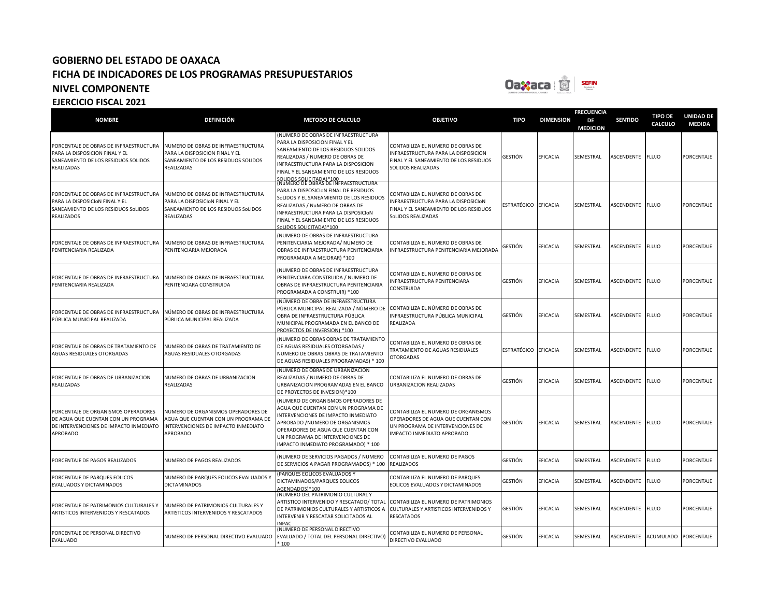

| <b>NOMBRE</b>                                                                                                                    | <b>DEFINICIÓN</b>                                                                                                            | <b>METODO DE CALCULO</b>                                                                                                                                                                                                                                                | <b>OBJETIVO</b>                                                                                                                             | <b>TIPO</b>          | <b>DIMENSION</b> | <b>FRECUENCIA</b><br>DE<br><b>MEDICION</b> | <b>SENTIDO</b>   | <b>TIPO DE</b><br>CALCULO | <b>UNIDAD DE</b><br><b>MEDIDA</b> |
|----------------------------------------------------------------------------------------------------------------------------------|------------------------------------------------------------------------------------------------------------------------------|-------------------------------------------------------------------------------------------------------------------------------------------------------------------------------------------------------------------------------------------------------------------------|---------------------------------------------------------------------------------------------------------------------------------------------|----------------------|------------------|--------------------------------------------|------------------|---------------------------|-----------------------------------|
| PORCENTAJE DE OBRAS DE INFRAESTRUCTURA<br>PARA LA DISPOSICION FINAL Y EL<br>SANEAMIENTO DE LOS RESIDUOS SOLIDOS<br>REALIZADAS    | NUMERO DE OBRAS DE INFRAESTRUCTURA<br>PARA LA DISPOSICION FINAL Y EL<br>SANEAMIENTO DE LOS RESIDUOS SOLIDOS<br>REALIZADAS    | NUMERO DE OBRAS DE INFRAESTRUCTURA<br>PARA LA DISPOSICION FINAL Y EL<br>SANEAMIENTO DE LOS RESIDUOS SOLIDOS<br>REALIZADAS / NUMERO DE OBRAS DE<br>INFRAESTRUCTURA PARA LA DISPOSICION<br>FINAL Y EL SANEAMIENTO DE LOS RESIDUOS<br>SOLIDOS SOLICITADA)*100              | CONTABILIZA EL NUMERO DE OBRAS DE<br>INFRAESTRUCTURA PARA LA DISPOSICION<br>FINAL Y EL SANEAMIENTO DE LOS RESIDUOS<br>SOLIDOS REALIZADAS    | GESTIÓN              | <b>EFICACIA</b>  | SEMESTRAL                                  | ASCENDENTE FLUJO |                           | PORCENTAJE                        |
| PORCENTAJE DE OBRAS DE INFRAESTRUCTURA<br>PARA LA DISPOSICION FINAL Y EL<br>SANEAMIENTO DE LOS RESIDUOS SoLIDOS<br>REALIZADOS    | NUMERO DE OBRAS DE INFRAESTRUCTURA<br>PARA LA DISPOSICION FINAL Y EL<br>SANEAMIENTO DE LOS RESIDUOS SoLIDOS<br>REALIZADAS    | (NuMERO DE OBRAS DE INFRAESTRUCTURA<br>PARA LA DISPOSICION FINAL DE RESIDUOS<br>SoLIDOS Y EL SANEAMIENTO DE LOS RESIDUOS<br>REALIZADAS / NuMERO DE OBRAS DE<br>INFRAESTRUCTURA PARA LA DISPOSICION<br>FINAL Y EL SANEAMIENTO DE LOS RESIDUOS<br>SOLIDOS SOLICITADA)*100 | CONTABILIZA EL NUMERO DE OBRAS DE<br>INFRAESTRUCTURA PARA LA DISPOSICION<br>FINAL Y EL SANEAMIENTO DE LOS RESIDUOS<br>SoLIDOS REALIZADAS    | ESTRATÉGICO EFICACIA |                  | SEMESTRAL                                  | ASCENDENTE FLUJO |                           | PORCENTAJE                        |
| PORCENTAJE DE OBRAS DE INFRAESTRUCTURA<br>PENITENCIARIA REALIZADA                                                                | NUMERO DE OBRAS DE INFRAESTRUCTURA<br>PENITENCIARIA MEJORADA                                                                 | NUMERO DE OBRAS DE INFRAESTRUCTURA)<br>PENITENCIARIA MEJORADA/ NUMERO DE<br>OBRAS DE INFRAESTRUCTURA PENITENCIARIA<br>PROGRAMADA A MEJORAR) *100                                                                                                                        | CONTABILIZA EL NUMERO DE OBRAS DE<br>INFRAESTRUCTURA PENITENCIARIA MEJORADA                                                                 | GESTIÓN              | EFICACIA         | SEMESTRAL                                  | ASCENDENTE FLUJO |                           | PORCENTAJE                        |
| PORCENTAJE DE OBRAS DE INFRAESTRUCTURA<br>PENITENCIARIA REALIZADA                                                                | NUMERO DE OBRAS DE INFRAESTRUCTURA<br>PENITENCIARA CONSTRUIDA                                                                | NUMERO DE OBRAS DE INFRAESTRUCTURA)<br>PENITENCIARA CONSTRUIDA / NUMERO DE<br>OBRAS DE INFRAESTRUCTURA PENITENCIARIA<br>PROGRAMADA A CONSTRUIR) *100                                                                                                                    | CONTABILIZA EL NUMERO DE OBRAS DE<br>INFRAESTRUCTURA PENITENCIARA<br>CONSTRUIDA                                                             | GESTIÓN              | EFICACIA         | SEMESTRAL                                  | ASCENDENTE       | <b>FLUJO</b>              | PORCENTAJE                        |
| PORCENTAJE DE OBRAS DE INFRAESTRUCTURA<br>PÚBLICA MUNICIPAL REALIZADA                                                            | NÚMERO DE OBRAS DE INFRAESTRUCTURA<br>PÚBLICA MUNICIPAL REALIZADA                                                            | (NÚMERO DE OBRA DE INFRAESTRUCTURA<br>PÚBLICA MUNICIPAL REALIZADA / NÚMERO DE CONTABILIZA EL NÚMERO DE OBRAS DE<br>OBRA DE INFRAESTRUCTURA PÚBLICA<br>MUNICIPAL PROGRAMADA EN EL BANCO DE<br>PROYECTOS DE INVERSION) *100                                               | INFRAESTRUCTURA PÚBLICA MUNICIPAL<br>REALIZADA                                                                                              | GESTIÓN              | EFICACIA         | SEMESTRAL                                  | ASCENDENTE       | <b>FLUJO</b>              | PORCENTAJE                        |
| PORCENTAJE DE OBRAS DE TRATAMIENTO DE<br>AGUAS RESIDUALES OTORGADAS                                                              | NUMERO DE OBRAS DE TRATAMIENTO DE<br>AGUAS RESIDUALES OTORGADAS                                                              | NUMERO DE OBRAS OBRAS DE TRATAMIENTO<br>DE AGUAS RESIDUALES OTORGADAS /<br>NUMERO DE OBRAS OBRAS DE TRATAMIENTO<br>DE AGUAS RESIDUALES PROGRAMADAS) * 100                                                                                                               | CONTABILIZA EL NUMERO DE OBRAS DE<br>TRATAMIENTO DE AGUAS RESIDUALES<br><b>OTORGADAS</b>                                                    | ESTRATÉGICO          | <b>EFICACIA</b>  | SEMESTRAL                                  | ASCENDENTE FLUJO |                           | PORCENTAJE                        |
| PORCENTAJE DE OBRAS DE URBANIZACION<br>REALIZADAS                                                                                | NUMERO DE OBRAS DE URBANIZACION<br>REALIZADAS                                                                                | (NUMERO DE OBRAS DE URBANIZACION<br>REALIZADAS / NUMERO DE OBRAS DE<br>URBANIZACION PROGRAMADAS EN EL BANCO<br>DE PROYECTOS DE INVESION)*100                                                                                                                            | CONTABILIZA EL NUMERO DE OBRAS DE<br>URBANIZACION REALIZADAS                                                                                | GESTIÓN              | EFICACIA         | SEMESTRAL                                  | ASCENDENTE       | <b>FLUJO</b>              | PORCENTAJE                        |
| PORCENTAJE DE ORGANISMOS OPERADORES<br>DE AGUA QUE CUENTAN CON UN PROGRAMA<br>DE INTERVENCIONES DE IMPACTO INMEDIATO<br>APROBADO | NUMERO DE ORGANISMOS OPERADORES DE<br>AGUA QUE CUENTAN CON UN PROGRAMA DE<br>INTERVENCIONES DE IMPACTO INMEDIATO<br>APROBADO | NUMERO DE ORGANISMOS OPERADORES DE<br>AGUA QUE CUENTAN CON UN PROGRAMA DE<br>INTERVENCIONES DE IMPACTO INMEDIATO<br>APROBADO /NUMERO DE ORGANISMOS<br>OPERADORES DE AGUA QUE CUENTAN CON<br>UN PROGRAMA DE INTERVENCIONES DE<br>IMPACTO INMEDIATO PROGRAMADO) * 100     | CONTABILIZA EL NUMERO DE ORGANISMOS<br>OPERADORES DE AGUA QUE CUENTAN CON<br>UN PROGRAMA DE INTERVENCIONES DE<br>IMPACTO INMEDIATO APROBADO | GESTIÓN              | EFICACIA         | SEMESTRAL                                  | ASCENDENTE FLUJO |                           | PORCENTAJE                        |
| PORCENTAJE DE PAGOS REALIZADOS                                                                                                   | NUMERO DE PAGOS REALIZADOS                                                                                                   | NUMERO DE SERVICIOS PAGADOS / NUMERO<br>DE SERVICIOS A PAGAR PROGRAMADOS) * 100                                                                                                                                                                                         | CONTABILIZA EL NUMERO DE PAGOS<br><b>REALIZADOS</b>                                                                                         | GESTIÓN              | EFICACIA         | SEMESTRAL                                  | ASCENDENTE       | <b>FLUJO</b>              | <b>PORCENTAJE</b>                 |
| PORCENTAJE DE PARQUES EOLICOS<br>EVALUADOS Y DICTAMINADOS                                                                        | NUMERO DE PARQUES EOLICOS EVALUADOS Y<br><b>DICTAMINADOS</b>                                                                 | PARQUES EOLICOS EVALUADOS Y<br>DICTAMINADOS/PARQUES EOLICOS<br>AGENDADOS)*100                                                                                                                                                                                           | CONTABILIZA EL NUMERO DE PARQUES<br>EOLICOS EVALUADOS Y DICTAMINADOS                                                                        | GESTIÓN              | EFICACIA         | SEMESTRAL                                  | ASCENDENTE       | <b>FLUJO</b>              | PORCENTAJE                        |
| PORCENTAJE DE PATRIMONIOS CULTURALES Y<br>ARTISTICOS INTERVENIDOS Y RESCATADOS                                                   | NUMERO DE PATRIMONIOS CULTURALES Y<br>ARTISTICOS INTERVENIDOS Y RESCATADOS                                                   | (NUMERO DEL PATRIMONIO CULTURAL Y<br>ARTISTICO INTERVENIDO Y RESCATADO/ TOTAL CONTABILIZA EL NUMERO DE PATRIMONIOS<br>DE PATRIMONIOS CULTURALES Y ARTISTICOS A<br>INTERVENIR Y RESCATAR SOLICITADOS AL<br><b>NPAC</b>                                                   | CULTURALES Y ARTISTICOS INTERVENIDOS Y<br><b>RESCATADOS</b>                                                                                 | GESTIÓN              | <b>EFICACIA</b>  | SEMESTRAL                                  | ASCENDENTE       | <b>FLUJO</b>              | PORCENTAJE                        |
| PORCENTAJE DE PERSONAL DIRECTIVO<br>EVALUADO                                                                                     | NUMERO DE PERSONAL DIRECTIVO EVALUADO                                                                                        | NUMERO DE PERSONAL DIRECTIVO<br>EVALUADO / TOTAL DEL PERSONAL DIRECTIVO)<br>100                                                                                                                                                                                         | CONTABILIZA EL NUMERO DE PERSONAL<br>DIRECTIVO EVALUADO                                                                                     | GESTIÓN              | <b>EFICACIA</b>  | SEMESTRAL                                  | ASCENDENTE       | <b>ACUMULADO</b>          | PORCENTAJE                        |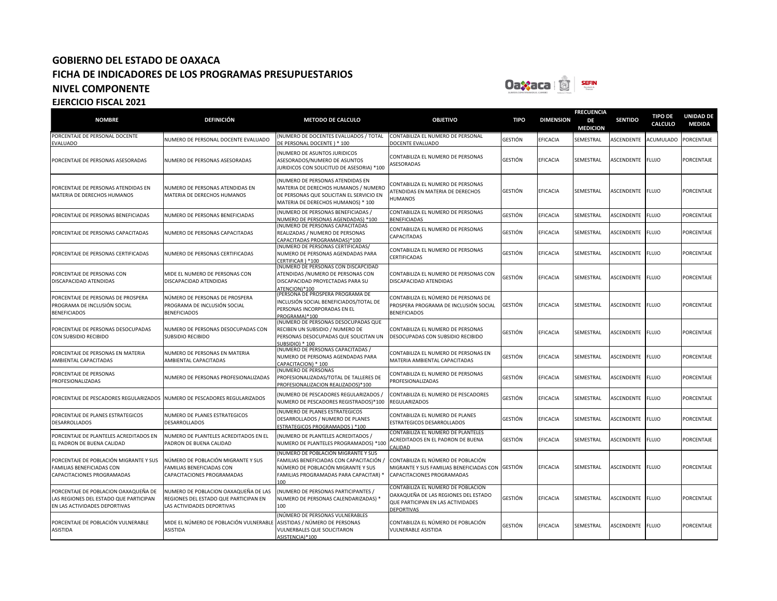

|                                                                                                                 |                                                                                                             |                                                                                                                                                                      |                                                                                                                                      |             |                  | <b>FRECUENCIA</b>     |                   |                                  |                                   |
|-----------------------------------------------------------------------------------------------------------------|-------------------------------------------------------------------------------------------------------------|----------------------------------------------------------------------------------------------------------------------------------------------------------------------|--------------------------------------------------------------------------------------------------------------------------------------|-------------|------------------|-----------------------|-------------------|----------------------------------|-----------------------------------|
| <b>NOMBRE</b>                                                                                                   | <b>DEFINICIÓN</b>                                                                                           | <b>METODO DE CALCULO</b>                                                                                                                                             | <b>OBJETIVO</b>                                                                                                                      | <b>TIPO</b> | <b>DIMENSION</b> | DE<br><b>MEDICION</b> | <b>SENTIDO</b>    | <b>TIPO DE</b><br><b>CALCULO</b> | <b>UNIDAD DE</b><br><b>MEDIDA</b> |
| PORCENTAJE DE PERSONAL DOCENTE<br>EVALUADO                                                                      | NUMERO DE PERSONAL DOCENTE EVALUADO                                                                         | (NUMERO DE DOCENTES EVALUADOS / TOTAL<br>DE PERSONAL DOCENTE) * 100                                                                                                  | CONTABILIZA EL NUMERO DE PERSONAL<br>DOCENTE EVALUADO                                                                                | GESTIÓN     | EFICACIA         | SEMESTRAL             | ASCENDENTE        | <b>ACUMULADO</b>                 | PORCENTAJE                        |
| PORCENTAJE DE PERSONAS ASESORADAS                                                                               | NUMERO DE PERSONAS ASESORADAS                                                                               | (NUMERO DE ASUNTOS JURIDICOS<br>ASESORADOS/NUMERO DE ASUNTOS<br>JURIDICOS CON SOLICITUD DE ASESORIA) *100                                                            | CONTABILIZA EL NUMERO DE PERSONAS<br><b>ASESORADAS</b>                                                                               | GESTIÓN     | EFICACIA         | SEMESTRAL             | <b>ASCENDENTE</b> | <b>FLUJO</b>                     | PORCENTAJE                        |
| PORCENTAJE DE PERSONAS ATENDIDAS EN<br>MATERIA DE DERECHOS HUMANOS                                              | NUMERO DE PERSONAS ATENDIDAS EN<br>MATERIA DE DERECHOS HUMANOS                                              | (NUMERO DE PERSONAS ATENDIDAS EN<br>MATERIA DE DERECHOS HUMANOS / NUMERO<br>DE PERSONAS QUE SOLICITAN EL SERVICIO EN<br>MATERIA DE DERECHOS HUMANOS) * 100           | CONTABILIZA EL NUMERO DE PERSONAS<br>ATENDIDAS EN MATERIA DE DERECHOS<br><b>HUMANOS</b>                                              | GESTIÓN     | <b>EFICACIA</b>  | SEMESTRAL             | ASCENDENTE        | <b>FLUJO</b>                     | PORCENTAJE                        |
| PORCENTAJE DE PERSONAS BENEFICIADAS                                                                             | NUMERO DE PERSONAS BENEFICIADAS                                                                             | (NUMERO DE PERSONAS BENEFICIADAS /<br>NUMERO DE PERSONAS AGENDADAS) *100                                                                                             | CONTABILIZA EL NUMERO DE PERSONAS<br><b>BENEFICIADAS</b>                                                                             | GESTIÓN     | EFICACIA         | SEMESTRAL             | ASCENDENTE        | <b>FLUJO</b>                     | PORCENTAJE                        |
| PORCENTAJE DE PERSONAS CAPACITADAS                                                                              | NUMERO DE PERSONAS CAPACITADAS                                                                              | (NUMERO DE PERSONAS CAPACITADAS<br>REALIZADAS / NUMERO DE PERSONAS<br>CAPACITADAS PROGRAMADAS)*100                                                                   | CONTABILIZA EL NUMERO DE PERSONAS<br>CAPACITADAS                                                                                     | GESTIÓN     | <b>EFICACIA</b>  | SEMESTRAL             | ASCENDENTE        | <b>FLUJO</b>                     | PORCENTAJE                        |
| PORCENTAJE DE PERSONAS CERTIFICADAS                                                                             | NUMERO DE PERSONAS CERTIFICADAS                                                                             | (NUMERO DE PERSONAS CERTIFICADAS/<br>NUMERO DE PERSONAS AGENDADAS PARA<br>CERTIFICAR ) *100                                                                          | CONTABILIZA EL NUMERO DE PERSONAS<br><b>CERTIFICADAS</b>                                                                             | GESTIÓN     | EFICACIA         | SEMESTRAL             | ASCENDENTE        | <b>FLUJO</b>                     | PORCENTAJE                        |
| PORCENTAJE DE PERSONAS CON<br>DISCAPACIDAD ATENDIDAS                                                            | MIDE EL NUMERO DE PERSONAS CON<br>DISCAPACIDAD ATENDIDAS                                                    | (NUMERO DE PERSONAS CON DISCAPCIDAD<br>ATENDIDAS / NUMERO DE PERSONAS CON<br>DISCAPACIDAD PROYECTADAS PARA SU<br>ATENCION)*100                                       | CONTABILIZA EL NUMERO DE PERSONAS CON<br>DISCAPACIDAD ATENDIDAS                                                                      | GESTIÓN     | EFICACIA         | SEMESTRAL             | ASCENDENTE        | <b>FLUJO</b>                     | PORCENTAJE                        |
| PORCENTAJE DE PERSONAS DE PROSPERA<br>PROGRAMA DE INCLUSIÓN SOCIAL<br><b>BENEFICIADOS</b>                       | NÚMERO DE PERSONAS DE PROSPERA<br>PROGRAMA DE INCLUSIÓN SOCIAL<br><b>BENEFICIADOS</b>                       | (PERSONA DE PROSPERA PROGRAMA DE<br>INCLUSIÓN SOCIAL BENEFICIADOS/TOTAL DE<br>PERSONAS INCORPORADAS EN EL<br>PROGRAMA)*100                                           | CONTABILIZA EL NÚMERO DE PERSONAS DE<br>PROSPERA PROGRAMA DE INCLUSIÓN SOCIAL<br><b>BENEFICIADOS</b>                                 | GESTIÓN     | EFICACIA         | SEMESTRAL             | <b>ASCENDENTE</b> | <b>FLUJO</b>                     | PORCENTAJE                        |
| PORCENTAJE DE PERSONAS DESOCUPADAS<br>CON SUBSIDIO RECIBIDO                                                     | NUMERO DE PERSONAS DESOCUPADAS CON<br><b>SUBSIDIO RECIBIDO</b>                                              | (NUMERO DE PERSONAS DESOCUPADAS QUE<br>RECIBEN UN SUBSIDIO / NUMERO DE<br>PERSONAS DESOCUPADAS QUE SOLICITAN UN<br>SUBSIDIO) * 100                                   | CONTABILIZA EL NUMERO DE PERSONAS<br>DESOCUPADAS CON SUBSIDIO RECIBIDO                                                               | GESTIÓN     | <b>EFICACIA</b>  | SEMESTRAL             | ASCENDENTE        | <b>FLUJO</b>                     | PORCENTAJE                        |
| PORCENTAJE DE PERSONAS EN MATERIA<br>AMBIENTAL CAPACITADAS                                                      | NUMERO DE PERSONAS EN MATERIA<br>AMBIENTAL CAPACITADAS                                                      | (NUMERO DE PERSONAS CAPACITADAS /<br>NUMERO DE PERSONAS AGENDADAS PARA<br>CAPACITACION) * 100                                                                        | CONTABILIZA EL NUMERO DE PERSONAS EN<br>MATERIA AMBIENTAL CAPACITADAS                                                                | GESTIÓN     | EFICACIA         | SEMESTRAL             | ASCENDENTE        | <b>FLUJO</b>                     | PORCENTAJE                        |
| PORCENTAJE DE PERSONAS<br>PROFESIONALIZADAS                                                                     | NUMERO DE PERSONAS PROFESIONALIZADAS                                                                        | (NUMERO DE PERSONAS<br>PROFESIONALIZADAS/TOTAL DE TALLERES DE<br>PROFESIONALIZACION REALIZADOS)*100                                                                  | CONTABILIZA EL NUMERO DE PERSONAS<br>PROFESIONALIZADAS                                                                               | GESTIÓN     | <b>EFICACIA</b>  | SEMESTRAL             | ASCENDENTE        | <b>FLUJO</b>                     | PORCENTAJE                        |
| PORCENTAJE DE PESCADORES REGULARIZADOS                                                                          | NUMERO DE PESCADORES REGULARIZADOS                                                                          | (NUMERO DE PESCADORES REGULARIZADOS /<br>NUMERO DE PESCADORES REGISTRADOS)*100                                                                                       | CONTABILIZA EL NUMERO DE PESCADORES<br><b>REGULARIZADOS</b>                                                                          | GESTIÓN     | EFICACIA         | SEMESTRAL             | ASCENDENTE        | <b>FLUJO</b>                     | PORCENTAJE                        |
| PORCENTAJE DE PLANES ESTRATEGICOS<br>DESARROLLADOS                                                              | NUMERO DE PLANES ESTRATEGICOS<br>DESARROLLADOS                                                              | (NUMERO DE PLANES ESTRATEGICOS<br>DESARROLLADOS / NUMERO DE PLANES<br>ESTRATEGICOS PROGRAMADOS ) *100                                                                | CONTABILIZA EL NUMERO DE PLANES<br>ESTRATEGICOS DESARROLLADOS                                                                        | GESTIÓN     | EFICACIA         | SEMESTRAL             | ASCENDENTE        | <b>FLUJO</b>                     | PORCENTAJE                        |
| PORCENTAJE DE PLANTELES ACREDITADOS EN<br>EL PADRON DE BUENA CALIDAD                                            | NUMERO DE PLANTELES ACREDITADOS EN EL<br>PADRON DE BUENA CALIDAD                                            | (NUMERO DE PLANTELES ACREDITADOS /<br>NUMERO DE PLANTELES PROGRAMADOS) *100                                                                                          | CONTABILIZA EL NUMERO DE PLANTELES<br>ACREDITADOS EN EL PADRON DE BUENA<br>CALIDAD                                                   | GESTIÓN     | EFICACIA         | SEMESTRAL             | ASCENDENTE        | <b>FLUJO</b>                     | PORCENTAJE                        |
| PORCENTAJE DE POBLACIÓN MIGRANTE Y SUS<br>FAMILIAS BENEFICIADAS CON<br>CAPACITACIONES PROGRAMADAS               | NÚMERO DE POBLACIÓN MIGRANTE Y SUS<br>FAMILIAS BENEFICIADAS CON<br>CAPACITACIONES PROGRAMADAS               | (NÚMERO DE POBLACIÓN MIGRANTE Y SUS<br>FAMILIAS BENEFICIADAS CON CAPACITACIÓN /<br>NÚMERO DE POBLACIÓN MIGRANTE Y SUS<br>FAMILIAS PROGRAMADAS PARA CAPACITAR)<br>100 | CONTABILIZA EL NÚMERO DE POBLACIÓN<br>MIGRANTE Y SUS FAMILIAS BENEFICIADAS CON GESTIÓN<br>CAPACITACIONES PROGRAMADAS                 |             | <b>EFICACIA</b>  | SEMESTRAL             | ASCENDENTE        | <b>FLUJO</b>                     | PORCENTAJE                        |
| PORCENTAJE DE POBLACION OAXAQUEÑA DE<br>LAS REGIONES DEL ESTADO QUE PARTICIPAN<br>EN LAS ACTIVIDADES DEPORTIVAS | NUMERO DE POBLACION OAXAQUEÑA DE LAS<br>REGIONES DEL ESTADO QUE PARTICIPAN EN<br>LAS ACTIVIDADES DEPORTIVAS | (NUMERO DE PERSONAS PARTICIPANTES /<br>NUMERO DE PERSONAS CALENDARIZADAS) *<br>100                                                                                   | CONTABILIZA EL NUMERO DE POBLACION<br>OAXAQUEÑA DE LAS REGIONES DEL ESTADO<br>QUE PARTICIPAN EN LAS ACTIVIDADES<br><b>DEPORTIVAS</b> | GESTIÓN     | <b>EFICACIA</b>  | SEMESTRAL             | ASCENDENTE        | <b>FLUJO</b>                     | <b>PORCENTAJE</b>                 |
| PORCENTAJE DE POBLACIÓN VULNERABLE<br>ASISTIDA                                                                  | MIDE EL NÚMERO DE POBLACIÓN VULNERABLE<br><b>ASISTIDA</b>                                                   | (NÚMERO DE PERSONAS VULNERABLES<br>ASISTIDAS / NÚMERO DE PERSONAS<br>VULNERBALES QUE SOLICITARON<br>ASISTENCIA)*100                                                  | CONTABILIZA EL NÚMERO DE POBLACIÓN<br>VULNERABLE ASISTIDA                                                                            | GESTIÓN     | EFICACIA         | SEMESTRAL             | ASCENDENTE        | <b>FLUJO</b>                     | PORCENTAJE                        |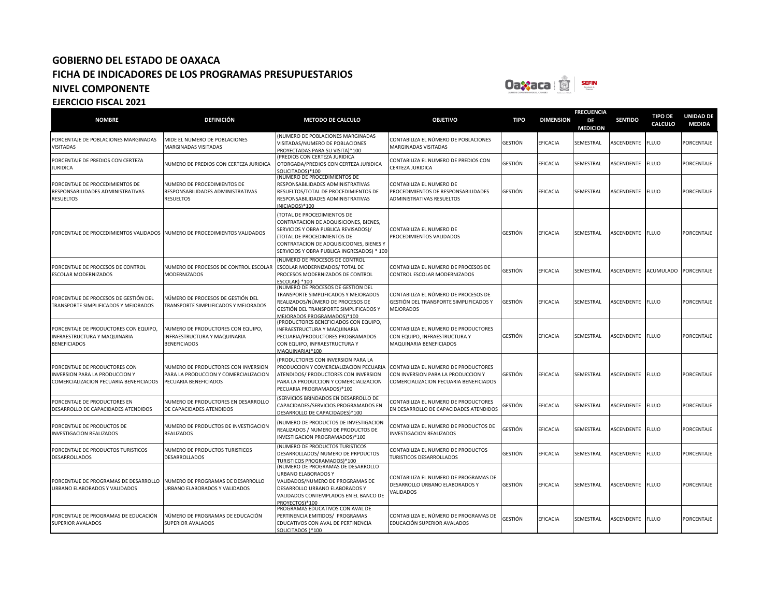

**FRECUENCIA** 

| <b>NOMBRE</b>                                                                                                    | <b>DEFINICIÓN</b>                                                                                     | <b>METODO DE CALCULO</b>                                                                                                                                                                                                              | <b>OBJETIVO</b>                                                                                    | <b>TIPO</b> | <b>DIMENSION</b> | DE<br><b>MEDICION</b> | <b>SENTIDO</b>    | <b>TIPO DE</b><br><b>CALCULO</b> | <b>UNIDAD DE</b><br><b>MEDIDA</b> |
|------------------------------------------------------------------------------------------------------------------|-------------------------------------------------------------------------------------------------------|---------------------------------------------------------------------------------------------------------------------------------------------------------------------------------------------------------------------------------------|----------------------------------------------------------------------------------------------------|-------------|------------------|-----------------------|-------------------|----------------------------------|-----------------------------------|
| PORCENTAJE DE POBLACIONES MARGINADAS<br><b>VISITADAS</b>                                                         | MIDE EL NUMERO DE POBLACIONES<br>MARGINADAS VISITADAS                                                 | (NUMERO DE POBLACIONES MARGINADAS<br>VISITADAS/NUMERO DE POBLACIONES<br>PROYECTADAS PARA SU VISITA)*100                                                                                                                               | CONTABILIZA EL NÚMERO DE POBLACIONES<br><b>MARGINADAS VISITADAS</b>                                | GESTIÓN     | EFICACIA         | SEMESTRAL             | ASCENDENTE        | <b>FLUJO</b>                     | PORCENTAJE                        |
| PORCENTAJE DE PREDIOS CON CERTEZA<br><b>JURIDICA</b>                                                             | NUMERO DE PREDIOS CON CERTEZA JURIDICA                                                                | (PREDIOS CON CERTEZA JURIDICA<br>OTORGADA/PREDIOS CON CERTEZA JURIDICA<br>SOLICITADOS)*100                                                                                                                                            | CONTABILIZA EL NUMERO DE PREDIOS CON<br>CERTEZA JURIDICA                                           | GESTIÓN     | <b>EFICACIA</b>  | SEMESTRAL             | ASCENDENTE        | <b>FLUJO</b>                     | PORCENTAJE                        |
| PORCENTAJE DE PROCEDIMIENTOS DE<br>RESPONSABILIDADES ADMINISTRATIVAS<br><b>RESUELTOS</b>                         | NUMERO DE PROCEDIMIENTOS DE<br>RESPONSABILIDADES ADMINISTRATIVAS<br>RESUELTOS                         | (NUMERO DE PROCEDIMIENTOS DE<br>RESPONSABILIDADES ADMINISTRATIVAS<br>RESUELTOS/TOTAL DE PROCEDIMIENTOS DE<br>RESPONSABILIDADES ADMINISTRATIVAS<br>INICIADOS)*100                                                                      | CONTABILIZA EL NUMERO DE<br>PROCEDIMIENTOS DE RESPONSABILIDADES<br>ADMINISTRATIVAS RESUELTOS       | GESTIÓN     | <b>EFICACIA</b>  | SEMESTRAL             | ASCENDENTE        | <b>FLUJO</b>                     | PORCENTAJE                        |
| PORCENTAJE DE PROCEDIMIENTOS VALIDADOS NUMERO DE PROCEDIMIENTOS VALIDADOS                                        |                                                                                                       | (TOTAL DE PROCEDIMIENTOS DE<br>CONTRATACION DE ADQUISICIONES, BIENES,<br>SERVICIOS Y OBRA PUBLICA REVISADOS)/<br>(TOTAL DE PROCEDIMIENTOS DE<br>CONTRATACION DE ADQUISICOONES, BIENES Y<br>SERVICIOS Y OBRA PUBLICA INGRESADOS) * 100 | CONTABILIZA EL NUMERO DE<br>PROCEDIMIENTOS VALIDADOS                                               | GESTIÓN     | EFICACIA         | SEMESTRAL             | ASCENDENTE        | <b>FLUJO</b>                     | PORCENTAJE                        |
| PORCENTAJE DE PROCESOS DE CONTROL<br>ESCOLAR MODERNIZADOS                                                        | NUMERO DE PROCESOS DE CONTROL ESCOLAR<br><b>MODERNIZADOS</b>                                          | (NUMERO DE PROCESOS DE CONTROL<br>ESCOLAR MODERNIZADOS/ TOTAL DE<br>PROCESOS MODERNIZADOS DE CONTROL<br>ESCOLAR) *100                                                                                                                 | CONTABILIZA EL NUMERO DE PROCESOS DE<br>CONTROL ESCOLAR MODERNIZADOS                               | GESTIÓN     | EFICACIA         | SEMESTRAL             | ASCENDENTE        | <b>ACUMULADO</b>                 | PORCENTAJE                        |
| PORCENTAJE DE PROCESOS DE GESTIÓN DEL<br>TRANSPORTE SIMPLIFICADOS Y MEJORADOS                                    | NÚMERO DE PROCESOS DE GESTIÓN DEL<br>TRANSPORTE SIMPLIFICADOS Y MEJORADOS                             | (NÚMERO DE PROCESOS DE GESTIÓN DEL<br>TRANSPORTE SIMPLIFICADOS Y MEJORADOS<br>REALIZADOS/NÚMERO DE PROCESOS DE<br>GESTIÓN DEL TRANSPORTE SIMPLIFICADOS Y<br>MEJORADOS PROGRAMADOS)*100                                                | CONTABILIZA EL NÚMERO DE PROCESOS DE<br>GESTIÓN DEL TRANSPORTE SIMPLIFICADOS Y<br><b>MEJORADOS</b> | GESTIÓN     | <b>EFICACIA</b>  | SEMESTRAL             | <b>ASCENDENTE</b> | <b>FLUJO</b>                     | PORCENTAJE                        |
| PORCENTAJE DE PRODUCTORES CON EQUIPO,<br>INFRAESTRUCTURA Y MAQUINARIA<br><b>BENEFICIADOS</b>                     | NUMERO DE PRODUCTORES CON EQUIPO,<br>INFRAESTRUCTURA Y MAQUINARIA<br><b>BENEFICIADOS</b>              | (PRODUCTORES BENEFICIADOS CON EQUIPO,<br>INFRAESTRUCTURA Y MAQUINARIA<br>PECUARIA/PRODUCTORES PROGRAMADOS<br>CON EQUIPO, INFRAESTRUCTURA Y<br>MAQUINARIA)*100                                                                         | CONTABILIZA EL NUMERO DE PRODUCTORES<br>CON EQUIPO, INFRAESTRUCTURA Y<br>MAQUINARIA BENEFICIADOS   | GESTIÓN     | <b>EFICACIA</b>  | SEMESTRAL             | ASCENDENTE        | <b>FLUJO</b>                     | <b>PORCENTAJE</b>                 |
| PORCENTAJE DE PRODUCTORES CON<br><b>INVERSION PARA LA PRODUCCION Y</b><br>COMERCIALIZACION PECUARIA BENEFICIADOS | NUMERO DE PRODUCTORES CON INVERSION<br>PARA LA PRODUCCION Y COMERCIALIZACION<br>PECUARIA BENEFICIADOS | (PRODUCTORES CON INVERSION PARA LA<br>PRODUCCION Y COMERCIALIZACION PECUARIA CONTABILIZA EL NUMERO DE PRODUCTORES<br>ATENDIDOS/ PRODUCTORES CON INVERSION<br>PARA LA PRODUCCION Y COMERCIALIZACION<br>PECUARIA PROGRAMADOS)*100       | CON INVERSION PARA LA PRODUCCION Y<br>COMERCIALIZACION PECUARIA BENEFICIADOS                       | GESTIÓN     | EFICACIA         | SEMESTRAL             | ASCENDENTE        | <b>FLUJO</b>                     | PORCENTAJE                        |
| PORCENTAJE DE PRODUCTORES EN<br>DESARROLLO DE CAPACIDADES ATENDIDOS                                              | NUMERO DE PRODUCTORES EN DESARROLLO<br>DE CAPACIDADES ATENDIDOS                                       | (SERVICIOS BRINDADOS EN DESARROLLO DE<br>CAPACIDADES/SERVICIOS PROGRAMADOS EN<br>DESARROLLO DE CAPACIDADES)*100                                                                                                                       | CONTABILIZA EL NUMERO DE PRODUCTORES<br>EN DESARROLLO DE CAPACIDADES ATENDIDOS                     | GESTIÓN     | EFICACIA         | SEMESTRAL             | ASCENDENTE        | <b>FLUJO</b>                     | PORCENTAJE                        |
| PORCENTAJE DE PRODUCTOS DE<br><b>INVESTIGACION REALIZADOS</b>                                                    | NUMERO DE PRODUCTOS DE INVESTIGACION<br><b>REALIZADOS</b>                                             | NUMERO DE PRODUCTOS DE INVESTIGACION<br>REALIZADOS / NUMERO DE PRODUCTOS DE<br>INVESTIGACION PROGRAMADOS)*100                                                                                                                         | CONTABILIZA EL NUMERO DE PRODUCTOS DE<br><b>INVESTIGACION REALIZADOS</b>                           | GESTIÓN     | EFICACIA         | SEMESTRAL             | ASCENDENTE        | <b>FLUJO</b>                     | PORCENTAJE                        |
| PORCENTAJE DE PRODUCTOS TURISTICOS<br>DESARROLLADOS                                                              | NUMERO DE PRODUCTOS TURISTICOS<br>DESARROLLADOS                                                       | (NUMERO DE PRODUCTOS TURISTICOS<br>DESARROLLADOS/ NUMERO DE PRPDUCTOS<br>URISTICOS PROGRAMADOS)*100                                                                                                                                   | CONTABILIZA EL NUMERO DE PRODUCTOS<br>TURISTICOS DESARROLLADOS                                     | GESTIÓN     | <b>EFICACIA</b>  | SEMESTRAL             | ASCENDENTE        | <b>FLUJO</b>                     | PORCENTAJE                        |
| PORCENTAJE DE PROGRAMAS DE DESARROLLO<br>URBANO ELABORADOS Y VALIDADOS                                           | NUMERO DE PROGRAMAS DE DESARROLLO<br>URBANO ELABORADOS Y VALIDADOS                                    | (NUMERO DE PROGRAMAS DE DESARROLLO<br><b>URBANO ELABORADOS Y</b><br>VALIDADOS/NUMERO DE PROGRAMAS DE<br>DESARROLLO URBANO ELABORADOS Y<br>VALIDADOS CONTEMPLADOS EN EL BANCO DE<br>PROYECTOS)*100                                     | CONTABILIZA EL NUMERO DE PROGRAMAS DE<br>DESARROLLO URBANO ELABORADOS Y<br>VALIDADOS               | GESTIÓN     | EFICACIA         | SEMESTRAL             | <b>ASCENDENTE</b> | <b>FLUJO</b>                     | PORCENTAJE                        |
| PORCENTAJE DE PROGRAMAS DE EDUCACIÓN<br><b>SUPERIOR AVALADOS</b>                                                 | NÚMERO DE PROGRAMAS DE EDUCACIÓN<br><b>SUPERIOR AVALADOS</b>                                          | PROGRAMAS EDUCATIVOS CON AVAL DE<br>PERTINENCIA EMITIDOS/ PROGRAMAS<br>EDUCATIVOS CON AVAL DE PERTINENCIA<br>SOLICITADOS )*100                                                                                                        | CONTABILIZA EL NÚMERO DE PROGRAMAS DE<br>EDUCACIÓN SUPERIOR AVALADOS                               | GESTIÓN     | <b>EFICACIA</b>  | SEMESTRAL             | ASCENDENTE        | <b>FLUJO</b>                     | PORCENTAJE                        |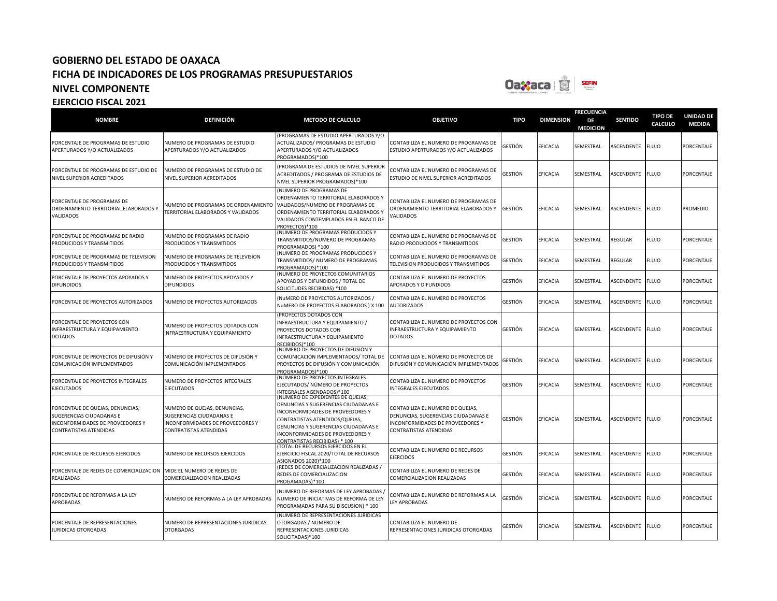

| <b>NOMBRE</b>                                                                                                              | <b>DEFINICIÓN</b>                                                                                                      | <b>METODO DE CALCULO</b>                                                                                                                                                                                                                                     | <b>OBJETIVO</b>                                                                                                                       | <b>TIPO</b>    | <b>DIMENSION</b> | <b>FRECUENCIA</b><br>DE<br><b>MEDICION</b> | <b>SENTIDO</b>    | <b>TIPO DE</b><br><b>CALCULO</b> | <b>UNIDAD DE</b><br><b>MEDIDA</b> |
|----------------------------------------------------------------------------------------------------------------------------|------------------------------------------------------------------------------------------------------------------------|--------------------------------------------------------------------------------------------------------------------------------------------------------------------------------------------------------------------------------------------------------------|---------------------------------------------------------------------------------------------------------------------------------------|----------------|------------------|--------------------------------------------|-------------------|----------------------------------|-----------------------------------|
| PORCENTAJE DE PROGRAMAS DE ESTUDIO<br>APERTURADOS Y/O ACTUALIZADOS                                                         | NUMERO DE PROGRAMAS DE ESTUDIO<br>APERTURADOS Y/O ACTUALIZADOS                                                         | PROGRAMAS DE ESTUDIO APERTURADOS Y/O<br>ACTUALIZADOS/ PROGRAMAS DE ESTUDIO<br>APERTURADOS Y/O ACTUALIZADOS<br>PROGRAMADOS)*100                                                                                                                               | CONTABILIZA EL NUMERO DE PROGRAMAS DE<br>ESTUDIO APERTURADOS Y/O ACTUALIZADOS                                                         | <b>GESTIÓN</b> | EFICACIA         | SEMESTRAL                                  | ASCENDENTE        | <b>FLUJO</b>                     | PORCENTAJE                        |
| PORCENTAJE DE PROGRAMAS DE ESTUDIO DE<br>NIVEL SUPERIOR ACREDITADOS                                                        | NUMERO DE PROGRAMAS DE ESTUDIO DE<br>NIVEL SUPERIOR ACREDITADOS                                                        | PROGRAMA DE ESTUDIOS DE NIVEL SUPERIOR<br>ACREDITADOS / PROGRAMA DE ESTUDIOS DE<br>NIVEL SUPERIOR PROGRAMADOS)*100                                                                                                                                           | CONTABILIZA EL NUMERO DE PROGRAMAS DE<br>ESTUDIO DE NIVEL SUPERIOR ACREDITADOS                                                        | SESTIÓN        | EFICACIA         | SEMESTRAL                                  | ASCENDENTE        | <b>FLUJO</b>                     | PORCENTAJE                        |
| <b>PORCENTAJE DE PROGRAMAS DE</b><br>ORDENAMIENTO TERRITORIAL ELABORADOS Y<br>VALIDADOS                                    | NUMERO DE PROGRAMAS DE ORDENAMIENTO<br>TERRITORIAL ELABORADOS Y VALIDADOS                                              | (NUMERO DE PROGRAMAS DE<br>ORDENAMIENTO TERRITORIAL ELABORADOS Y<br>VALIDADOS/NUMERO DE PROGRAMAS DE<br>ORDENAMIENTO TERRITORIAL ELABORADOS Y<br>VALIDADOS CONTEMPLADOS EN EL BANCO DE<br>PROYECTOS)*100                                                     | CONTABILIZA EL NUMERO DE PROGRAMAS DE<br>ORDENAMIENTO TERRITORIAL ELABORADOS Y<br>VALIDADOS                                           | <b>GESTIÓN</b> | EFICACIA         | SEMESTRAL                                  | ASCENDENTE        | <b>FLUJO</b>                     | <b>PROMEDIO</b>                   |
| ORCENTAJE DE PROGRAMAS DE RADIO<br>PRODUCIDOS Y TRANSMITIDOS                                                               | NUMERO DE PROGRAMAS DE RADIO<br>PRODUCIDOS Y TRANSMITIDOS                                                              | (NUMERO DE PROGRAMAS PRODUCIDOS Y<br>TRANSMITIDOS/NUMERO DE PROGRAMAS<br>PROGRAMADOS) *100                                                                                                                                                                   | CONTABILIZA EL NUMERO DE PROGRAMAS DE<br>RADIO PRODUCIDOS Y TRANSMITIDOS                                                              | GESTIÓN        | EFICACIA         | SEMESTRAL                                  | REGULAR           | <b>FLUJO</b>                     | PORCENTAJE                        |
| PORCENTAJE DE PROGRAMAS DE TELEVISION<br>PRODUCIDOS Y TRANSMITIDOS                                                         | NUMERO DE PROGRAMAS DE TELEVISION<br>PRODUCIDOS Y TRANSMITIDOS                                                         | (NUMERO DE PROGRAMAS PRODUCIDOS Y<br>TRANSMITIDOS/ NUMERO DE PROGRAMAS<br>PROGRAMADOS)*100                                                                                                                                                                   | CONTABILIZA EL NUMERO DE PROGRAMAS DE<br>TELEVISION PRODUCIDOS Y TRANSMITIDOS                                                         | GESTIÓN        | EFICACIA         | SEMESTRAL                                  | REGULAR           | <b>FLUJO</b>                     | PORCENTAJE                        |
| PORCENTAJE DE PROYECTOS APOYADOS Y<br><b>DIFUNDIDOS</b>                                                                    | NUMERO DE PROYECTOS APOYADOS Y<br><b>DIFUNDIDOS</b>                                                                    | NUMERO DE PROYECTOS COMUNITARIOS<br>APOYADOS Y DIFUNDIDOS / TOTAL DE<br>SOLICITUDES RECIBIDAS) *100                                                                                                                                                          | CONTABILIZA EL NUMERO DE PROYECTOS<br>APOYADOS Y DIFUNDIDOS                                                                           | GESTIÓN        | <b>EFICACIA</b>  | SEMESTRAL                                  | ASCENDENTE        | <b>FLUJO</b>                     | PORCENTAJE                        |
| PORCENTAJE DE PROYECTOS AUTORIZADOS                                                                                        | NUMERO DE PROYECTOS AUTORIZADOS                                                                                        | (NUMERO DE PROYECTOS AUTORIZADOS /<br>NuMERO DE PROYECTOS ELABORADOS ) X 100                                                                                                                                                                                 | CONTABILIZA EL NUMERO DE PROYECTOS<br>AUTORIZADOS                                                                                     | GESTIÓN        | EFICACIA         | SEMESTRAL                                  | ASCENDENTE        | <b>FLUJO</b>                     | PORCENTAJE                        |
| PORCENTAJE DE PROYECTOS CON<br>INFRAESTRUCTURA Y EQUIPAMIENTO<br><b>DOTADOS</b>                                            | NUMERO DE PROYECTOS DOTADOS CON<br>INFRAESTRUCTURA Y EQUIPAMIENTO                                                      | (PROYECTOS DOTADOS CON<br>INFRAESTRUCTURA Y EQUIPAMIENTO /<br>PROYECTOS DOTADOS CON<br>INFRAESTRUCTURA Y EQUIPAMIENTO<br>RECIBIDOS)*100                                                                                                                      | CONTABILIZA EL NUMERO DE PROYECTOS CON<br>INFRAESTRUCTURA Y EQUIPAMIENTO<br><b>DOTADOS</b>                                            | GESTIÓN        | EFICACIA         | SEMESTRAL                                  | <b>ASCENDENTE</b> | <b>FLUJO</b>                     | PORCENTAJE                        |
| PORCENTAJE DE PROYECTOS DE DIFUSIÓN Y<br>COMUNICACIÓN IMPLEMENTADOS                                                        | NÚMERO DE PROYECTOS DE DIFUSIÓN Y<br>COMUNICACIÓN IMPLEMENTADOS                                                        | (NÚMERO DE PROYECTOS DE DIFUSIÓN Y<br>COMUNICACIÓN IMPLEMENTADOS/ TOTAL DE<br>PROYECTOS DE DIFUSIÓN Y COMUNICACIÓN<br>PROGRAMADOS)*100                                                                                                                       | CONTABILIZA EL NÚMERO DE PROYECTOS DE<br>DIFUSIÓN Y COMUNICACIÓN IMPLEMENTADOS                                                        | GESTIÓN        | EFICACIA         | SEMESTRAL                                  | ASCENDENTE        | <b>FLUJO</b>                     | PORCENTAJE                        |
| PORCENTAJE DE PROYECTOS INTEGRALES<br>EJECUTADOS                                                                           | NUMERO DE PROYECTOS INTEGRALES<br><b>EJECUTADOS</b>                                                                    | NÚMERO DE PROYECTOS INTEGRALES<br>EJECUTADOS/ NÚMERO DE PROYECTOS<br>NTEGRALES AGENDADOS)*100                                                                                                                                                                | CONTABILIZA EL NUMERO DE PROYECTOS<br><b>INTEGRALES EJECUTADOS</b>                                                                    | GESTIÓN        | <b>EFICACIA</b>  | SEMESTRAL                                  | ASCENDENTE        | <b>FLUJO</b>                     | PORCENTAJE                        |
| PORCENTAJE DE QUEJAS, DENUNCIAS,<br>SUGERENCIAS CIUDADANAS E<br>INCONFORMIDADES DE PROVEEDORES Y<br>CONTRATISTAS ATENDIDAS | NUMERO DE QUEJAS, DENUNCIAS,<br>SUGERENCIAS CIUDADANAS E<br>INCONFORMIDADES DE PROVEEDORES Y<br>CONTRATISTAS ATENDIDAS | (NUMERO DE EXPEDIENTES DE QUEJAS,<br>DENUNCIAS Y SUGERENCIAS CIUDADANAS E<br>INCONFORMIDADES DE PROVEEDORES Y<br>CONTRATISTAS ATENDIDOS/QUEJAS,<br>DENUNCIAS Y SUGERENCIAS CIUDADANAS E<br>INCONFORMIDADES DE PROVEEDORES Y<br>CONTRATISTAS RECIBIDAS) * 100 | CONTABILIZA EL NUMERO DE QUEJAS,<br>DENUNCIAS, SUGERENCIAS CIUDADANAS E<br>INCONFORMIDADES DE PROVEEDORES Y<br>CONTRATISTAS ATENDIDAS | GESTIÓN        | <b>EFICACIA</b>  | SEMESTRAL                                  | <b>ASCENDENTE</b> | <b>FLUJO</b>                     | <b>PORCENTAJE</b>                 |
| PORCENTAJE DE RECURSOS EJERCIDOS                                                                                           | NUMERO DE RECURSOS EJERCIDOS                                                                                           | (TOTAL DE RECURSOS EJERCIDOS EN EL<br>EJERCICIO FISCAL 2020/TOTAL DE RECURSOS<br>ASIGNADOS 2020)*100                                                                                                                                                         | CONTABILIZA EL NUMERO DE RECURSOS<br><b>EJERCIDOS</b>                                                                                 | GESTIÓN        | <b>EFICACIA</b>  | SEMESTRAL                                  | <b>ASCENDENTE</b> | <b>FLUJO</b>                     | <b>PORCENTAJE</b>                 |
| PORCENTAJE DE REDES DE COMERCIALIZACION<br>REALIZADAS                                                                      | MIDE EL NUMERO DE REDES DE<br>COMERCIALIZACION REALIZADAS                                                              | (REDES DE COMERCIALIZACION REALIZADAS<br>REDES DE COMERCIALIZACION<br>PROGAMADAS)*100                                                                                                                                                                        | CONTABILIZA EL NUMERO DE REDES DE<br>COMERCIALIZACION REALIZADAS                                                                      | GESTIÓN        | EFICACIA         | SEMESTRAL                                  | ASCENDENTE        | <b>FLUJO</b>                     | PORCENTAJE                        |
| PORCENTAJE DE REFORMAS A LA LEY<br>APROBADAS                                                                               | NUMERO DE REFORMAS A LA LEY APROBADAS                                                                                  | NUMERO DE REFORMAS DE LEY APROBADAS /<br>NUMERO DE INICIATIVAS DE REFORMA DE LEY<br>PROGRAMADAS PARA SU DISCUSION) * 100                                                                                                                                     | CONTABILIZA EL NUMERO DE REFORMAS A LA<br>LEY APROBADAS                                                                               | GESTIÓN        | EFICACIA         | SEMESTRAL                                  | ASCENDENTE        | <b>FLUJO</b>                     | PORCENTAJE                        |
| PORCENTAJE DE REPRESENTACIONES<br>JURIDICAS OTORGADAS                                                                      | NUMERO DE REPRESENTACIONES JURIDICAS<br><b>OTORGADAS</b>                                                               | NUMERO DE REPRESENTACIONES JURIDICAS<br>OTORGADAS / NUMERO DE<br>REPRESENTACIONES JURIDICAS<br>SOLICITADAS)*100                                                                                                                                              | CONTABILIZA EL NUMERO DE<br>REPRESENTACIONES JURIDICAS OTORGADAS                                                                      | GESTIÓN        | <b>EFICACIA</b>  | SEMESTRAL                                  | ASCENDENTE        | <b>FLUJO</b>                     | PORCENTAJE                        |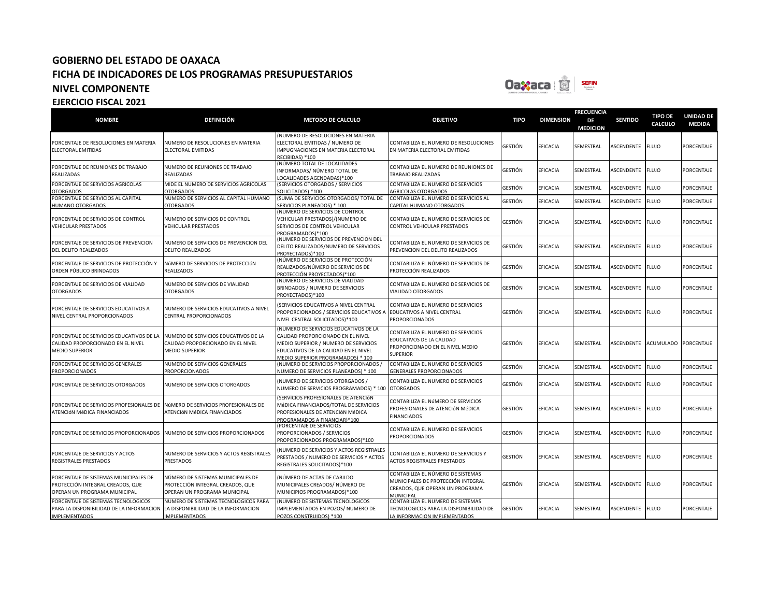

| <b>NOMBRE</b>                                                                                             | <b>DEFINICIÓN</b>                                                                                     | <b>METODO DE CALCULO</b>                                                                                                                                                                        | <b>OBJETIVO</b>                                                                                                         | <b>TIPO</b>    | <b>DIMENSION</b> | <b>FRECUENCIA</b><br>DE<br><b>MEDICION</b> | <b>SENTIDO</b>    | <b>TIPO DE</b><br><b>CALCULO</b> | <b>UNIDAD DE</b><br><b>MEDIDA</b> |
|-----------------------------------------------------------------------------------------------------------|-------------------------------------------------------------------------------------------------------|-------------------------------------------------------------------------------------------------------------------------------------------------------------------------------------------------|-------------------------------------------------------------------------------------------------------------------------|----------------|------------------|--------------------------------------------|-------------------|----------------------------------|-----------------------------------|
| PORCENTAJE DE RESOLUCIONES EN MATERIA<br>ELECTORAL EMITIDAS                                               | NUMERO DE RESOLUCIONES EN MATERIA<br><b>ELECTORAL EMITIDAS</b>                                        | (NUMERO DE RESOLUCIONES EN MATERIA<br>ELECTORAL EMITIDAS / NUMERO DE<br>IMPUGNACIONES EN MATERIA ELECTORAL<br>RECIBIDAS) *100                                                                   | CONTABILIZA EL NUMERO DE RESOLUCIONES<br>EN MATERIA ELECTORAL EMITIDAS                                                  | GESTIÓN        | <b>EFICACIA</b>  | SEMESTRAL                                  | <b>ASCENDENTE</b> | <b>FLUJO</b>                     | PORCENTAJE                        |
| PORCENTAJE DE REUNIONES DE TRABAJO<br>REALIZADAS                                                          | NUMERO DE REUNIONES DE TRABAJO<br><b>REALIZADAS</b>                                                   | (NÚMERO TOTAL DE LOCALIDADES<br>INFORMADAS/ NÚMERO TOTAL DE<br>LOCALIDADES AGENDADAS)*100                                                                                                       | CONTABILIZA EL NUMERO DE REUNIONES DE<br>TRABAJO REALIZADAS                                                             | <b>GESTIÓN</b> | <b>EFICACIA</b>  | SEMESTRAL                                  | ASCENDENTE FLUJO  |                                  | PORCENTAJE                        |
| PORCENTAJE DE SERVICIOS AGRICOLAS<br><b>OTORGADOS</b>                                                     | MIDE EL NUMERO DE SERVICIOS AGRICOLAS<br><b>OTORGADOS</b>                                             | (SERVICIOS OTORGADOS / SERVICIOS<br>SOLICITADOS) *100                                                                                                                                           | CONTABILIZA EL NUMERO DE SERVICIOS<br><b>AGRICOLAS OTORGADOS</b>                                                        | <b>GESTIÓN</b> | EFICACIA         | SEMESTRAL                                  | ASCENDENTE        | <b>FLUJO</b>                     | PORCENTAJE                        |
| PORCENTAJE DE SERVICIOS AL CAPITAL<br><b>HUMANO OTORGADOS</b>                                             | NUMERO DE SERVICIOS AL CAPITAL HUMANO<br><b>OTORGADOS</b>                                             | (SUMA DE SERVICIOS OTORGADOS/ TOTAL DE<br><b>SERVICIOS PLANEADOS) * 100</b>                                                                                                                     | CONTABILIZA EL NUMERO DE SERVICIOS AL<br>CAPITAL HUMANO OTORGADOS                                                       | <b>GESTIÓN</b> | EFICACIA         | SEMESTRAL                                  | ASCENDENTE        | <b>FLUJO</b>                     | PORCENTAJE                        |
| PORCENTAJE DE SERVICIOS DE CONTROL<br><b>VEHICULAR PRESTADOS</b>                                          | NUMERO DE SERVICIOS DE CONTROL<br><b>VEHICULAR PRESTADOS</b>                                          | (NUMERO DE SERVICIOS DE CONTROL<br>VEHICULAR PRESTADOS)/(NUMERO DE<br>SERVICIOS DE CONTROL VEHICULAR<br>PROGRAMADOS)*100                                                                        | CONTABILIZA EL NUMERO DE SERVICIOS DE<br>CONTROL VEHICULAR PRESTADOS                                                    | <b>GESTIÓN</b> | EFICACIA         | SEMESTRAL                                  | ASCENDENTE FLUJO  |                                  | PORCENTAJE                        |
| PORCENTAJE DE SERVICIOS DE PREVENCION<br><b>DEL DELITO REALIZADOS</b>                                     | NUMERO DE SERVICIOS DE PREVENCION DEL<br><b>DELITO REALIZADOS</b>                                     | (NUMERO DE SERVICIOS DE PREVENCION DEL<br>DELITO REALIZADOS/NUMERO DE SERVICIOS<br>PROYECTADOS)*100                                                                                             | CONTABILIZA EL NUMERO DE SERVICIOS DE<br>PREVENCION DEL DELITO REALIZADOS                                               | <b>GESTIÓN</b> | EFICACIA         | SEMESTRAL                                  | ASCENDENTE FLUJO  |                                  | PORCENTAJE                        |
| PORCENTAJE DE SERVICIOS DE PROTECCIÓN Y<br>ORDEN PÚBLICO BRINDADOS                                        | NÚMERO DE SERVICIOS DE PROTECCIÓN<br><b>REALIZADOS</b>                                                | (NÚMERO DE SERVICIOS DE PROTECCIÓN<br>REALIZADOS/NÚMERO DE SERVICIOS DE<br>PROTECCIÓN PROYECTADOS)*100                                                                                          | CONTABILIZA EL NÚMERO DE SERVICIOS DE<br>PROTECCIÓN REALIZADOS                                                          | <b>GESTIÓN</b> | EFICACIA         | SEMESTRAL                                  | ASCENDENTE        | <b>FLUJO</b>                     | PORCENTAJE                        |
| PORCENTAJE DE SERVICIOS DE VIALIDAD<br><b>OTORGADOS</b>                                                   | NUMERO DE SERVICIOS DE VIALIDAD<br><b>OTORGADOS</b>                                                   | (NUMERO DE SERVICIOS DE VIALIDAD<br>BRINDADOS / NUMERO DE SERVICIOS<br>PROYECTADOS)*100                                                                                                         | CONTABILIZA EL NUMERO DE SERVICIOS DE<br>VIALIDAD OTORGADOS                                                             | <b>GESTIÓN</b> | <b>EFICACIA</b>  | SEMESTRAL                                  | ASCENDENTE        | <b>FLUJO</b>                     | PORCENTAJE                        |
| PORCENTAJE DE SERVICIOS EDUCATIVOS A<br>NIVEL CENTRAL PROPORCIONADOS                                      | NUMERO DE SERVICIOS EDUCATIVOS A NIVEL<br><b>CENTRAL PROPORCIONADOS</b>                               | (SERVICIOS EDUCATIVOS A NIVEL CENTRAL<br>PROPORCIONADOS / SERVICIOS EDUCATIVOS A<br>NIVEL CENTRAL SOLICITADOS)*100                                                                              | CONTABILIZA EL NUMERO DE SERVICIOS<br>EDUCATIVOS A NIVEL CENTRAL<br><b>PROPORCIONADOS</b>                               | <b>GESTIÓN</b> | <b>EFICACIA</b>  | SEMESTRAL                                  | ASCENDENTE FLUJO  |                                  | PORCENTAJE                        |
| PORCENTAJE DE SERVICIOS EDUCATIVOS DE LA<br>CALIDAD PROPORCIONADO EN EL NIVEL<br><b>MEDIO SUPERIOR</b>    | NUMERO DE SERVICIOS EDUCATIVOS DE LA<br>CALIDAD PROPORCIONADO EN EL NIVEL<br><b>MEDIO SUPERIOR</b>    | (NUMERO DE SERVICIOS EDUCATIVOS DE LA<br>CALIDAD PROPORCIONADO EN EL NIVEL<br>MEDIO SUPERIOR / NUMERO DE SERVICIOS<br>EDUCATIVOS DE LA CALIDAD EN EL NIVEL<br>MEDIO SUPERIOR PROGRAMADOS) * 100 | CONTABILIZA EL NUMERO DE SERVICIOS<br>EDUCATIVOS DE LA CALIDAD<br>PROPORCIONADO EN EL NIVEL MEDIO<br><b>SUPERIOR</b>    | <b>GESTIÓN</b> | <b>EFICACIA</b>  | SEMESTRAL                                  | <b>ASCENDENTE</b> | ACUMULADO                        | PORCENTAJE                        |
| PORCENTAJE DE SERVICIOS GENERALES<br><b>PROPORCIONADOS</b>                                                | NUMERO DE SERVICIOS GENERALES<br><b>PROPORCIONADOS</b>                                                | (NUMERO DE SERVICIOS PROPORCIONADOS)<br>NUMERO DE SERVICIOS PLANEADOS) * 100                                                                                                                    | CONTABILIZA EL NUMERO DE SERVICIOS<br>GENERALES PROPORCIONADOS                                                          | <b>GESTIÓN</b> | EFICACIA         | SEMESTRAL                                  | ASCENDENTE FLUJO  |                                  | PORCENTAJE                        |
| PORCENTAJE DE SERVICIOS OTORGADOS                                                                         | NUMERO DE SERVICIOS OTORGADOS                                                                         | (NUMERO DE SERVICIOS OTORGADOS /<br>NUMERO DE SERVICIOS PROGRAMADOS) * 100                                                                                                                      | CONTABILIZA EL NUMERO DE SERVICIOS<br><b>OTORGADOS</b>                                                                  | <b>GESTIÓN</b> | EFICACIA         | SEMESTRAL                                  | ASCENDENTE        | <b>FLUJO</b>                     | PORCENTAJE                        |
| PORCENTAJE DE SERVICIOS PROFESIONALES DE<br>ATENCIÓN MÉDICA FINANCIADOS                                   | NÚMERO DE SERVICIOS PROFESIONALES DE<br>ATENCIÓN MÉDICA FINANCIADOS                                   | (SERVICIOS PROFESIONALES DE ATENCIÓN<br>MéDICA FINANCIADOS/TOTAL DE SERVICIOS<br>PROFESIONALES DE ATENCIÓN MÉDICA<br>PROGRAMADOS A FINANCIAR)*100                                               | CONTABILIZA EL NúMERO DE SERVICIOS<br>PROFESIONALES DE ATENCIÓN MÉDICA<br><b>FINANCIADOS</b>                            | <b>GESTIÓN</b> | <b>EFICACIA</b>  | SEMESTRAL                                  | <b>ASCENDENTE</b> | <b>FLUJO</b>                     | PORCENTAJE                        |
| PORCENTAJE DE SERVICIOS PROPORCIONADOS                                                                    | NUMERO DE SERVICIOS PROPORCIONADOS                                                                    | (PORCENTAJE DE SERVICIOS<br>PROPORCIONADOS / SERVICIOS<br>PROPORCIONADOS PROGRAMADOS)*100                                                                                                       | CONTABILIZA EL NUMERO DE SERVICIOS<br><b>PROPORCIONADOS</b>                                                             | <b>GESTIÓN</b> | <b>EFICACIA</b>  | SEMESTRAL                                  | ASCENDENTE FLUJO  |                                  | PORCENTAJE                        |
| PORCENTAJE DE SERVICIOS Y ACTOS<br><b>REGISTRALES PRESTADOS</b>                                           | NUMERO DE SERVICIOS Y ACTOS REGISTRALES<br><b>PRESTADOS</b>                                           | NUMERO DE SERVICIOS Y ACTOS REGISTRALES<br>PRESTADOS / NUMERO DE SERVICIOS Y ACTOS<br>REGISTRALES SOLICITADOS)*100                                                                              | CONTABILIZA EL NUMERO DE SERVICIOS Y<br><b>ACTOS REGISTRALES PRESTADOS</b>                                              | <b>GESTIÓN</b> | <b>EFICACIA</b>  | SEMESTRAL                                  | ASCENDENTE FLUJO  |                                  | PORCENTAJE                        |
| PORCENTAJE DE SISTEMAS MUNICIPALES DE<br>PROTECCIÓN INTEGRAL CREADOS, QUE<br>OPERAN UN PROGRAMA MUNICIPAL | NÚMERO DE SISTEMAS MUNICIPALES DE<br>PROTECCIÓN INTEGRAL CREADOS, QUE<br>OPERAN UN PROGRAMA MUNICIPAL | (NÚMERO DE ACTAS DE CABILDO<br>MUNICIPALES CREADOS/ NÚMERO DE<br>MUNICIPIOS PROGRAMADOS)*100                                                                                                    | CONTABILIZA EL NÚMERO DE SISTEMAS<br>MUNICIPALES DE PROTECCIÓN INTEGRAL<br>CREADOS, QUE OPERAN UN PROGRAMA<br>MUNICIPAL | <b>GESTIÓN</b> | <b>EFICACIA</b>  | SEMESTRAL                                  | ASCENDENTE        | <b>FLUJO</b>                     | PORCENTAJE                        |
| PORCENTAJE DE SISTEMAS TECNOLOGICOS<br>PARA LA DISPONIBILIDAD DE LA INFORMACION<br><b>IMPLEMENTADOS</b>   | NUMERO DE SISTEMAS TECNOLOGICOS PARA<br>LA DISPONIBILIDAD DE LA INFORMACION<br><b>IMPLEMENTADOS</b>   | (NUMERO DE SISTEMAS TECNOLOGICOS<br>IMPLEMENTADOS EN POZOS/ NUMERO DE<br>POZOS CONSTRUIDOS) *100                                                                                                | CONTABILIZA EL NUMERO DE SISTEMAS<br>TECNOLOGICOS PARA LA DISPONIBILIDAD DE<br>LA INFORMACION IMPLEMENTADOS             | <b>GESTIÓN</b> | <b>EFICACIA</b>  | SEMESTRAL                                  | ASCENDENTE FLUJO  |                                  | PORCENTAJE                        |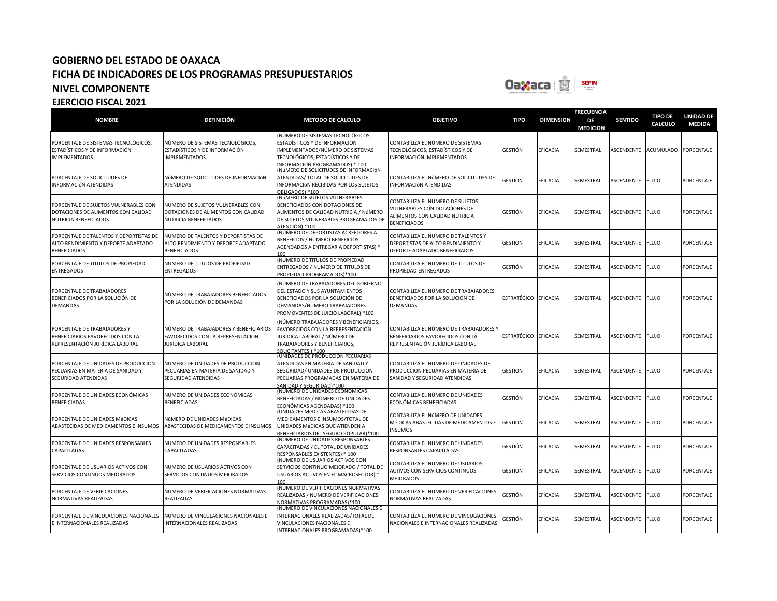

| <b>NOMBRE</b>                                                                                         | <b>DEFINICIÓN</b>                                                                                 | <b>METODO DE CALCULO</b>                                                                                                                                                         | <b>OBJETIVO</b>                                                                                                            | <b>TIPO</b>          | <b>DIMENSION</b> | <b>FRECUENCIA</b><br>DE<br><b>MEDICION</b> | <b>SENTIDO</b>   | <b>TIPO DE</b><br>CALCULO | <b>UNIDAD DE</b><br><b>MEDIDA</b> |
|-------------------------------------------------------------------------------------------------------|---------------------------------------------------------------------------------------------------|----------------------------------------------------------------------------------------------------------------------------------------------------------------------------------|----------------------------------------------------------------------------------------------------------------------------|----------------------|------------------|--------------------------------------------|------------------|---------------------------|-----------------------------------|
| PORCENTAJE DE SISTEMAS TECNOLÓGICOS,<br>ESTADÍSTICOS Y DE INFORMACIÓN<br><b>IMPLEMENTADOS</b>         | NÚMERO DE SISTEMAS TECNOLÓGICOS,<br>ESTADÍSTICOS Y DE INFORMACIÓN<br><b>IMPLEMENTADOS</b>         | NÚMERO DE SISTEMAS TECNOLÓGICOS,<br>ESTADÍSTICOS Y DE INFORMACIÓN<br>IMPLEMENTADOS/NÚMERO DE SISTEMAS<br>TECNOLÓGICOS, ESTADÍSTICOS Y DE<br>INFORMACIÓN PROGRAMADOS) * 100       | CONTABILIZA EL NÚMERO DE SISTEMAS<br>TECNOLÓGICOS, ESTADÍSTICOS Y DE<br>INFORMACIÓN IMPLEMENTADOS                          | GESTIÓN              | <b>EFICACIA</b>  | SEMESTRAL                                  | ASCENDENTE       | <b>ACUMULADO</b>          | PORCENTAJE                        |
| PORCENTAJE DE SOLICITUDES DE<br>INFORMACIÓN ATENDIDAS                                                 | NúMERO DE SOLICITUDES DE INFORMACIÓN<br><b>ATENDIDAS</b>                                          | (NÚMERO DE SOLICITUDES DE INFORMACIÓN<br>ATENDIDAS/ TOTAL DE SOLICITUDES DE<br>INFORMACIÓN RECIBIDAS POR LOS SUJETOS<br>OBLIGADOS) *100                                          | CONTABILIZA EL NúMERO DE SOLICITUDES DE<br>INFORMACIÓN ATENDIDAS                                                           | GESTIÓN              | EFICACIA         | SEMESTRAL                                  | ASCENDENTE       | <b>FLUJO</b>              | PORCENTAJE                        |
| PORCENTAJE DE SUJETOS VULNERABLES CON<br>DOTACIONES DE ALIMENTOS CON CALIDAD<br>NUTRICIA BENEFICIADOS | NUMERO DE SUJETOS VULNERABLES CON<br>DOTACIONES DE ALIMENTOS CON CALIDAD<br>NUTRICIA BENEFICIADOS | NúMERO DE SUJETOS VULNERABLES<br>BENEFICIADOS CON DOTACIONES DE<br>ALIMENTOS DE CALIDAD NUTRICIA / NúMERO<br>DE SUJETOS VULNERABLES PROGRAMADOS DE<br>ATENCIÓN) *100             | CONTABILIZA EL NUMERO DE SUJETOS<br>VULNERABLES CON DOTACIONES DE<br>ALIMENTOS CON CALIDAD NUTRICIA<br><b>BENEFICIADOS</b> | GESTIÓN              | <b>EFICACIA</b>  | SEMESTRAL                                  | ASCENDENTE FLUJO |                           | PORCENTAJE                        |
| PORCENTAJE DE TALENTOS Y DEPORTISTAS DE<br>ALTO RENDIMIENTO Y DEPORTE ADAPTADO<br><b>BENEFICIADOS</b> | NUMERO DE TALENTOS Y DEPORTISTAS DE<br>ALTO RENDIMIENTO Y DEPORTE ADAPTADO<br><b>BENEFICIADOS</b> | NUMERO DE DEPORTISTAS ACREEDORES A<br>BENEFICIOS / NUMERO BENEFICIOS<br>AGENDADOS A ENTREGAR A DEPORTISTAS) '<br>100                                                             | CONTABILIZA EL NUMERO DE TALENTOS Y<br>DEPORTISTAS DE ALTO RENDIMIENTO Y<br>DEPORTE ADAPTADO BENEFICIADOS                  | GESTIÓN              | EFICACIA         | SEMESTRAL                                  | ASCENDENTE       | <b>FLUJO</b>              | PORCENTAJE                        |
| PORCENTAJE DE TITULOS DE PROPIEDAD<br><b>ENTREGADOS</b>                                               | NUMERO DE TITULOS DE PROPIEDAD<br><b>ENTREGADOS</b>                                               | (NUMERO DE TITULOS DE PROPIEDAD<br>ENTREGADOS / NUMERO DE TITULOS DE<br>PROPIEDAD PROGRAMADOS)*100                                                                               | CONTABILIZA EL NUMERO DE TITULOS DE<br>PROPIEDAD ENTREGADOS                                                                | GESTIÓN              | <b>EFICACIA</b>  | SEMESTRAL                                  | ASCENDENTE       | <b>FLUJO</b>              | PORCENTAJE                        |
| PORCENTAJE DE TRABAJADORES<br>BENEFICIADOS POR LA SOLUCIÓN DE<br>DEMANDAS                             | NÚMERO DE TRABAJADORES BENEFICIADOS<br>POR LA SOLUCIÓN DE DEMANDAS                                | (NÚMERO DE TRABAJADORES DEL GOBIERNO<br>DEL ESTADO Y SUS AYUNTAMIENTOS<br>BENEFICIADOS POR LA SOLUCIÓN DE<br>DEMANDAS/NÚMERO TRABAJADORES<br>PROMOVENTES DE JUICIO LABORAL) *100 | CONTABILIZA EL NÚMERO DE TRABAJADORES<br>BENEFICIADOS POR LA SOLUCIÓN DE<br>DEMANDAS                                       | ESTRATÉGICO          | <b>EFICACIA</b>  | SEMESTRAL                                  | ASCENDENTE       | <b>FLUJO</b>              | PORCENTAJE                        |
| PORCENTAJE DE TRABAJADORES Y<br>BENEFICIARIOS FAVORECIDOS CON LA<br>REPRESENTACIÓN JURÍDICA LABORAL   | NÚMERO DE TRABAJADORES Y BENEFICIARIOS<br>FAVORECIDOS CON LA REPRESENTACIÓN<br>JURÍDICA LABORAL   | NÚMERO TRABAJADORES Y BENEFICIARIOS,<br>FAVORECIDOS CON LA REPRESENTACIÓN<br>JURÍDICA LABORAL / NÚMERO DE<br>TRABAJADORES Y BENEFICIARIOS,<br>SOLICITANTES ) *100                | CONTABILIZA EL NÚMERO DE TRABAJADORES Y<br>BENEFICIARIOS FAVORECIDOS CON LA<br>REPRESENTACIÓN JURÍDICA LABORAL             | ESTRATÉGICO EFICACIA |                  | SEMESTRAL                                  | ASCENDENTE       | <b>FLUJO</b>              | PORCENTAJE                        |
| PORCENTAJE DE UNIDADES DE PRODUCCION<br>PECUARIAS EN MATERIA DE SANIDAD Y<br>SEGURIDAD ATENDIDAS      | NUMERO DE UNIDADES DE PRODUCCION<br>PECUARIAS EN MATERIA DE SANIDAD Y<br>SEGURIDAD ATENDIDAS      | (UNIDADES DE PRODUCCION PECUARIAS<br>ATENDIDAS EN MATERIA DE SANIDAD Y<br>SEGURIDAD/ UNIDADES DE PRODUCCION<br>PECUARIAS PROGRAMADAS EN MATERIA DE<br>SANIDAD Y SEGURIDAD)*100   | CONTABILIZA EL NUMERO DE UNIDADES DE<br>PRODUCCION PECUARIAS EN MATERIA DE<br>SANIDAD Y SEGURIDAD ATENDIDAS                | GESTIÓN              | EFICACIA         | SEMESTRAL                                  | ASCENDENTE       | <b>FLUJO</b>              | <b>PORCENTAJE</b>                 |
| PORCENTAJE DE UNIDADES ECONÓMICAS<br><b>BENEFICIADAS</b>                                              | NÚMERO DE UNIDADES ECONÓMICAS<br><b>BENEFICIADAS</b>                                              | (NÚMERO DE UNIDADES ECONÓMICAS<br>BENEFICIADAS / NÚMERO DE UNIDADES<br>ECONÓMICAS AGENDADAS) *100                                                                                | CONTABILIZA EL NÚMERO DE UNIDADES<br>ECONÓMICAS BENEFICIADAS                                                               | GESTIÓN              | <b>EFICACIA</b>  | SEMESTRAL                                  | ASCENDENTE       | <b>FLUJO</b>              | PORCENTAJE                        |
| PORCENTAJE DE UNIDADES MéDICAS<br>ABASTECIDAS DE MEDICAMENTOS E INSUMOS                               | NÚMERO DE UNIDADES MéDICAS<br>ABASTECIDAS DE MEDICAMENTOS E INSUMOS                               | UNIDADES MéDICAS ABASTECIDAS DE<br>MEDICAMENTOS E INSUMOS/TOTAL DE<br>UNIDADES MéDICAS QUE ATIENDEN A<br>BENEFICIARIOS DEL SEGURO POPULAR)*100                                   | CONTABILIZA EL NúMERO DE UNIDADES<br>MéDICAS ABASTECIDAS DE MEDICAMENTOS E<br><b>INSUMOS</b>                               | <b>GESTIÓN</b>       | <b>EFICACIA</b>  | SEMESTRAL                                  | ASCENDENTE       | <b>FLUJO</b>              | PORCENTAJE                        |
| PORCENTAJE DE UNIDADES RESPONSABLES<br>CAPACITADAS                                                    | NUMERO DE UNIDADES RESPONSABLES<br>CAPACITADAS                                                    | (NUMERO DE UNIDADES RESPONSABLES<br>CAPACITADAS / EL TOTAL DE UNIDADES<br>RESPONSABLES EXISTENTES) * 100                                                                         | CONTABILIZA EL NUMERO DE UNIDADES<br>RESPONSABLES CAPACITADAS                                                              | GESTIÓN              | EFICACIA         | SEMESTRAL                                  | ASCENDENTE       | <b>FLUJO</b>              | PORCENTAJE                        |
| PORCENTAJE DE USUARIOS ACTIVOS CON<br>SERVICIOS CONTINUOS MEJORADOS                                   | NUMERO DE USUARIOS ACTIVOS CON<br>SERVICIOS CONTINUOS MEJORADOS                                   | NUMERO DE USUARIOS ACTIVOS CON<br>SERVICIOS CONTINUO MEJORADO / TOTAL DE<br>USUARIOS ACTIVOS EN EL MACROSECTOR) *<br>100                                                         | CONTABILIZA EL NUMERO DE USUARIOS<br><b>ACTIVOS CON SERVICIOS CONTINUOS</b><br><b>MEJORADOS</b>                            | GESTIÓN              | <b>EFICACIA</b>  | SEMESTRAL                                  | ASCENDENTE       | <b>FLUJO</b>              | PORCENTAJE                        |
| PORCENTAJE DE VERIFICACIONES<br>NORMATIVAS REALIZADAS                                                 | NUMERO DE VERIFICACIONES NORMATIVAS<br>REALIZADAS                                                 | (NUMERO DE VERIFICACIONES NORMATIVAS<br>REALIZADAS / NUMERO DE VERIFICACIONES<br>NORMATIVAS PROGRAMADAS)*100                                                                     | CONTABILIZA EL NUMERO DE VERIFICACIONES<br>NORMATIVAS REALIZADAS                                                           | GESTIÓN              | <b>EFICACIA</b>  | SEMESTRAL                                  | ASCENDENTE FLUJO |                           | <b>PORCENTAJE</b>                 |
| PORCENTAJE DE VINCULACIONES NACIONALES<br>E INTERNACIONALES REALIZADAS                                | NUMERO DE VINCULACIONES NACIONALES E<br>INTERNACIONALES REALIZADAS                                | NUMERO DE VINCULACIONES NACIONALES E<br>INTERNACIONALES REALIZADAS/TOTAL DE<br>VINCULACIONES NACIONALES E<br>INTERNACIONALES PROGRAMADAS)*100                                    | CONTABILIZA EL NUMERO DE VINCULACIONES<br>NACIONALES E INTERNACIONALES REALIZADAS                                          | GESTIÓN              | EFICACIA         | SEMESTRAL                                  | ASCENDENTE       | <b>FLUJO</b>              | PORCENTAJE                        |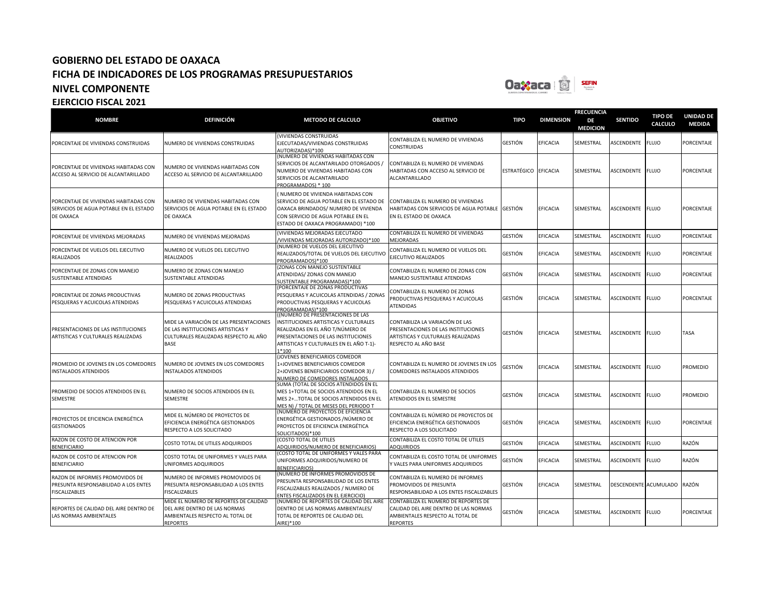

| <b>NOMBRE</b>                                                                                   | <b>DEFINICIÓN</b>                                                                                                                    | <b>METODO DE CALCULO</b>                                                                                                                                                                                    | <b>OBJETIVO</b>                                                                                                                      | <b>TIPO</b> | <b>DIMENSION</b> | <b>FRECUENCIA</b><br>DE<br><b>MEDICION</b> | <b>SENTIDO</b>        | <b>TIPO DE</b><br>CALCULO | <b>UNIDAD DE</b><br><b>MEDIDA</b> |
|-------------------------------------------------------------------------------------------------|--------------------------------------------------------------------------------------------------------------------------------------|-------------------------------------------------------------------------------------------------------------------------------------------------------------------------------------------------------------|--------------------------------------------------------------------------------------------------------------------------------------|-------------|------------------|--------------------------------------------|-----------------------|---------------------------|-----------------------------------|
| PORCENTAJE DE VIVIENDAS CONSTRUIDAS                                                             | NUMERO DE VIVIENDAS CONSTRUIDAS                                                                                                      | (VIVIENDAS CONSTRUIDAS<br>EJECUTADAS/VIVIENDAS CONSTRUIDAS<br>AUTORIZADAS)*100                                                                                                                              | CONTABILIZA EL NUMERO DE VIVIENDAS<br>CONSTRUIDAS                                                                                    | GESTIÓN     | <b>EFICACIA</b>  | SEMESTRAL                                  | ASCENDENTE            | <b>FLUJO</b>              | <b>PORCENTAJE</b>                 |
| PORCENTAJE DE VIVIENDAS HABITADAS CON<br>ACCESO AL SERVICIO DE ALCANTARILLADO                   | NUMERO DE VIVIENDAS HABITADAS CON<br>ACCESO AL SERVICIO DE ALCANTARILLADO                                                            | (NUMERO DE VIVIENDAS HABITADAS CON<br>SERVICIOS DE ALCANTARILADO OTORGADOS /<br>NUMERO DE VIVIENDAS HABITADAS CON<br>SERVICIOS DE ALCANTARILADO<br>PROGRAMADOS) * 100                                       | CONTABILIZA EL NUMERO DE VIVIENDAS<br>HABITADAS CON ACCESO AL SERVICIO DE<br><b>ALCANTARILLADO</b>                                   | ESTRATÉGICO | <b>EFICACIA</b>  | SEMESTRAL                                  | ASCENDENTE            | <b>FLUJO</b>              | PORCENTAJE                        |
| PORCENTAJE DE VIVIENDAS HABITADAS CON<br>SERVICIOS DE AGUA POTABLE EN EL ESTADO<br>DE OAXACA    | NUMERO DE VIVIENDAS HABITADAS CON<br>SERVICIOS DE AGUA POTABLE EN EL ESTADO<br>DE OAXACA                                             | NUMERO DE VIVIENDA HABITADAS CON<br>SERVICIO DE AGUA POTABLE EN EL ESTADO DE<br>OAXACA BRINDADOS/ NUMERO DE VIVIENDA<br>CON SERVICIO DE AGUA POTABLE EN EL<br>ESTADO DE OAXACA PROGRAMADO) *100             | CONTABILIZA EL NUMERO DE VIVIENDAS<br>HABITADAS CON SERVICIOS DE AGUA POTABLE GESTIÓN<br>EN EL ESTADO DE OAXACA                      |             | <b>EFICACIA</b>  | SEMESTRAL                                  | ASCENDENTE            | <b>FLUJO</b>              | PORCENTAJE                        |
| PORCENTAJE DE VIVIENDAS MEJORADAS                                                               | NUMERO DE VIVIENDAS MEJORADAS                                                                                                        | (VIVIENDAS MEJORADAS EJECUTADO<br>VIVIENDAS MEJORADAS AUTORIZADO)*100                                                                                                                                       | CONTABILIZA EL NUMERO DE VIVIENDAS<br>MEJORADAS                                                                                      | GESTIÓN     | <b>EFICACIA</b>  | SEMESTRAL                                  | <b>ASCENDENTE</b>     | <b>FLUJO</b>              | <b>PORCENTAJE</b>                 |
| PORCENTAJE DE VUELOS DEL EJECUTIVO<br><b>REALIZADOS</b>                                         | NUMERO DE VUELOS DEL EJECUTIVO<br><b>REALIZADOS</b>                                                                                  | NUMERO DE VUELOS DEL EJECUTIVO<br>REALIZADOS/TOTAL DE VUELOS DEL EJECUTIVO<br>PROGRAMADOS)*100                                                                                                              | CONTABILIZA EL NUMERO DE VUELOS DEL<br>EJECUTIVO REALIZADOS                                                                          | GESTIÓN     | <b>EFICACIA</b>  | SEMESTRAL                                  | ASCENDENTE            | <b>FLUJO</b>              | PORCENTAJE                        |
| PORCENTAJE DE ZONAS CON MANEJO<br>SUSTENTABLE ATENDIDAS                                         | NUMERO DE ZONAS CON MANEJO<br><b>SUSTENTABLE ATENDIDAS</b>                                                                           | (ZONAS CON MANEJO SUSTENTABLE<br>ATENDIDAS/ ZONAS CON MANEJO<br>SUSTENTABLE PROGRAMADAS)*100                                                                                                                | CONTABILIZA EL NUMERO DE ZONAS CON<br>MANEJO SUSTENTABLE ATENDIDAS                                                                   | GESTIÓN     | <b>EFICACIA</b>  | SEMESTRAL                                  | ASCENDENTE            | <b>FLUJO</b>              | PORCENTAJE                        |
| PORCENTAJE DE ZONAS PRODUCTIVAS<br>PESQUERAS Y ACUICOLAS ATENDIDAS                              | NUMERO DE ZONAS PRODUCTIVAS<br>PESQUERAS Y ACUICOLAS ATENDIDAS                                                                       | PORCENTAJE DE ZONAS PRODUCTIVAS<br>PESQUERAS Y ACUICOLAS ATENDIDAS / ZONAS<br>PRODUCTIVAS PESQUERAS Y ACUICOLAS<br>PROGRAMADAS)*100                                                                         | CONTABILIZA EL NUMERO DE ZONAS<br>PRODUCTIVAS PESQUERAS Y ACUICOLAS<br><b>ATENDIDAS</b>                                              | GESTIÓN     | <b>EFICACIA</b>  | SEMESTRAL                                  | ASCENDENTE            | <b>FLUJO</b>              | PORCENTAJE                        |
| PRESENTACIONES DE LAS INSTITUCIONES<br>ARTISTICAS Y CULTURALES REALIZADAS                       | MIDE LA VARIACIÓN DE LAS PRESENTACIONES<br>DE LAS INSTITUCIONES ARTISTICAS Y<br>CULTURALES REALIZADAS RESPECTO AL AÑO<br><b>BASE</b> | ((NÚMERO DE PRESENTACIONES DE LAS<br>INSTITUCIONES ARTISTICAS Y CULTURALES<br>REALIZADAS EN EL AÑO T/NÚMERO DE<br>PRESENTACIONES DE LAS INSTITUCIONES<br>ARTISTICAS Y CULTURALES EN EL AÑO T-1)-<br>$1*100$ | CONTABILIZA LA VARIACIÓN DE LAS<br>PRESENTACIONES DE LAS INSTITUCIONES<br>ARTISTICAS Y CULTURALES REALIZADAS<br>RESPECTO AL AÑO BASE | GESTIÓN     | <b>EFICACIA</b>  | SEMESTRAL                                  | ASCENDENTE FLUJO      |                           | TASA                              |
| PROMEDIO DE JOVENES EN LOS COMEDORES<br><b>INSTALADOS ATENDIDOS</b>                             | NUMERO DE JOVENES EN LOS COMEDORES<br>INSTALADOS ATENDIDOS                                                                           | (JOVENES BENEFICIARIOS COMEDOR<br>1+JOVENES BENEFICIARIOS COMEDOR<br>2+JOVENES BENEFICIARIOS COMEDOR 3) /<br>NUMERO DE COMEDORES INSTALADOS                                                                 | CONTABILIZA EL NUMERO DE JOVENES EN LOS<br>COMEDORES INSTALADOS ATENDIDOS                                                            | GESTIÓN     | <b>EFICACIA</b>  | SEMESTRAL                                  | ASCENDENTE            | <b>FLUJO</b>              | PROMEDIO                          |
| PROMEDIO DE SOCIOS ATENDIDOS EN EL<br>SEMESTRE                                                  | NUMERO DE SOCIOS ATENDIDOS EN EL<br>SEMESTRE                                                                                         | SUMA (TOTAL DE SOCIOS ATENDIDOS EN EL<br>MES 1+TOTAL DE SOCIOS ATENDIDOS EN EL<br>MES 2+TOTAL DE SOCIOS ATENDIDOS EN EL<br>MES N) / TOTAL DE MESES DEL PERIODO T                                            | CONTABILIZA EL NUMERO DE SOCIOS<br>ATENDIDOS EN EL SEMESTRE                                                                          | GESTIÓN     | EFICACIA         | SEMESTRAL                                  | ASCENDENTE            | <b>FLUJO</b>              | PROMEDIO                          |
| PROYECTOS DE EFICIENCIA ENERGÉTICA<br><b>GESTIONADOS</b>                                        | MIDE EL NÚMERO DE PROYECTOS DE<br>EFICIENCIA ENERGÉTICA GESTIONADOS<br>RESPECTO A LOS SOLICITADO                                     | (NÚMERO DE PROYECTOS DE EFICIENCIA<br>ENERGÉTICA GESTIONADOS / NÚMERO DE<br>PROYECTOS DE EFICIENCIA ENERGÉTICA<br>SOLICITADOS)*100                                                                          | CONTABILIZA EL NÚMERO DE PROYECTOS DE<br>EFICIENCIA ENERGÉTICA GESTIONADOS<br>RESPECTO A LOS SOLICITADO                              | GESTIÓN     | <b>EFICACIA</b>  | SEMESTRAL                                  | ASCENDENTE            | <b>FLUJO</b>              | PORCENTAJE                        |
| RAZON DE COSTO DE ATENCION POR<br><b>BENEFICIARIO</b>                                           | COSTO TOTAL DE UTILES ADQUIRIDOS                                                                                                     | (COSTO TOTAL DE UTILES<br>ADQUIRIDOS/NUMERO DE BENEFICIARIOS)                                                                                                                                               | CONTABILIZA EL COSTO TOTAL DE UTILES<br><b>ADQUIRIDOS</b>                                                                            | GESTIÓN     | EFICACIA         | SEMESTRAL                                  | ASCENDENTE            | <b>FLUJO</b>              | RAZÓN                             |
| RAZON DE COSTO DE ATENCION POR<br><b>BENEFICIARIO</b>                                           | COSTO TOTAL DE UNIFORMES Y VALES PARA<br>UNIFORMES ADQUIRIDOS                                                                        | COSTO TOTAL DE UNIFORMES Y VALES PARA<br>UNIFORMES ADQUIRIDOS/NUMERO DE<br><b>BENEFICIARIOS)</b>                                                                                                            | CONTABILIZA EL COSTO TOTAL DE UNIFORMES<br>Y VALES PARA UNIFORMES ADQUIRIDOS                                                         | GESTIÓN     | EFICACIA         | SEMESTRAL                                  | ASCENDENTE            | <b>FLUJO</b>              | RAZÓN                             |
| RAZON DE INFORMES PROMOVIDOS DE<br>PRESUNTA RESPONSABILIDAD A LOS ENTES<br><b>FISCALIZABLES</b> | NUMERO DE INFORMES PROMOVIDOS DE<br>PRESUNTA RESPONSABILIDAD A LOS ENTES<br><b>FISCALIZABLES</b>                                     | (NUMERO DE INFORMES PROMOVIDOS DE<br>PRESUNTA RESPONSABILIDAD DE LOS ENTES<br>FISCALIZABLES REALIZADOS / NUMERO DE<br>ENTES FISCALIZADOS EN EL EJERCICIO)                                                   | CONTABILIZA EL NUMERO DE INFORMES<br>PROMOVIDOS DE PRESUNTA<br>RESPONSABILIDAD A LOS ENTES FISCALIZABLES                             | GESTIÓN     | EFICACIA         | SEMESTRAL                                  | DESCENDENTE ACUMULADO |                           | RAZÓN                             |
| REPORTES DE CALIDAD DEL AIRE DENTRO DE<br>LAS NORMAS AMBIENTALES                                | MIDE EL NÚMERO DE REPORTES DE CALIDAD<br>DEL AIRE DENTRO DE LAS NORMAS<br>AMBIENTALES RESPECTO AL TOTAL DE<br><b>REPORTES</b>        | (NÚMERO DE REPORTES DE CALIDAD DEL AIRE<br>DENTRO DE LAS NORMAS AMBIENTALES/<br>TOTAL DE REPORTES DE CALIDAD DEL<br>AIRE) * 100                                                                             | CONTABILIZA EL NÚMERO DE REPORTES DE<br>CALIDAD DEL AIRE DENTRO DE LAS NORMAS<br>AMBIENTALES RESPECTO AL TOTAL DE<br><b>REPORTES</b> | GESTIÓN     | <b>EFICACIA</b>  | SEMESTRAL                                  | ASCENDENTE            | <b>FLUJO</b>              | PORCENTAJE                        |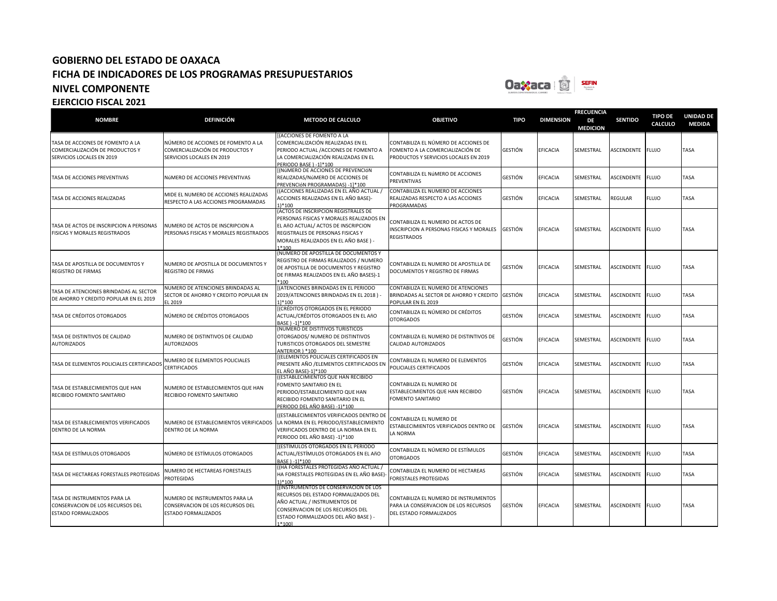

| <b>NOMBRE</b>                                                                                    | <b>DEFINICIÓN</b>                                                                                  | <b>METODO DE CALCULO</b>                                                                                                                                                                                        | <b>OBJETIVO</b>                                                                                                   | <b>TIPO</b>    | <b>DIMENSION</b> | <b>FRECUENCIA</b><br>DE<br><b>MEDICION</b> | <b>SENTIDO</b>    | <b>TIPO DE</b><br>CALCULO | <b>UNIDAD DE</b><br><b>MEDIDA</b> |
|--------------------------------------------------------------------------------------------------|----------------------------------------------------------------------------------------------------|-----------------------------------------------------------------------------------------------------------------------------------------------------------------------------------------------------------------|-------------------------------------------------------------------------------------------------------------------|----------------|------------------|--------------------------------------------|-------------------|---------------------------|-----------------------------------|
| TASA DE ACCIONES DE FOMENTO A LA<br>COMERCIALIZACIÓN DE PRODUCTOS Y<br>SERVICIOS LOCALES EN 2019 | NÚMERO DE ACCIONES DE FOMENTO A LA<br>COMERCIALIZACIÓN DE PRODUCTOS Y<br>SERVICIOS LOCALES EN 2019 | [(ACCIONES DE FOMENTO A LA<br>COMERCIALIZACIÓN REALIZADAS EN EL<br>PERIODO ACTUAL / ACCIONES DE FOMENTO A<br>LA COMERCIALIZACIÓN REALIZADAS EN EL<br>PERIODO BASE ) -11*100                                     | CONTABILIZA EL NÚMERO DE ACCIONES DE<br>FOMENTO A LA COMERCIALIZACIÓN DE<br>PRODUCTOS Y SERVICIOS LOCALES EN 2019 | GESTIÓN        | EFICACIA         | SEMESTRAL                                  | ASCENDENTE        | <b>FLUJO</b>              | TASA                              |
| TASA DE ACCIONES PREVENTIVAS                                                                     | NÚMERO DE ACCIONES PREVENTIVAS                                                                     | [(NÚMERO DE ACCIONES DE PREVENCIÓN<br>REALIZADAS/NúMERO DE ACCIONES DE<br>PREVENCIÓN PROGRAMADAS) -11*100                                                                                                       | CONTABILIZA EL NÚMERO DE ACCIONES<br>PREVENTIVAS                                                                  | GESTIÓN        | EFICACIA         | SEMESTRAL                                  | ASCENDENTE        | <b>FLUJO</b>              | TASA                              |
| TASA DE ACCIONES REALIZADAS                                                                      | MIDE EL NUMERO DE ACCIONES REALIZADAS<br>RESPECTO A LAS ACCIONES PROGRAMADAS                       | ((ACCIONES REALIZADAS EN EL AÑO ACTUAL /<br>ACCIONES REALIZADAS EN EL AÑO BASE)-<br>1)*100                                                                                                                      | CONTABILIZA EL NUMERO DE ACCIONES<br>REALIZADAS RESPECTO A LAS ACCIONES<br>PROGRAMADAS                            | GESTIÓN        | EFICACIA         | SEMESTRAL                                  | REGULAR           | <b>FLUJO</b>              | TASA                              |
| TASA DE ACTOS DE INSCRIPCION A PERSONAS<br>FISICAS Y MORALES REGISTRADOS                         | NUMERO DE ACTOS DE INSCRIPCION A<br>PERSONAS FISICAS Y MORALES REGISTRADOS                         | (ACTOS DE INSCRIPCION REGISTRALES DE<br>PERSONAS FISICAS Y MORALES REALIZADOS EN<br>EL AñO ACTUAL/ ACTOS DE INSCRIPCION<br>REGISTRALES DE PERSONAS FISICAS Y<br>MORALES REALIZADOS EN EL AÑO BASE) -<br>$1*100$ | CONTABILIZA EL NUMERO DE ACTOS DE<br>INSCRIPCION A PERSONAS FISICAS Y MORALES<br><b>REGISTRADOS</b>               | GESTIÓN        | EFICACIA         | SEMESTRAL                                  | <b>ASCENDENTE</b> | <b>FLUJO</b>              | TASA                              |
| TASA DE APOSTILLA DE DOCUMENTOS Y<br><b>REGISTRO DE FIRMAS</b>                                   | NUMERO DE APOSTILLA DE DOCUMENTOS Y<br><b>REGISTRO DE FIRMAS</b>                                   | (NUMERO DE APOSTILLA DE DOCUMENTOS Y<br>REGISTRO DE FIRMAS REALIZADOS / NUMERO<br>DE APOSTILLA DE DOCUMENTOS Y REGISTRO<br>DE FIRMAS REALIZADOS EN EL AÑO BASES)-1<br>$*100$                                    | CONTABILIZA EL NUMERO DE APOSTILLA DE<br>DOCUMENTOS Y REGISTRO DE FIRMAS                                          | GESTIÓN        | EFICACIA         | SEMESTRAL                                  | ASCENDENTE        | <b>FLUJO</b>              | TASA                              |
| TASA DE ATENCIONES BRINDADAS AL SECTOR<br>DE AHORRO Y CREDITO POPULAR EN EL 2019                 | NUMERO DE ATENCIONES BRINDADAS AL<br>SECTOR DE AHORRO Y CREDITO POPULAR EN<br>EL 2019              | <b>ILATENCIONES BRINDADAS EN EL PERIODO</b><br>2019/ATENCIONES BRINDADAS EN EL 2018)<br>11*100                                                                                                                  | CONTABILIZA EL NUMERO DE ATENCIONES<br>BRINDADAS AL SECTOR DE AHORRO Y CREDITO<br>POPULAR EN EL 2019              | <b>GESTIÓN</b> | EFICACIA         | SEMESTRAL                                  | ASCENDENTE        | <b>FLUJO</b>              | TASA                              |
| TASA DE CRÉDITOS OTORGADOS                                                                       | NÚMERO DE CRÉDITOS OTORGADOS                                                                       | <b>Í(CRÉDITOS OTORGADOS EN EL PERIODO</b><br>ACTUAL/CRÉDITOS OTORGADOS EN EL AñO<br>BASE ) -11*100                                                                                                              | CONTABILIZA EL NÚMERO DE CRÉDITOS<br><b>OTORGADOS</b>                                                             | GESTIÓN        | EFICACIA         | SEMESTRAL                                  | ASCENDENTE        | <b>FLUJO</b>              | TASA                              |
| TASA DE DISTINTIVOS DE CALIDAD<br><b>AUTORIZADOS</b>                                             | NUMERO DE DISTINTIVOS DE CALIDAD<br><b>AUTORIZADOS</b>                                             | (NUMERO DE DISTITIVOS TURISTICOS<br>OTORGADOS/ NUMERO DE DISTINTIVOS<br>TURISTICOS OTORGADOS DEL SEMESTRE<br>ANTERIOR 1 *100                                                                                    | CONTABILIZA EL NUMERO DE DISTINTIVOS DE<br>CALIDAD AUTORIZADOS                                                    | GESTIÓN        | EFICACIA         | SEMESTRAL                                  | ASCENDENTE        | <b>FLUJO</b>              | TASA                              |
| TASA DE ELEMENTOS POLICIALES CERTIFICADO                                                         | NUMERO DE ELEMENTOS POLICIALES<br><b>CERTIFICADOS</b>                                              | [(ELEMENTOS POLICIALES CERTIFICADOS EN<br>PRESENTE AÑO /ELEMENTOS CERTIFICADOS EN<br>FL AÑO BASE)-11*100                                                                                                        | CONTABILIZA EL NUMERO DE ELEMENTOS<br>POLICIALES CERTIFICADOS                                                     | GESTIÓN        | EFICACIA         | SEMESTRAL                                  | ASCENDENTE        | <b>FLUJO</b>              | TASA                              |
| TASA DE ESTABLECIMIENTOS QUE HAN<br>RECIBIDO FOMENTO SANITARIO                                   | NUMERO DE ESTABLECIMIENTOS QUE HAN<br>RECIBIDO FOMENTO SANITARIO                                   | ((ESTABLECIMIENTOS QUE HAN RECIBIDO<br>FOMENTO SANITARIO EN EL<br>PERIODO/ESTABLECIMIENTO QUE HAN<br>RECIBIDO FOMENTO SANITARIO EN EL<br>PERIODO DEL AÑO BASE) -1)*100                                          | CONTABILIZA EL NUMERO DE<br>ESTABLECIMIENTOS QUE HAN RECIBIDO<br><b>FOMENTO SANITARIO</b>                         | GESTIÓN        | EFICACIA         | SEMESTRAL                                  | ASCENDENTE        | <b>FLUJO</b>              | TASA                              |
| TASA DE ESTABLECIMIENTOS VERIFICADOS<br>DENTRO DE LA NORMA                                       | NUMERO DE ESTABLECIMIENTOS VERIFICADOS<br>DENTRO DE LA NORMA                                       | ((ESTABLECIMIENTOS VERIFICADOS DENTRO DE<br>LA NORMA EN EL PERIODO/ESTABLECIMIENTO<br>VERIFICADOS DENTRO DE LA NORMA EN EL<br>PERIODO DEL AÑO BASE) -1)*100                                                     | CONTABILIZA EL NUMERO DE<br>ESTABLECIMIENTOS VERIFICADOS DENTRO DE<br>LA NORMA                                    | GESTIÓN        | EFICACIA         | SEMESTRAL                                  | ASCENDENTE        | <b>FLUJO</b>              | TASA                              |
| TASA DE ESTÍMULOS OTORGADOS                                                                      | NÚMERO DE ESTÍMULOS OTORGADOS                                                                      | ((ESTÍMULOS OTORGADOS EN EL PERIODO<br>ACTUAL/ESTÍMULOS OTORGADOS EN EL AñO<br>BASE ) -11*100                                                                                                                   | CONTABILIZA EL NÚMERO DE ESTÍMULOS<br><b>OTORGADOS</b>                                                            | GESTIÓN        | <b>EFICACIA</b>  | SEMESTRAL                                  | ASCENDENTE        | <b>FLUJO</b>              | TASA                              |
| TASA DE HECTAREAS FORESTALES PROTEGIDAS                                                          | NUMERO DE HECTAREAS FORESTALES<br><b>PROTEGIDAS</b>                                                | ((HA FORESTALES PROTEGIDAS AÑO ACTUAL /<br>HA FORESTALES PROTEGIDAS EN EL AÑO BASE)-<br>1)*100                                                                                                                  | CONTABILIZA EL NUMERO DE HECTAREAS<br>FORESTALES PROTEGIDAS                                                       | GESTIÓN        | EFICACIA         | SEMESTRAL                                  | ASCENDENTE        | <b>FLUJO</b>              | TASA                              |
| TASA DE INSTRUMENTOS PARA LA<br>CONSERVACION DE LOS RECURSOS DEL<br><b>ESTADO FORMALIZADOS</b>   | NUMERO DE INSTRUMENTOS PARA LA<br>CONSERVACION DE LOS RECURSOS DEL<br>ESTADO FORMALIZADOS          | [(INSTRUMENTOS DE CONSERVACION DE LOS<br>RECURSOS DEL ESTADO FORMALIZADOS DEL<br>AÑO ACTUAL / INSTRUMENTOS DE<br>CONSERVACION DE LOS RECURSOS DEL<br>ESTADO FORMALIZADOS DEL AÑO BASE) -<br>1*100]              | CONTABILIZA EL NUMERO DE INSTRUMENTOS<br>PARA LA CONSERVACION DE LOS RECURSOS<br>DEL ESTADO FORMALIZADOS          | GESTIÓN        | <b>EFICACIA</b>  | SEMESTRAL                                  | ASCENDENTE FLUJO  |                           | TASA                              |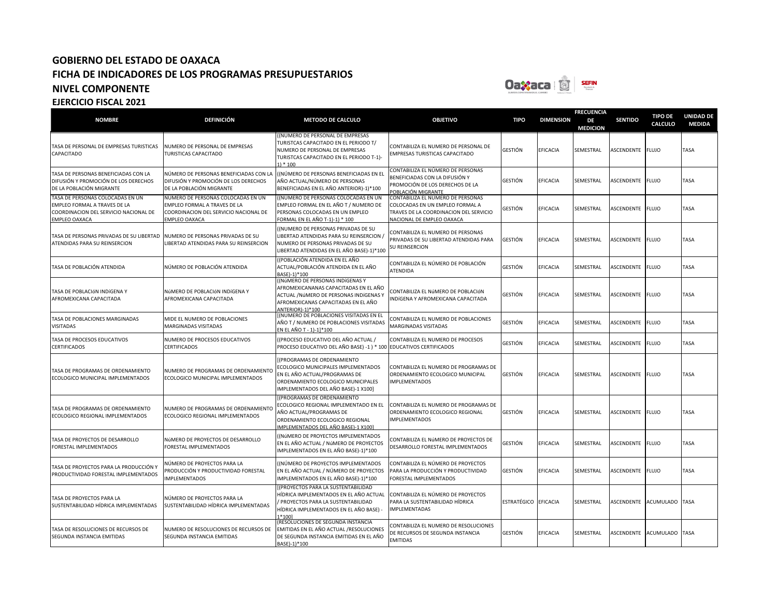

| <b>NOMBRE</b>                                                                                                                     | <b>DEFINICIÓN</b>                                                                                                            | <b>METODO DE CALCULO</b>                                                                                                                                                         | <b>OBJETIVO</b>                                                                                                                             | <b>TIPO</b> | <b>DIMENSION</b> | <b>FRECUENCIA</b><br>DE<br><b>MEDICION</b> | <b>SENTIDO</b>    | <b>TIPO DE</b><br>CALCULO | <b>UNIDAD DE</b><br><b>MEDIDA</b> |
|-----------------------------------------------------------------------------------------------------------------------------------|------------------------------------------------------------------------------------------------------------------------------|----------------------------------------------------------------------------------------------------------------------------------------------------------------------------------|---------------------------------------------------------------------------------------------------------------------------------------------|-------------|------------------|--------------------------------------------|-------------------|---------------------------|-----------------------------------|
| TASA DE PERSONAL DE EMPRESAS TURISTICAS<br>CAPACITADO                                                                             | NUMERO DE PERSONAL DE EMPRESAS<br>TURISTICAS CAPACITADO                                                                      | ((NUMERO DE PERSONAL DE EMPRESAS<br>TURISTCAS CAPACITADO EN EL PERIODO T/<br>NUMERO DE PERSONAL DE EMPRESAS<br>TURISTCAS CAPACITADO EN EL PERIODO T-1)-<br>$1) * 100$            | CONTABILIZA EL NUMERO DE PERSONAL DE<br>EMPRESAS TURISTICAS CAPACITADO                                                                      | GESTIÓN     | <b>EFICACIA</b>  | SEMESTRAL                                  | <b>ASCENDENTE</b> | <b>FLUJO</b>              | TASA                              |
| TASA DE PERSONAS BENEFICIADAS CON LA<br>DIFUSIÓN Y PROMOCIÓN DE LOS DERECHOS<br>DE LA POBLACIÓN MIGRANTE                          | NÚMERO DE PERSONAS BENEFICIADAS CON LA<br>DIFUSIÓN Y PROMOCIÓN DE LOS DERECHOS<br>DE LA POBLACIÓN MIGRANTE                   | ((NÚMERO DE PERSONAS BENEFICIADAS EN EL<br>AÑO ACTUAL/NÚMERO DE PERSONAS<br>BENEFICIADAS EN EL AÑO ANTERIOR)-1)*100                                                              | CONTABILIZA EL NÚMERO DE PERSONAS<br>BENEFICIADAS CON LA DIFUSIÓN Y<br>PROMOCIÓN DE LOS DERECHOS DE LA<br>POBLACIÓN MIGRANTE                | GESTIÓN     | <b>EFICACIA</b>  | SEMESTRAL                                  | <b>ASCENDENTE</b> | <b>FLUJO</b>              | TASA                              |
| TASA DE PERSONAS COLOCADAS EN UN<br>EMPLEO FORMAL A TRAVES DE LA<br>COORDINACION DEL SERVICIO NACIONAL DE<br><b>EMPLEO OAXACA</b> | NUMERO DE PERSONAS COLOCADAS EN UN<br>EMPLEO FORMAL A TRAVES DE LA<br>COORDINACION DEL SERVICIO NACIONAL DE<br>EMPLEO OAXACA | ((NUMERO DE PERSONAS COLOCADAS EN UN<br>EMPLEO FORMAL EN EL AÑO T / NUMERO DE<br>PERSONAS COLOCADAS EN UN EMPLEO<br>FORMAL EN EL AÑO T-1)-1) * 100                               | CONTABILIZA EL NUMERO DE PERSONAS<br>COLOCADAS EN UN EMPLEO FORMAL A<br>TRAVES DE LA COORDINACION DEL SERVICIO<br>NACIONAL DE EMPLEO OAXACA | GESTIÓN     | EFICACIA         | SEMESTRAL                                  | ASCENDENTE        | <b>FLUJO</b>              | TASA                              |
| TASA DE PERSONAS PRIVADAS DE SU LIBERTAD<br>ATENDIDAS PARA SU REINSERCION                                                         | NUMERO DE PERSONAS PRIVADAS DE SU<br>LIBERTAD ATENDIDAS PARA SU REINSERCION                                                  | ((NUMERO DE PERSONAS PRIVADAS DE SU<br>LIBERTAD ATENDIDAS PARA SU REINSERCION<br>NUMERO DE PERSONAS PRIVADAS DE SU<br>LIBERTAD ATENDIDAS EN EL AÑO BASE)-1)*100                  | CONTABILIZA EL NUMERO DE PERSONAS<br>PRIVADAS DE SU LIBERTAD ATENDIDAS PARA<br>SU REINSERCION                                               | GESTIÓN     | EFICACIA         | SEMESTRAL                                  | ASCENDENTE        | <b>FLUJO</b>              | TASA                              |
| TASA DE POBLACIÓN ATENDIDA                                                                                                        | NÚMERO DE POBLACIÓN ATENDIDA                                                                                                 | ((POBLACIÓN ATENDIDA EN EL AÑO<br>ACTUAL/POBLACIÓN ATENDIDA EN EL AÑO<br>BASE)-1)*100                                                                                            | CONTABILIZA EL NÚMERO DE POBLACIÓN<br>ATENDIDA                                                                                              | GESTIÓN     | EFICACIA         | SEMESTRAL                                  | <b>ASCENDENTE</b> | <b>FLUJO</b>              | TASA                              |
| TASA DE POBLACIÓN INDÍGENA Y<br>AFROMEXICANA CAPACITADA                                                                           | NÚMERO DE POBLACIÓN INDÍGENA Y<br>AFROMEXICANA CAPACITADA                                                                    | ((NÚMERO DE PERSONAS INDÍGENAS Y<br>AFROMEXICANANAS CAPACITADAS EN EL AÑO<br>ACTUAL / NÚMERO DE PERSONAS INDÍGENAS Y<br>AFROMEXICANAS CAPACITADAS EN EL AÑO<br>ANTERIOR)-1)*100  | CONTABILIZA EL NÚMERO DE POBLACIÓN<br>INDÍGENA Y AFROMEXICANA CAPACITADA                                                                    | SESTIÓN     | EFICACIA         | SEMESTRAL                                  | <b>ASCENDENTE</b> | <b>FLUJO</b>              | TASA                              |
| TASA DE POBLACIONES MARGINADAS<br><b>VISITADAS</b>                                                                                | MIDE EL NUMERO DE POBLACIONES<br>MARGINADAS VISITADAS                                                                        | [(NUMERO DE POBLACIONES VISITADAS EN EL<br>AÑO T / NUMERO DE POBLACIONES VISITADAS<br>EN EL AÑO T - 1)-1]*100                                                                    | CONTABILIZA EL NUMERO DE POBLACIONES<br>MARGINADAS VISITADAS                                                                                | GESTIÓN     | EFICACIA         | SEMESTRAL                                  | ASCENDENTE        | <b>FLUJO</b>              | TASA                              |
| TASA DE PROCESOS EDUCATIVOS<br>CERTIFICADOS                                                                                       | NUMERO DE PROCESOS EDUCATIVOS<br><b>CERTIFICADOS</b>                                                                         | ((PROCESO EDUCATIVO DEL AÑO ACTUAL /<br>PROCESO EDUCATIVO DEL AÑO BASE) -1 ) * 100 EDUCATIVOS CERTIFICADOS                                                                       | CONTABILIZA EL NUMERO DE PROCESOS                                                                                                           | GESTIÓN     | <b>EFICACIA</b>  | SEMESTRAL                                  | ASCENDENTE        | <b>FLUJO</b>              | TASA                              |
| TASA DE PROGRAMAS DE ORDENAMIENTO<br>ECOLOGICO MUNICIPAL IMPLEMENTADOS                                                            | NUMERO DE PROGRAMAS DE ORDENAMIENTO<br>ECOLOGICO MUNICIPAL IMPLEMENTADOS                                                     | [(PROGRAMAS DE ORDENAMIENTO<br>ECOLOGICO MUNICIPALES IMPLEMENTADOS<br>EN EL AÑO ACTUAL/PROGRAMAS DE<br>ORDENAMIENTO ECOLOGICO MUNICIPALES<br>IMPLEMENTADOS DEL AÑO BASE)-1 X100] | CONTABILIZA EL NUMERO DE PROGRAMAS DE<br>ORDENAMIENTO ECOLOGICO MUNICIPAL<br><b>IMPLEMENTADOS</b>                                           | GESTIÓN     | <b>EFICACIA</b>  | SEMESTRAL                                  | ASCENDENTE        | <b>FLUJO</b>              | TASA                              |
| TASA DE PROGRAMAS DE ORDENAMIENTO<br>ECOLOGICO REGIONAL IMPLEMENTADOS                                                             | NUMERO DE PROGRAMAS DE ORDENAMIENTO<br>ECOLOGICO REGIONAL IMPLEMENTADOS                                                      | (PROGRAMAS DE ORDENAMIENTO<br>ECOLOGICO REGIONAL IMPLEMENTADO EN EL<br>AÑO ACTUAL/PROGRAMAS DE<br>ORDENAMIENTO ECOLOGICO REGIONAL<br>IMPLEMENTADOS DEL AÑO BASE)-1 X100]         | CONTABILIZA EL NUMERO DE PROGRAMAS DE<br>ORDENAMIENTO ECOLOGICO REGIONAL<br><b>IMPLEMENTADOS</b>                                            | GESTIÓN     | <b>EFICACIA</b>  | SEMESTRAL                                  | ASCENDENTE        | <b>FLUJO</b>              | <b>TASA</b>                       |
| TASA DE PROYECTOS DE DESARROLLO<br>FORESTAL IMPLEMENTADOS                                                                         | NÚMERO DE PROYECTOS DE DESARROLLO<br>FORESTAL IMPLEMENTADOS                                                                  | ((NÚMERO DE PROYECTOS IMPLEMENTADOS<br>EN EL AÑO ACTUAL / NÚMERO DE PROYECTOS<br>IMPLEMENTADOS EN EL AÑO BASE)-1)*100                                                            | CONTABILIZA EL NÚMERO DE PROYECTOS DE<br>DESARROLLO FORESTAL IMPLEMENTADOS                                                                  | GESTIÓN     | EFICACIA         | SEMESTRAL                                  | <b>ASCENDENTE</b> | <b>FLUJO</b>              | TASA                              |
| TASA DE PROYECTOS PARA LA PRODUCCIÓN Y<br>PRODUCTIVIDAD FORESTAL IMPLEMENTADOS                                                    | NÚMERO DE PROYECTOS PARA LA<br>PRODUCCIÓN Y PRODUCTIVIDAD FORESTAL<br><b>IMPLEMENTADOS</b>                                   | ((NÚMERO DE PROYECTOS IMPLEMENTADOS<br>EN EL AÑO ACTUAL / NÚMERO DE PROYECTOS<br>IMPLEMENTADOS EN EL AÑO BASE)-1)*100                                                            | CONTABILIZA EL NÚMERO DE PROYECTOS<br>PARA LA PRODUCCIÓN Y PRODUCTIVIDAD<br>FORESTAL IMPLEMENTADOS                                          | GESTIÓN     | EFICACIA         | SEMESTRAL                                  | ASCENDENTE        | <b>FLUJO</b>              | TASA                              |
| TASA DE PROYECTOS PARA LA<br>SUSTENTABILIDAD HÍDRICA IMPLEMENTADAS                                                                | NÚMERO DE PROYECTOS PARA LA<br>SUSTENTABILIDAD HÍDRICA IMPLEMENTADAS                                                         | [(PROYECTOS PARA LA SUSTENTABILIDAD<br>HÍDRICA IMPLEMENTADOS EN EL AÑO ACTUAL<br>PROYECTOS PARA LA SUSTENTABILIDAD<br>HÍDRICA IMPLEMENTADOS EN EL AÑO BASE)<br>$1*1001$          | CONTABILIZA EL NÚMERO DE PROYECTOS<br>PARA LA SUSTENTABILIDAD HÍDRICA<br><b>IMPLEMENTADAS</b>                                               | ESTRATÉGICO | <b>EFICACIA</b>  | SEMESTRAL                                  | ASCENDENTE        | ACUMULADO TASA            |                                   |
| TASA DE RESOLUCIONES DE RECURSOS DE<br>SEGUNDA INSTANCIA EMITIDAS                                                                 | NUMERO DE RESOLUCIONES DE RECURSOS DE<br>SEGUNDA INSTANCIA EMITIDAS                                                          | (RESOLUCIONES DE SEGUNDA INSTANCIA<br>EMITIDAS EN EL AÑO ACTUAL /RESOLUCIONES<br>DE SEGUNDA INSTANCIA EMITIDAS EN EL AÑO<br>BASE)-1)*100                                         | CONTABILIZA EL NUMERO DE RESOLUCIONES<br>DE RECURSOS DE SEGUNDA INSTANCIA<br><b>EMITIDAS</b>                                                | GESTIÓN     | <b>EFICACIA</b>  | SEMESTRAL                                  | ASCENDENTE        | ACUMULADO TASA            |                                   |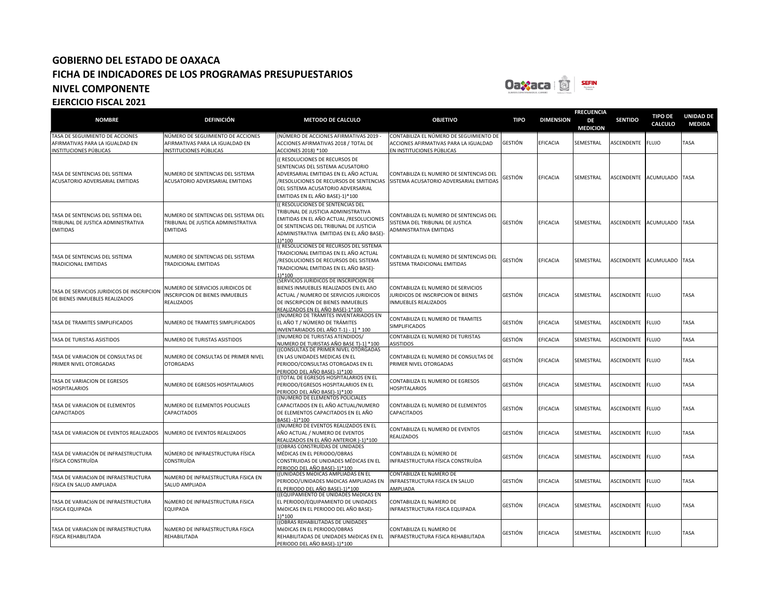

| <b>NOMBRE</b>                                                                               | <b>DEFINICIÓN</b>                                                                             | <b>METODO DE CALCULO</b>                                                                                                                                                                                           | <b>OBJETIVO</b>                                                                                                              | <b>TIPO</b>    | <b>DIMENSION</b> | <b>FRECUENCIA</b><br>DE<br><b>MEDICION</b> | <b>SENTIDO</b>          | <b>TIPO DE</b><br><b>CALCULO</b> | <b>UNIDAD DE</b><br><b>MEDIDA</b> |
|---------------------------------------------------------------------------------------------|-----------------------------------------------------------------------------------------------|--------------------------------------------------------------------------------------------------------------------------------------------------------------------------------------------------------------------|------------------------------------------------------------------------------------------------------------------------------|----------------|------------------|--------------------------------------------|-------------------------|----------------------------------|-----------------------------------|
| TASA DE SEGUIMIENTO DE ACCIONES<br>AFIRMATIVAS PARA LA IGUALDAD EN<br>NSTITUCIONES PÚBLICAS | NÚMERO DE SEGUIMIENTO DE ACCIONES<br>AFIRMATIVAS PARA LA IGUALDAD EN<br>NSTITUCIONES PÚBLICAS | NÚMERO DE ACCIONES AFIRMATIVAS 2019 -<br>ACCIONES AFIRMATIVAS 2018 / TOTAL DE<br>ACCIONES 2018) *100                                                                                                               | CONTABILIZA EL NÚMERO DE SEGUIMIENTO DE<br>ACCIONES AFIRMATIVAS PARA LA IGUALDAD<br>EN INSTITUCIONES PÚBLICAS                | <b>GESTIÓN</b> | EFICACIA         | SEMESTRAL                                  | ASCENDENTE              | <b>FLUJO</b>                     | <b>TASA</b>                       |
| TASA DE SENTENCIAS DEL SISTEMA<br><b>ACUSATORIO ADVERSARIAL EMITIDAS</b>                    | NUMERO DE SENTENCIAS DEL SISTEMA<br>ACUSATORIO ADVERSARIAL EMITIDAS                           | (RESOLUCIONES DE RECURSOS DE<br>SENTENCIAS DEL SISTEMA ACUSATORIO<br>ADVERSARIAL EMITIDAS EN EL AÑO ACTUAL<br>DEL SISTEMA ACUSATORIO ADVERSARIAL<br>EMITIDAS EN EL AÑO BASE)-1)*100                                | CONTABILIZA EL NUMERO DE SENTENCIAS DEL<br>/RESOLUCIONES DE RECURSOS DE SENTENCIAS   SISTEMA ACUSATORIO ADVERSARIAL EMITIDAS | GESTIÓN        | <b>EFICACIA</b>  | SEMESTRAL                                  |                         | ASCENDENTE ACUMULADO TASA        |                                   |
| TASA DE SENTENCIAS DEL SISTEMA DEL<br>TRIBUNAL DE JUSTICA ADMINISTRATIVA<br><b>EMITIDAS</b> | NUMERO DE SENTENCIAS DEL SISTEMA DEL<br>TRIBUNAL DE JUSTICA ADMINISTRATIVA<br><b>EMITIDAS</b> | (RESOLUCIONES DE SENTENCIAS DEL<br>TRIBUNAL DE JUSTICIA ADMINISTRATIVA<br>EMITIDAS EN EL AÑO ACTUAL /RESOLUCIONES<br>DE SENTENCIAS DEL TRIBUNAL DE JUSTICIA<br>ADMINISTRATIVA EMITIDAS EN EL AÑO BASE)-<br>$1*100$ | CONTABILIZA EL NUMERO DE SENTENCIAS DEL<br>SISTEMA DEL TRIBUNAL DE JUSTICA<br>ADMINISTRATIVA EMITIDAS                        | GESTIÓN        | EFICACIA         | SEMESTRAL                                  |                         | ASCENDENTE ACUMULADO TASA        |                                   |
| TASA DE SENTENCIAS DEL SISTEMA<br>TRADICIONAL EMITIDAS                                      | NUMERO DE SENTENCIAS DEL SISTEMA<br><b>TRADICIONAL EMITIDAS</b>                               | ((RESOLUCIONES DE RECURSOS DEL SISTEMA<br>TRADICIONAL EMITIDAS EN EL AÑO ACTUAL<br>/RESOLUCIONES DE RECURSOS DEL SISTEMA<br>TRADICIONAL EMITIDAS EN EL AÑO BASE)-<br>1)*100                                        | CONTABILIZA EL NUMERO DE SENTENCIAS DEL<br>SISTEMA TRADICIONAL EMITIDAS                                                      | GESTIÓN        | <b>EFICACIA</b>  | SEMESTRAL                                  |                         | ASCENDENTE ACUMULADO TASA        |                                   |
| TASA DE SERVICIOS JURIDICOS DE INSCRIPCION<br>DE BIENES INMUEBLES REALIZADOS                | NUMERO DE SERVICIOS JURIDICOS DE<br><b>INSCRIPCION DE BIENES INMUEBLES</b><br>REALIZADOS      | SERVICIOS JURIDICOS DE INSCRIPCION DE<br>BIENES INMUEBLES REALIZADOS EN EL AñO<br><b>ACTUAL / NUMERO DE SERVICIOS JURIDICOS</b><br>DE INSCRIPCION DE BIENES INMUEBLES<br>REALIZADOS EN EL AÑO BASE)-1*100          | CONTABILIZA EL NUMERO DE SERVICIOS<br>JURIDICOS DE INSCRIPCION DE BIENES<br><b>INMUEBLES REALIZADOS</b>                      | <b>GESTIÓN</b> | <b>EFICACIA</b>  | SEMESTRAL                                  | ASCENDENTE FLUJO        |                                  | <b>TASA</b>                       |
| <b>TASA DE TRAMITES SIMPLIFICADOS</b>                                                       | NUMERO DE TRAMITES SIMPLIFICADOS                                                              | (NÚMERO DE TRÁMITES INVENTARIADOS EN<br>EL AÑO T / NÚMERO DE TRÁMITES<br>NVENTARIADOS DEL AÑO T-1) - 11 * 100                                                                                                      | CONTABILIZA EL NUMERO DE TRAMITES<br><b>SIMPLIFICADOS</b>                                                                    | GESTIÓN        | EFICACIA         | SEMESTRAL                                  | <b>ASCENDENTE</b>       | <b>FLUJO</b>                     | TASA                              |
| TASA DE TURISTAS ASISTIDOS                                                                  | NUMERO DE TURISTAS ASISTIDOS                                                                  | (NUMERO DE TURISTAS ATENDIDOS/<br>NUMERO DE TURISTAS AÑO BASE T)-1] *100                                                                                                                                           | CONTABILIZA EL NUMERO DE TURISTAS<br><b>ASISTIDOS</b>                                                                        | GESTIÓN        | <b>EFICACIA</b>  | SEMESTRAL                                  | ASCENDENTE              | <b>FLUJO</b>                     | <b>TASA</b>                       |
| TASA DE VARIACION DE CONSULTAS DE<br>PRIMER NIVEL OTORGADAS                                 | NUMERO DE CONSULTAS DE PRIMER NIVEL<br><b>OTORGADAS</b>                                       | (CONSULTAS DE PRIMER NIVEL OTORGADAS<br>EN LAS UNIDADES MEDICAS EN EL<br>PERIODO/CONSULTAS OTORGADAS EN EL<br>PERIODO DEL AÑO BASE)-1)*100                                                                         | CONTABILIZA EL NUMERO DE CONSULTAS DE<br><b>PRIMER NIVEL OTORGADAS</b>                                                       | GESTIÓN        | <b>EFICACIA</b>  | SEMESTRAL                                  | <b>ASCENDENTE FLUJO</b> |                                  | <b>TASA</b>                       |
| TASA DE VARIACION DE EGRESOS<br><b>HOSPITALARIOS</b>                                        | NUMERO DE EGRESOS HOSPITALARIOS                                                               | (TOTAL DE EGRESOS HOSPITALARIOS EN EL<br>PERIODO/EGRESOS HOSPITALARIOS EN EL<br>PERIODO DEL AÑO BASE)-1)*100                                                                                                       | CONTABILIZA EL NUMERO DE EGRESOS<br><b>HOSPITALARIOS</b>                                                                     | GESTIÓN        | <b>EFICACIA</b>  | SEMESTRAL                                  | ASCENDENTE FLUJO        |                                  | <b>TASA</b>                       |
| TASA DE VARIACION DE ELEMENTOS<br>CAPACITADOS                                               | NUMERO DE ELEMENTOS POLICIALES<br>CAPACITADOS                                                 | (NUMERO DE ELEMENTOS POLICIALES<br>CAPACITADOS EN EL AÑO ACTUAL/NUMERO<br>DE ELEMENTOS CAPACITADOS EN EL AÑO<br>BASE) -1)*100                                                                                      | CONTABILIZA EL NUMERO DE ELEMENTOS<br><b>CAPACITADOS</b>                                                                     | GESTIÓN        | <b>EFICACIA</b>  | SEMESTRAL                                  | ASCENDENTE FLUJO        |                                  | <b>TASA</b>                       |
| TASA DE VARIACION DE EVENTOS REALIZADOS                                                     | NUMERO DE EVENTOS REALIZADOS                                                                  | (NUMERO DE EVENTOS REALIZADOS EN EL<br>AÑO ACTUAL / NUMERO DE EVENTOS<br>REALIZADOS EN EL AÑO ANTERIOR )-1)*100                                                                                                    | CONTABILIZA EL NUMERO DE EVENTOS<br><b>REALIZADOS</b>                                                                        | GESTIÓN        | EFICACIA         | SEMESTRAL                                  | ASCENDENTE              | <b>FLUJO</b>                     | <b>TASA</b>                       |
| TASA DE VARIACIÓN DE INFRAESTRUCTURA<br>FÍSICA CONSTRUÍDA                                   | NÚMERO DE INFRAESTRUCTURA FÍSICA<br>CONSTRUÍDA                                                | (OBRAS CONSTRUÍDAS DE UNIDADES<br>MÉDICAS EN EL PERIODO/OBRAS<br>CONSTRUIDAS DE UNIDADES MÉDICAS EN EL<br>PERIODO DEL AÑO BASE)-1)*100                                                                             | CONTABILIZA EL NÚMERO DE<br>INFRAESTRUCTURA FÍSICA CONSTRUÍDA                                                                | GESTIÓN        | <b>EFICACIA</b>  | SEMESTRAL                                  | ASCENDENTE FLUJO        |                                  | <b>TASA</b>                       |
| TASA DE VARIACIÓN DE INFRAESTRUCTURA<br>FÍSICA EN SALUD AMPLIADA                            | NÚMERO DE INFRAESTRUCTURA FÍSICA EN<br>SALUD AMPLIADA                                         | (UNIDADES MéDICAS AMPLIADAS EN EL<br>PERIODO/UNIDADES MéDICAS AMPLIADAS EN<br>L PERIODO DEL AÑO BASE)-1)*100                                                                                                       | CONTABILIZA EL NúMERO DE<br>INFRAESTRUCTURA FÍSICA EN SALUD<br>AMPLIADA                                                      | <b>GESTIÓN</b> | EFICACIA         | SEMESTRAL                                  | ASCENDENTE              | <b>FLUJO</b>                     | <b>TASA</b>                       |
| TASA DE VARIACIÓN DE INFRAESTRUCTURA<br>FÍSICA EQUIPADA                                     | NúMERO DE INFRAESTRUCTURA FÍSICA<br>EQUIPADA                                                  | (EQUIPAMIENTO DE UNIDADES MéDICAS EN<br>EL PERIODO/EQUIPAMIENTO DE UNIDADES<br>MéDICAS EN EL PERIODO DEL AÑO BASE)-<br>$1*100$                                                                                     | CONTABILIZA EL NúMERO DE<br>INFRAESTRUCTURA FÍSICA EQUIPADA                                                                  | GESTIÓN        | EFICACIA         | SEMESTRAL                                  | ASCENDENTE FLUJO        |                                  | <b>TASA</b>                       |
| TASA DE VARIACIÓN DE INFRAESTRUCTURA<br>FÍSICA REHABILITADA                                 | NÚMERO DE INFRAESTRUCTURA FÍSICA<br>REHABILITADA                                              | (OBRAS REHABILITADAS DE UNIDADES<br>MéDICAS EN EL PERIODO/OBRAS<br>REHABILITADAS DE UNIDADES MéDICAS EN EL<br>PERIODO DEL AÑO BASE)-1)*100                                                                         | CONTABILIZA EL NúMERO DE<br>INFRAESTRUCTURA FÍSICA REHABILITADA                                                              | GESTIÓN        | <b>EFICACIA</b>  | SEMESTRAL                                  | ASCENDENTE FLUJO        |                                  | TASA                              |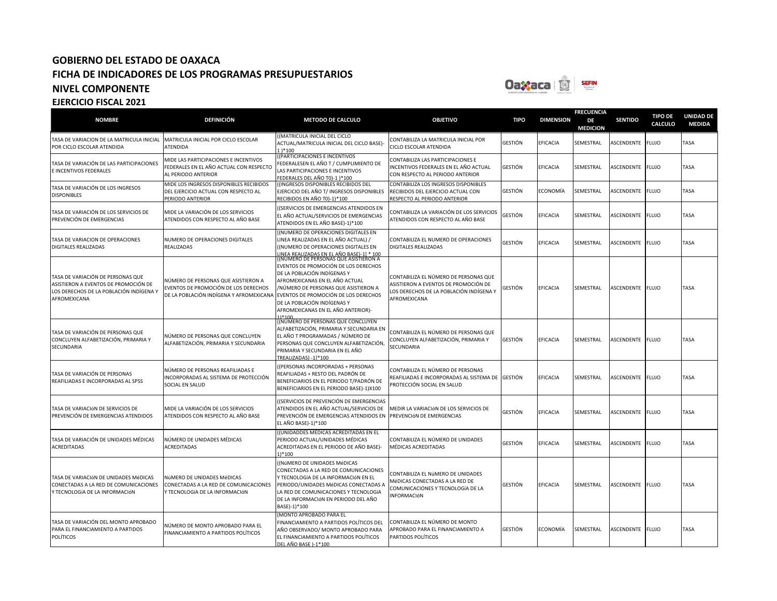

| <b>NOMBRE</b>                                                                                                                        | <b>DEFINICIÓN</b>                                                                                                      | <b>METODO DE CALCULO</b>                                                                                                                                                                                                                                                                                      | <b>OBJETIVO</b>                                                                                                                          | <b>TIPO</b>    | <b>DIMENSION</b> | <b>FRECUENCIA</b><br>DE<br><b>MEDICION</b> | <b>SENTIDO</b>   | <b>TIPO DE</b><br>CALCULO | <b>UNIDAD DE</b><br><b>MEDIDA</b> |
|--------------------------------------------------------------------------------------------------------------------------------------|------------------------------------------------------------------------------------------------------------------------|---------------------------------------------------------------------------------------------------------------------------------------------------------------------------------------------------------------------------------------------------------------------------------------------------------------|------------------------------------------------------------------------------------------------------------------------------------------|----------------|------------------|--------------------------------------------|------------------|---------------------------|-----------------------------------|
| TASA DE VARIACION DE LA MATRICULA INICIAL<br>POR CICLO ESCOLAR ATENDIDA                                                              | MATRICULA INICIAL POR CICLO ESCOLAR<br>ATENDIDA                                                                        | ((MATRICULA INICIAL DEL CICLO<br>ACTUAL/MATRICULA INICIAL DEL CICLO BASE)-<br>1) * 100                                                                                                                                                                                                                        | CONTABILIZA LA MATRICULA INICIAL POR<br>CICLO ESCOLAR ATENDIDA                                                                           | GESTIÓN        | EFICACIA         | SEMESTRAL                                  | ASCENDENTE       | <b>FLUJO</b>              | TASA                              |
| TASA DE VARIACIÓN DE LAS PARTICIPACIONES<br>E INCENTIVOS FEDERALES                                                                   | MIDE LAS PARTICIPACIONES E INCENTIVOS<br>FEDERALES EN EL AÑO ACTUAL CON RESPECTO<br>AL PERIODO ANTERIOR                | ((PARTICIPACIONES E INCENTIVOS<br>FEDERALESEN EL AÑO T / CUMPLIMIENTO DE<br>LAS PARTICIPACIONES E INCENTIVOS<br>FEDERALES DEL AÑO T0)-1 )*100                                                                                                                                                                 | CONTABILIZA LAS PARTICIPACIONES E<br>NCENTIVOS FEDERALES EN EL AÑO ACTUAL<br>CON RESPECTO AL PERIODO ANTERIOR                            | <b>GESTIÓN</b> | EFICACIA         | SEMESTRAL                                  | ASCENDENTE       | <b>FLUJO</b>              | TASA                              |
| TASA DE VARIACIÓN DE LOS INGRESOS<br><b>DISPONIBLES</b>                                                                              | MIDE LOS INGRESOS DISPONIBLES RECIBIDOS<br>DEL EJERCICIO ACTUAL CON RESPECTO AL<br>PERIODO ANTERIOR                    | ((INGRESOS DISPONIBLES RECIBIDOS DEL<br>EJERCICIO DEL AÑO T/ INGRESOS DISPONIBLES<br>RECIBIDOS EN AÑO T0)-1)*100                                                                                                                                                                                              | CONTABILIZA LOS INGRESOS DISPONIBLES<br>RECIBIDOS DEL EJERCICIO ACTUAL CON<br>RESPECTO AL PERIODO ANTERIOR                               | GESTIÓN        | ECONOMÍA         | SEMESTRAL                                  | ASCENDENTE       | <b>FLUJO</b>              | TASA                              |
| TASA DE VARIACIÓN DE LOS SERVICIOS DE<br>PREVENCIÓN DE EMERGENCIAS                                                                   | MIDE LA VARIACIÓN DE LOS SERVICIOS<br>ATENDIDOS CON RESPECTO AL AÑO BASE                                               | ((SERVICIOS DE EMERGENCIAS ATENDIDOS EN<br>EL AÑO ACTUAL/SERVICIOS DE EMERGENCIAS<br>ATENDIDOS EN EL AÑO BASE)-1)*100                                                                                                                                                                                         | CONTABILIZA LA VARIACIÓN DE LOS SERVICIOS<br>ATENDIDOS CON RESPECTO AL AÑO BASE                                                          | GESTIÓN        | EFICACIA         | SEMESTRAL                                  | ASCENDENTE       | <b>FLUJO</b>              | TASA                              |
| TASA DE VARIACION DE OPERACIONES<br><b>DIGITALES REALIZADAS</b>                                                                      | NUMERO DE OPERACIONES DIGITALES<br>REALIZADAS                                                                          | [(NUMERO DE OPERACIONES DIGITALES EN<br>LINEA REALIZADAS EN EL AÑO ACTUAL) /<br>((NUMERO DE OPERACIONES DIGITALES EN<br>LINEA REALIZADAS EN EL AÑO BASE)-1] * 100                                                                                                                                             | CONTABILIZA EL NUMERO DE OPERACIONES<br><b>DIGITALES REALIZADAS</b>                                                                      | GESTIÓN        | EFICACIA         | SEMESTRAL                                  | ASCENDENTE       | <b>FLUJO</b>              | TASA                              |
| TASA DE VARIACIÓN DE PERSONAS QUE<br>ASISTIERON A EVENTOS DE PROMOCIÓN DE<br>LOS DERECHOS DE LA POBLACIÓN INDÍGENA Y<br>AFROMEXICANA | NÚMERO DE PERSONAS QUE ASISTIERON A<br>EVENTOS DE PROMOCIÓN DE LOS DERECHOS<br>DE LA POBLACIÓN INDÍGENA Y AFROMEXICANA | ((NUMERO DE PERSONAS QUE ASISTIERON A<br>EVENTOS DE PROMOCIÓN DE LOS DERECHOS<br>DE LA POBLACIÓN INDÍGENAS Y<br>AFROMEXICANAS EN EL AÑO ACTUAL<br>/NÚMERO DE PERSONAS QUE ASISTIERON A<br>EVENTOS DE PROMOCIÓN DE LOS DERECHOS<br>DE LA POBLACIÓN INDÍGENAS Y<br>AFROMEXICANAS EN EL AÑO ANTERIOR)-<br>1)*100 | CONTABILIZA EL NÚMERO DE PERSONAS QUE<br>ASISTIERON A EVENTOS DE PROMOCIÓN DE<br>LOS DERECHOS DE LA POBLACIÓN INDÍGENA Y<br>AFROMEXICANA | GESTIÓN        | <b>EFICACIA</b>  | SEMESTRAL                                  | ASCENDENTE FLUJO |                           | TASA                              |
| TASA DE VARIACIÓN DE PERSONAS QUE<br>CONCLUYEN ALFABETIZACIÓN, PRIMARIA Y<br>SECUNDARIA                                              | NÚMERO DE PERSONAS QUE CONCLUYEN<br>ALFABETIZACIÓN, PRIMARIA Y SECUNDARIA                                              | (NÚMERO DE PERSONAS QUE CONCLUYEN<br>ALFABETIZACIÓN, PRIMARIA Y SECUNDARIA EN<br>EL AÑO T PROGRAMADAS / NÚMERO DE<br>PERSONAS QUE CONCLUYEN ALFABETIZACIÓN,<br>PRIMARIA Y SECUNDARIA EN EL AÑO<br>TREALIZADAS) -11*100                                                                                        | CONTABILIZA EL NÚMERO DE PERSONAS QUE<br>CONCLUYEN ALFABETIZACIÓN, PRIMARIA Y<br>SECUNDARIA                                              | GESTIÓN        | EFICACIA         | SEMESTRAL                                  | ASCENDENTE       | <b>FLUJO</b>              | TASA                              |
| TASA DE VARIACIÓN DE PERSONAS<br>REAFILIADAS E INCORPORADAS AL SPSS                                                                  | NÚMERO DE PERSONAS REAFILIADAS E<br>NCORPORADAS AL SISTEMA DE PROTECCIÓN<br>SOCIAL EN SALUD                            | ((PERSONAS INCORPORADAS + PERSONAS<br>REAFILIADAS + RESTO DEL PADRÓN DE<br>BENEFICIARIOS EN EL PERIODO T/PADRÓN DE<br>BENEFICIARIOS EN EL PERIODO BASE)-1)X100                                                                                                                                                | CONTABILIZA EL NÚMERO DE PERSONAS<br>REAFILIADAS E INCORPORADAS AL SISTEMA DE GESTIÓN<br>PROTECCIÓN SOCIAL EN SALUD                      |                | EFICACIA         | SEMESTRAL                                  | ASCENDENTE       | <b>FLUJO</b>              | TASA                              |
| TASA DE VARIACIÓN DE SERVICIOS DE<br>PREVENCIÓN DE EMERGENCIAS ATENDIDOS                                                             | MIDE LA VARIACIÓN DE LOS SERVICIOS<br>ATENDIDOS CON RESPECTO AL AÑO BASE                                               | ((SERVICIOS DE PREVENCIÓN DE EMERGENCIAS<br>ATENDIDOS EN EL AÑO ACTUAL/SERVICIOS DE<br>PREVENCIÓN DE EMERGENCIAS ATENDIDOS EN<br>EL AÑO BASE)-1)*100                                                                                                                                                          | MEDIR LA VARIACIÓN DE LOS SERVICIOS DE<br>PREVENCIÓN DE EMERGENCIAS                                                                      | GESTIÓN        | EFICACIA         | SEMESTRAL                                  | ASCENDENTE       | <b>FLUJO</b>              | TASA                              |
| TASA DE VARIACIÓN DE UNIDADES MÉDICAS<br><b>ACREDITADAS</b>                                                                          | NÚMERO DE UNIDADES MÉDICAS<br>ACREDITADAS                                                                              | ((UNIDADDES MÉDICAS ACREDITADAS EN EL<br>PERIODO ACTUAL/UNIDADES MÉDICAS<br>ACREDITADAS EN EL PERIODO DE AÑO BASE)-<br>1)*100                                                                                                                                                                                 | CONTABILIZA EL NÚMERO DE UNIDADES<br>MÉDICAS ACREDITADAS                                                                                 | GESTIÓN        | EFICACIA         | SEMESTRAL                                  | ASCENDENTE       | <b>FLUJO</b>              | TASA                              |
| TASA DE VARIACIÓN DE UNIDADES MÉDICAS<br>CONECTADAS A LA RED DE COMUNICACIONES<br>Y TECNOLOGÍA DE LA INFORMACIÓN                     | NÚMERO DE UNIDADES MéDICAS<br>CONECTADAS A LA RED DE COMUNICACIONES<br>Y TECNOLOGÍA DE LA INFORMACIÓN                  | ((NÚMERO DE UNIDADES MéDICAS<br>CONECTADAS A LA RED DE COMUNICACIONES<br>Y TECNOLOGÍA DE LA INFORMACIÓN EN EL<br>PERIODO/UNIDADES MéDICAS CONECTADAS A<br>LA RED DE COMUNICACIONES Y TECNOLOGÍA<br>DE LA INFORMACIÓN EN PERIODO DEL AÑO<br>BASE)-1)*100                                                       | CONTABILIZA EL NÚMERO DE UNIDADES<br>MéDICAS CONECTADAS A LA RED DE<br>COMUNICACIONES Y TECNOLOGÍA DE LA<br><b>INFORMACIÓN</b>           | GESTIÓN        | EFICACIA         | SEMESTRAL                                  | ASCENDENTE FLUJO |                           | TASA                              |
| TASA DE VARIACIÓN DEL MONTO APROBADO<br>PARA EL FINANCIAMIENTO A PARTIDOS<br><b>POLÍTICOS</b>                                        | NÚMERO DE MONTO APROBADO PARA EL<br>FINANCIAMIENTO A PARTIDOS POLÍTICOS                                                | (MONTO APROBADO PARA EL<br>FINANCIAMIENTO A PARTIDOS POLÍTICOS DEL<br>AÑO OBSERVADO/ MONTO APROBADO PARA<br>EL FINANCIAMIENTO A PARTIDOS POLÍTICOS<br>DEL AÑO BASE 1-1*100                                                                                                                                    | CONTABILIZA EL NÚMERO DE MONTO<br>APROBADO PARA EL FINANCIAMIENTO A<br>PARTIDOS POLÍTICOS                                                | GESTIÓN        | ECONOMÍA         | SEMESTRAL                                  | ASCENDENTE       | <b>FLUJO</b>              | TASA                              |